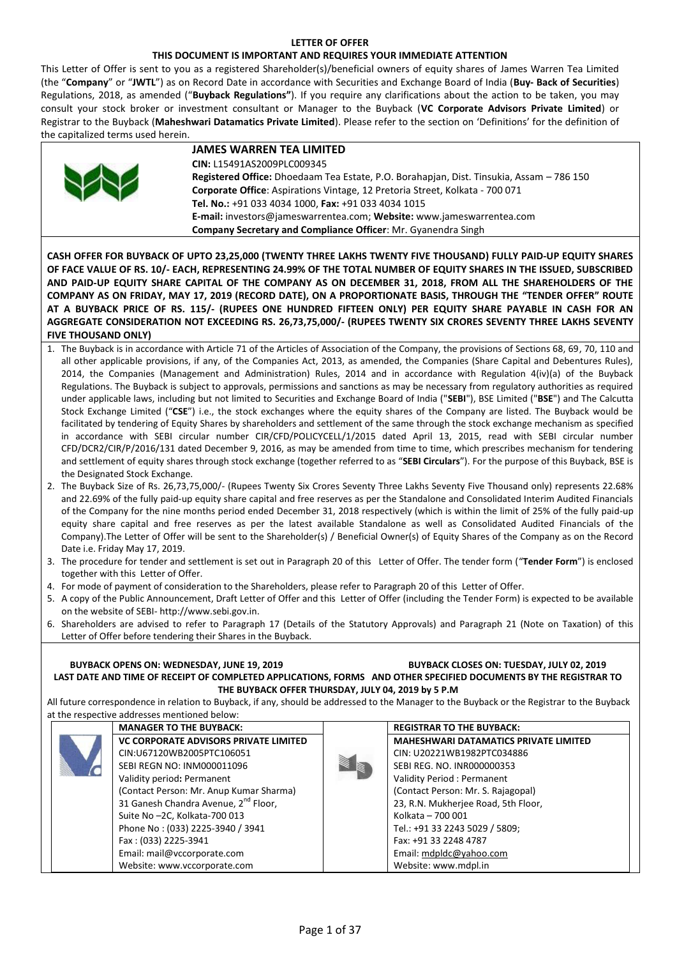### **LETTER OF OFFER**

### **THIS DOCUMENT IS IMPORTANT AND REQUIRES YOUR IMMEDIATE ATTENTION**

This Letter of Offer is sent to you as a registered Shareholder(s)/beneficial owners of equity shares of James Warren Tea Limited (the "**Company**" or "**JWTL**") as on Record Date in accordance with Securities and Exchange Board of India (**Buy- Back of Securities**) Regulations, 2018, as amended ("**Buyback Regulations"**). If you require any clarifications about the action to be taken, you may consult your stock broker or investment consultant or Manager to the Buyback (**VC Corporate Advisors Private Limited**) or Registrar to the Buyback (**Maheshwari Datamatics Private Limited**). Please refer to the section on 'Definitions' for the definition of the capitalized terms used herein.

|   | <b>JAMES WARREN TEA LIMITED</b>                                                          |
|---|------------------------------------------------------------------------------------------|
|   | CIN: L15491AS2009PLC009345                                                               |
| W | Registered Office: Dhoedaam Tea Estate, P.O. Borahapjan, Dist. Tinsukia, Assam - 786 150 |
|   | Corporate Office: Aspirations Vintage, 12 Pretoria Street, Kolkata - 700 071             |
|   | Tel. No.: +91 033 4034 1000, Fax: +91 033 4034 1015                                      |
|   | E-mail: investors@jameswarrentea.com; Website: www.jameswarrentea.com                    |
|   | Company Secretary and Compliance Officer: Mr. Gyanendra Singh                            |

**CASH OFFER FOR BUYBACK OF UPTO 23,25,000 (TWENTY THREE LAKHS TWENTY FIVE THOUSAND) FULLY PAID-UP EQUITY SHARES OF FACE VALUE OF RS. 10/- EACH, REPRESENTING 24.99% OF THE TOTAL NUMBER OF EQUITY SHARES IN THE ISSUED, SUBSCRIBED AND PAID-UP EQUITY SHARE CAPITAL OF THE COMPANY AS ON DECEMBER 31, 2018, FROM ALL THE SHAREHOLDERS OF THE COMPANY AS ON FRIDAY, MAY 17, 2019 (RECORD DATE), ON A PROPORTIONATE BASIS, THROUGH THE "TENDER OFFER" ROUTE AT A BUYBACK PRICE OF RS. 115/- (RUPEES ONE HUNDRED FIFTEEN ONLY) PER EQUITY SHARE PAYABLE IN CASH FOR AN AGGREGATE CONSIDERATION NOT EXCEEDING RS. 26,73,75,000/- (RUPEES TWENTY SIX CRORES SEVENTY THREE LAKHS SEVENTY FIVE THOUSAND ONLY)** 

- 1. The Buyback is in accordance with Article 71 of the Articles of Association of the Company, the provisions of Sections 68, 69, 70, 110 and all other applicable provisions, if any, of the Companies Act, 2013, as amended, the Companies (Share Capital and Debentures Rules), 2014, the Companies (Management and Administration) Rules, 2014 and in accordance with Regulation 4(iv)(a) of the Buyback Regulations. The Buyback is subject to approvals, permissions and sanctions as may be necessary from regulatory authorities as required under applicable laws, including but not limited to Securities and Exchange Board of India ("**SEBI**"), BSE Limited ("**BSE**") and The Calcutta Stock Exchange Limited ("**CSE**") i.e., the stock exchanges where the equity shares of the Company are listed. The Buyback would be facilitated by tendering of Equity Shares by shareholders and settlement of the same through the stock exchange mechanism as specified in accordance with SEBI circular number CIR/CFD/POLICYCELL/1/2015 dated April 13, 2015, read with SEBI circular number CFD/DCR2/CIR/P/2016/131 dated December 9, 2016, as may be amended from time to time, which prescribes mechanism for tendering and settlement of equity shares through stock exchange (together referred to as "**SEBI Circulars**"). For the purpose of this Buyback, BSE is the Designated Stock Exchange.
- 2. The Buyback Size of Rs. 26,73,75,000/- (Rupees Twenty Six Crores Seventy Three Lakhs Seventy Five Thousand only) represents 22.68% and 22.69% of the fully paid-up equity share capital and free reserves as per the Standalone and Consolidated Interim Audited Financials of the Company for the nine months period ended December 31, 2018 respectively (which is within the limit of 25% of the fully paid-up equity share capital and free reserves as per the latest available Standalone as well as Consolidated Audited Financials of the Company).The Letter of Offer will be sent to the Shareholder(s) / Beneficial Owner(s) of Equity Shares of the Company as on the Record Date i.e. Friday May 17, 2019.
- 3. The procedure for tender and settlement is set out in Paragraph 20 of this Letter of Offer. The tender form ("**Tender Form**") is enclosed together with this Letter of Offer.
- 4. For mode of payment of consideration to the Shareholders, please refer to Paragraph 20 of this Letter of Offer.
- 5. A copy of the Public Announcement, Draft Letter of Offer and this Letter of Offer (including the Tender Form) is expected to be available on the website of SEBI- http://www.sebi.gov.in.
- 6. Shareholders are advised to refer to Paragraph 17 (Details of the Statutory Approvals) and Paragraph 21 (Note on Taxation) of this Letter of Offer before tendering their Shares in the Buyback.

**BUYBACK OPENS ON: WEDNESDAY, JUNE 19, 2019 BUYBACK CLOSES ON: TUESDAY, JULY 02, 2019 LAST DATE AND TIME OF RECEIPT OF COMPLETED APPLICATIONS, FORMS AND OTHER SPECIFIED DOCUMENTS BY THE REGISTRAR TO THE BUYBACK OFFER THURSDAY, JULY 04, 2019 by 5 P.M**

All future correspondence in relation to Buyback, if any, should be addressed to the Manager to the Buyback or the Registrar to the Buyback at the respective addresses mentioned below:

| <b>MANAGER TO THE BUYBACK:</b>                   | <b>REGISTRAR TO THE BUYBACK:</b>             |
|--------------------------------------------------|----------------------------------------------|
| <b>VC CORPORATE ADVISORS PRIVATE LIMITED</b>     | <b>MAHESHWARI DATAMATICS PRIVATE LIMITED</b> |
| CIN:U67120WB2005PTC106051                        | CIN: U20221WB1982PTC034886                   |
| SEBI REGN NO: INM000011096                       | SEBI REG. NO. INR000000353                   |
| Validity period: Permanent                       | Validity Period: Permanent                   |
| (Contact Person: Mr. Anup Kumar Sharma)          | (Contact Person: Mr. S. Rajagopal)           |
| 31 Ganesh Chandra Avenue, 2 <sup>nd</sup> Floor, | 23, R.N. Mukherjee Road, 5th Floor,          |
| Suite No-2C, Kolkata-700 013                     | Kolkata - 700 001                            |
| Phone No: (033) 2225-3940 / 3941                 | Tel.: +91 33 2243 5029 / 5809;               |
| Fax: (033) 2225-3941                             | Fax: +91 33 2248 4787                        |
| Email: mail@vccorporate.com                      | Email: mdpldc@yahoo.com                      |
| Website: www.vccorporate.com                     | Website: www.mdpl.in                         |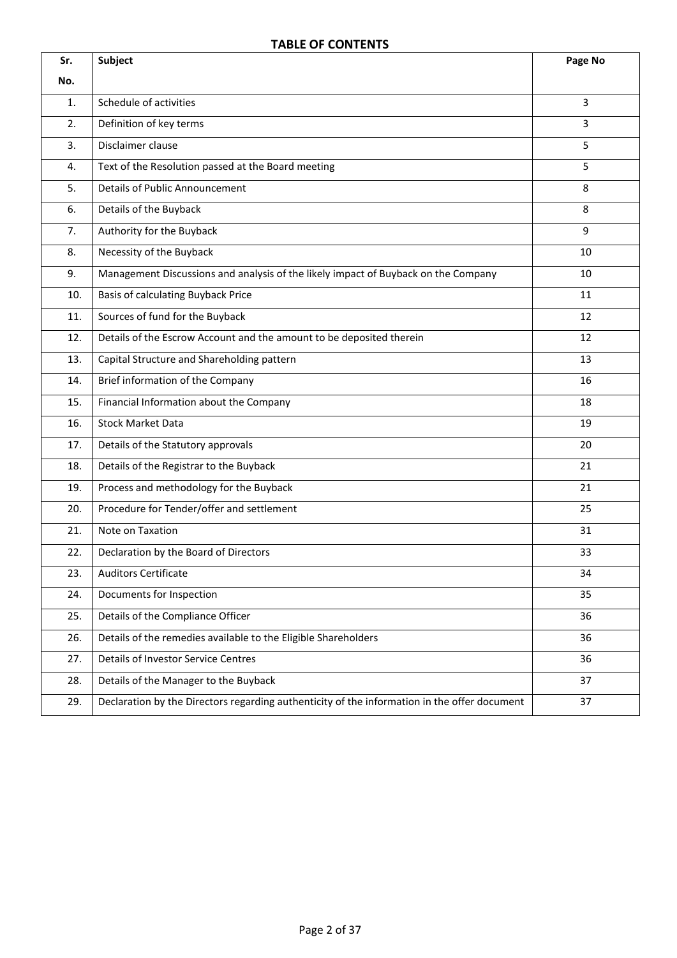# **TABLE OF CONTENTS**

| Sr. | <b>Subject</b>                                                                               | Page No |
|-----|----------------------------------------------------------------------------------------------|---------|
| No. |                                                                                              |         |
| 1.  | Schedule of activities                                                                       | 3       |
| 2.  | Definition of key terms                                                                      | 3       |
| 3.  | Disclaimer clause                                                                            | 5       |
| 4.  | Text of the Resolution passed at the Board meeting                                           | 5       |
| 5.  | <b>Details of Public Announcement</b>                                                        | 8       |
| 6.  | Details of the Buyback                                                                       | 8       |
| 7.  | Authority for the Buyback                                                                    | 9       |
| 8.  | Necessity of the Buyback                                                                     | 10      |
| 9.  | Management Discussions and analysis of the likely impact of Buyback on the Company           | 10      |
| 10. | <b>Basis of calculating Buyback Price</b>                                                    | 11      |
| 11. | Sources of fund for the Buyback                                                              | 12      |
| 12. | Details of the Escrow Account and the amount to be deposited therein                         | 12      |
| 13. | Capital Structure and Shareholding pattern                                                   | 13      |
| 14. | Brief information of the Company                                                             | 16      |
| 15. | Financial Information about the Company                                                      | 18      |
| 16. | <b>Stock Market Data</b>                                                                     | 19      |
| 17. | Details of the Statutory approvals                                                           | 20      |
| 18. | Details of the Registrar to the Buyback                                                      | 21      |
| 19. | Process and methodology for the Buyback                                                      | 21      |
| 20. | Procedure for Tender/offer and settlement                                                    | 25      |
| 21. | Note on Taxation                                                                             | 31      |
| 22. | Declaration by the Board of Directors                                                        | 33      |
| 23. | <b>Auditors Certificate</b>                                                                  | 34      |
| 24. | Documents for Inspection                                                                     | 35      |
| 25. | Details of the Compliance Officer                                                            | 36      |
| 26. | Details of the remedies available to the Eligible Shareholders                               | 36      |
| 27. | <b>Details of Investor Service Centres</b>                                                   | 36      |
| 28. | Details of the Manager to the Buyback                                                        | 37      |
| 29. | Declaration by the Directors regarding authenticity of the information in the offer document | 37      |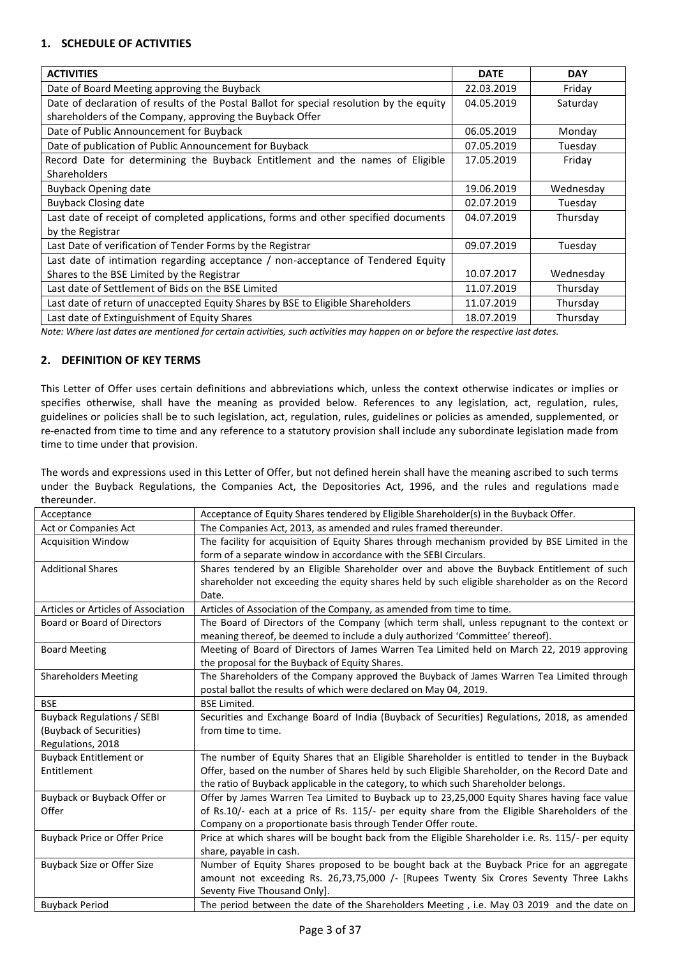# **1. SCHEDULE OF ACTIVITIES**

| <b>ACTIVITIES</b>                                                                        | <b>DATE</b> | <b>DAY</b> |
|------------------------------------------------------------------------------------------|-------------|------------|
| Date of Board Meeting approving the Buyback                                              | 22.03.2019  | Friday     |
| Date of declaration of results of the Postal Ballot for special resolution by the equity | 04.05.2019  | Saturday   |
| shareholders of the Company, approving the Buyback Offer                                 |             |            |
| Date of Public Announcement for Buyback                                                  | 06.05.2019  | Monday     |
| Date of publication of Public Announcement for Buyback                                   | 07.05.2019  | Tuesday    |
| Record Date for determining the Buyback Entitlement and the names of Eligible            | 17.05.2019  | Friday     |
| Shareholders                                                                             |             |            |
| <b>Buyback Opening date</b>                                                              | 19.06.2019  | Wednesday  |
| <b>Buyback Closing date</b>                                                              | 02.07.2019  | Tuesday    |
| Last date of receipt of completed applications, forms and other specified documents      | 04.07.2019  | Thursday   |
| by the Registrar                                                                         |             |            |
| Last Date of verification of Tender Forms by the Registrar                               | 09.07.2019  | Tuesday    |
| Last date of intimation regarding acceptance $/$ non-acceptance of Tendered Equity       |             |            |
| Shares to the BSE Limited by the Registrar                                               | 10.07.2017  | Wednesday  |
| Last date of Settlement of Bids on the BSE Limited                                       | 11.07.2019  | Thursday   |
| Last date of return of unaccepted Equity Shares by BSE to Eligible Shareholders          | 11.07.2019  | Thursday   |
| Last date of Extinguishment of Equity Shares                                             | 18.07.2019  | Thursday   |

*Note: Where last dates are mentioned for certain activities, such activities may happen on or before the respective last dates.*

# **2. DEFINITION OF KEY TERMS**

This Letter of Offer uses certain definitions and abbreviations which, unless the context otherwise indicates or implies or specifies otherwise, shall have the meaning as provided below. References to any legislation, act, regulation, rules, guidelines or policies shall be to such legislation, act, regulation, rules, guidelines or policies as amended, supplemented, or re-enacted from time to time and any reference to a statutory provision shall include any subordinate legislation made from time to time under that provision.

The words and expressions used in this Letter of Offer, but not defined herein shall have the meaning ascribed to such terms under the Buyback Regulations, the Companies Act, the Depositories Act, 1996, and the rules and regulations made thereunder.

| Acceptance                          | Acceptance of Equity Shares tendered by Eligible Shareholder(s) in the Buyback Offer.             |
|-------------------------------------|---------------------------------------------------------------------------------------------------|
| Act or Companies Act                | The Companies Act, 2013, as amended and rules framed thereunder.                                  |
| <b>Acquisition Window</b>           | The facility for acquisition of Equity Shares through mechanism provided by BSE Limited in the    |
|                                     | form of a separate window in accordance with the SEBI Circulars.                                  |
| <b>Additional Shares</b>            | Shares tendered by an Eligible Shareholder over and above the Buyback Entitlement of such         |
|                                     | shareholder not exceeding the equity shares held by such eligible shareholder as on the Record    |
|                                     | Date.                                                                                             |
| Articles or Articles of Association | Articles of Association of the Company, as amended from time to time.                             |
| Board or Board of Directors         | The Board of Directors of the Company (which term shall, unless repugnant to the context or       |
|                                     | meaning thereof, be deemed to include a duly authorized 'Committee' thereof).                     |
| <b>Board Meeting</b>                | Meeting of Board of Directors of James Warren Tea Limited held on March 22, 2019 approving        |
|                                     | the proposal for the Buyback of Equity Shares.                                                    |
| <b>Shareholders Meeting</b>         | The Shareholders of the Company approved the Buyback of James Warren Tea Limited through          |
|                                     | postal ballot the results of which were declared on May 04, 2019.                                 |
| <b>BSE</b>                          | <b>BSE Limited.</b>                                                                               |
| <b>Buyback Regulations / SEBI</b>   | Securities and Exchange Board of India (Buyback of Securities) Regulations, 2018, as amended      |
| (Buyback of Securities)             | from time to time.                                                                                |
| Regulations, 2018                   |                                                                                                   |
| <b>Buyback Entitlement or</b>       | The number of Equity Shares that an Eligible Shareholder is entitled to tender in the Buyback     |
| Entitlement                         | Offer, based on the number of Shares held by such Eligible Shareholder, on the Record Date and    |
|                                     | the ratio of Buyback applicable in the category, to which such Shareholder belongs.               |
| Buyback or Buyback Offer or         | Offer by James Warren Tea Limited to Buyback up to 23,25,000 Equity Shares having face value      |
| Offer                               | of Rs.10/- each at a price of Rs. 115/- per equity share from the Eligible Shareholders of the    |
|                                     | Company on a proportionate basis through Tender Offer route.                                      |
| <b>Buyback Price or Offer Price</b> | Price at which shares will be bought back from the Eligible Shareholder i.e. Rs. 115/- per equity |
|                                     | share, payable in cash.                                                                           |
| Buyback Size or Offer Size          | Number of Equity Shares proposed to be bought back at the Buyback Price for an aggregate          |
|                                     | amount not exceeding Rs. 26,73,75,000 /- [Rupees Twenty Six Crores Seventy Three Lakhs            |
|                                     | Seventy Five Thousand Only].                                                                      |
| <b>Buyback Period</b>               | The period between the date of the Shareholders Meeting, i.e. May 03 2019 and the date on         |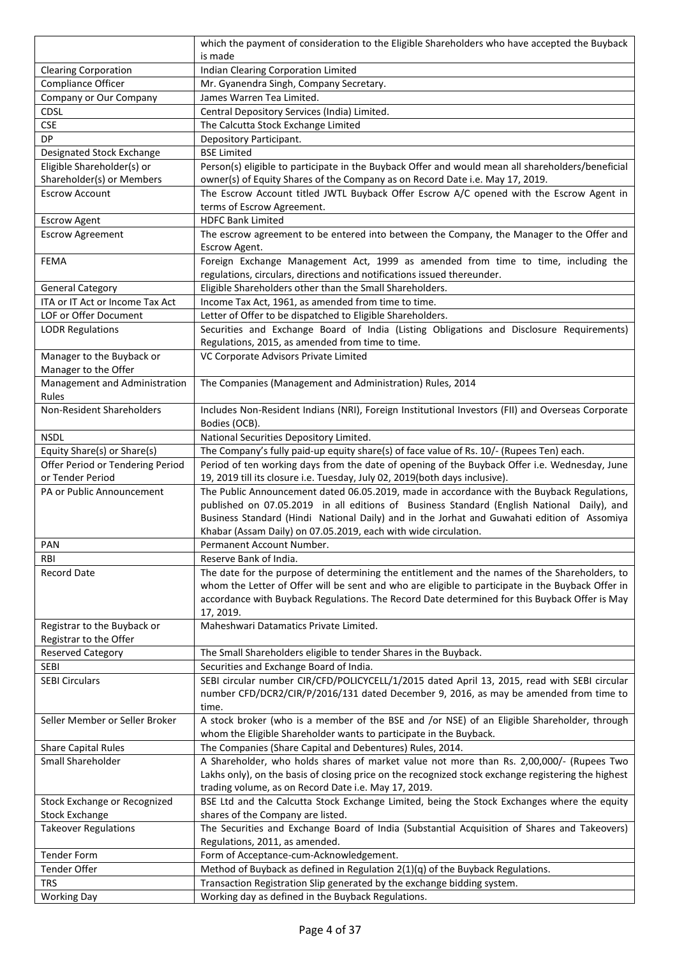|                                                         | which the payment of consideration to the Eligible Shareholders who have accepted the Buyback                                                                                                                                                                                                                    |  |
|---------------------------------------------------------|------------------------------------------------------------------------------------------------------------------------------------------------------------------------------------------------------------------------------------------------------------------------------------------------------------------|--|
|                                                         | is made                                                                                                                                                                                                                                                                                                          |  |
| <b>Clearing Corporation</b>                             | Indian Clearing Corporation Limited                                                                                                                                                                                                                                                                              |  |
| Compliance Officer                                      | Mr. Gyanendra Singh, Company Secretary.                                                                                                                                                                                                                                                                          |  |
| Company or Our Company                                  | James Warren Tea Limited.                                                                                                                                                                                                                                                                                        |  |
| <b>CDSL</b>                                             | Central Depository Services (India) Limited.                                                                                                                                                                                                                                                                     |  |
| <b>CSE</b>                                              | The Calcutta Stock Exchange Limited                                                                                                                                                                                                                                                                              |  |
| DP                                                      | Depository Participant.                                                                                                                                                                                                                                                                                          |  |
| Designated Stock Exchange                               | <b>BSE Limited</b>                                                                                                                                                                                                                                                                                               |  |
| Eligible Shareholder(s) or<br>Shareholder(s) or Members | Person(s) eligible to participate in the Buyback Offer and would mean all shareholders/beneficial<br>owner(s) of Equity Shares of the Company as on Record Date i.e. May 17, 2019.                                                                                                                               |  |
| <b>Escrow Account</b>                                   | The Escrow Account titled JWTL Buyback Offer Escrow A/C opened with the Escrow Agent in<br>terms of Escrow Agreement.                                                                                                                                                                                            |  |
| <b>Escrow Agent</b>                                     | <b>HDFC Bank Limited</b>                                                                                                                                                                                                                                                                                         |  |
| <b>Escrow Agreement</b>                                 | The escrow agreement to be entered into between the Company, the Manager to the Offer and<br>Escrow Agent.                                                                                                                                                                                                       |  |
| <b>FEMA</b>                                             | Foreign Exchange Management Act, 1999 as amended from time to time, including the<br>regulations, circulars, directions and notifications issued thereunder.                                                                                                                                                     |  |
| <b>General Category</b>                                 | Eligible Shareholders other than the Small Shareholders.                                                                                                                                                                                                                                                         |  |
| ITA or IT Act or Income Tax Act                         | Income Tax Act, 1961, as amended from time to time.                                                                                                                                                                                                                                                              |  |
| LOF or Offer Document                                   | Letter of Offer to be dispatched to Eligible Shareholders.                                                                                                                                                                                                                                                       |  |
| <b>LODR Regulations</b>                                 | Securities and Exchange Board of India (Listing Obligations and Disclosure Requirements)                                                                                                                                                                                                                         |  |
|                                                         | Regulations, 2015, as amended from time to time.                                                                                                                                                                                                                                                                 |  |
| Manager to the Buyback or                               | VC Corporate Advisors Private Limited                                                                                                                                                                                                                                                                            |  |
| Manager to the Offer                                    |                                                                                                                                                                                                                                                                                                                  |  |
| Management and Administration<br>Rules                  | The Companies (Management and Administration) Rules, 2014                                                                                                                                                                                                                                                        |  |
| Non-Resident Shareholders                               | Includes Non-Resident Indians (NRI), Foreign Institutional Investors (FII) and Overseas Corporate                                                                                                                                                                                                                |  |
|                                                         | Bodies (OCB).                                                                                                                                                                                                                                                                                                    |  |
| <b>NSDL</b>                                             | National Securities Depository Limited.                                                                                                                                                                                                                                                                          |  |
| Equity Share(s) or Share(s)                             | The Company's fully paid-up equity share(s) of face value of Rs. 10/- (Rupees Ten) each.                                                                                                                                                                                                                         |  |
| Offer Period or Tendering Period                        | Period of ten working days from the date of opening of the Buyback Offer i.e. Wednesday, June                                                                                                                                                                                                                    |  |
| or Tender Period<br>PA or Public Announcement           | 19, 2019 till its closure i.e. Tuesday, July 02, 2019(both days inclusive).<br>The Public Announcement dated 06.05.2019, made in accordance with the Buyback Regulations,                                                                                                                                        |  |
|                                                         | published on 07.05.2019 in all editions of Business Standard (English National Daily), and<br>Business Standard (Hindi National Daily) and in the Jorhat and Guwahati edition of Assomiya                                                                                                                        |  |
|                                                         | Khabar (Assam Daily) on 07.05.2019, each with wide circulation.                                                                                                                                                                                                                                                  |  |
| PAN                                                     | Permanent Account Number.                                                                                                                                                                                                                                                                                        |  |
| RBI                                                     | Reserve Bank of India.                                                                                                                                                                                                                                                                                           |  |
| Record Date                                             | The date for the purpose of determining the entitlement and the names of the Shareholders, to<br>whom the Letter of Offer will be sent and who are eligible to participate in the Buyback Offer in<br>accordance with Buyback Regulations. The Record Date determined for this Buyback Offer is May<br>17, 2019. |  |
| Registrar to the Buyback or<br>Registrar to the Offer   | Maheshwari Datamatics Private Limited.                                                                                                                                                                                                                                                                           |  |
| <b>Reserved Category</b>                                | The Small Shareholders eligible to tender Shares in the Buyback.                                                                                                                                                                                                                                                 |  |
| SEBI                                                    | Securities and Exchange Board of India.                                                                                                                                                                                                                                                                          |  |
| <b>SEBI Circulars</b>                                   | SEBI circular number CIR/CFD/POLICYCELL/1/2015 dated April 13, 2015, read with SEBI circular                                                                                                                                                                                                                     |  |
|                                                         | number CFD/DCR2/CIR/P/2016/131 dated December 9, 2016, as may be amended from time to<br>time.                                                                                                                                                                                                                   |  |
| Seller Member or Seller Broker                          | A stock broker (who is a member of the BSE and /or NSE) of an Eligible Shareholder, through<br>whom the Eligible Shareholder wants to participate in the Buyback.                                                                                                                                                |  |
| <b>Share Capital Rules</b>                              | The Companies (Share Capital and Debentures) Rules, 2014.                                                                                                                                                                                                                                                        |  |
| Small Shareholder                                       | A Shareholder, who holds shares of market value not more than Rs. 2,00,000/- (Rupees Two                                                                                                                                                                                                                         |  |
|                                                         | Lakhs only), on the basis of closing price on the recognized stock exchange registering the highest<br>trading volume, as on Record Date i.e. May 17, 2019.                                                                                                                                                      |  |
| Stock Exchange or Recognized                            | BSE Ltd and the Calcutta Stock Exchange Limited, being the Stock Exchanges where the equity                                                                                                                                                                                                                      |  |
| <b>Stock Exchange</b>                                   | shares of the Company are listed.                                                                                                                                                                                                                                                                                |  |
| <b>Takeover Regulations</b>                             | The Securities and Exchange Board of India (Substantial Acquisition of Shares and Takeovers)                                                                                                                                                                                                                     |  |
|                                                         | Regulations, 2011, as amended.                                                                                                                                                                                                                                                                                   |  |
| <b>Tender Form</b>                                      | Form of Acceptance-cum-Acknowledgement.                                                                                                                                                                                                                                                                          |  |
| <b>Tender Offer</b>                                     | Method of Buyback as defined in Regulation $2(1)(q)$ of the Buyback Regulations.                                                                                                                                                                                                                                 |  |
| <b>TRS</b>                                              |                                                                                                                                                                                                                                                                                                                  |  |
|                                                         | Transaction Registration Slip generated by the exchange bidding system.                                                                                                                                                                                                                                          |  |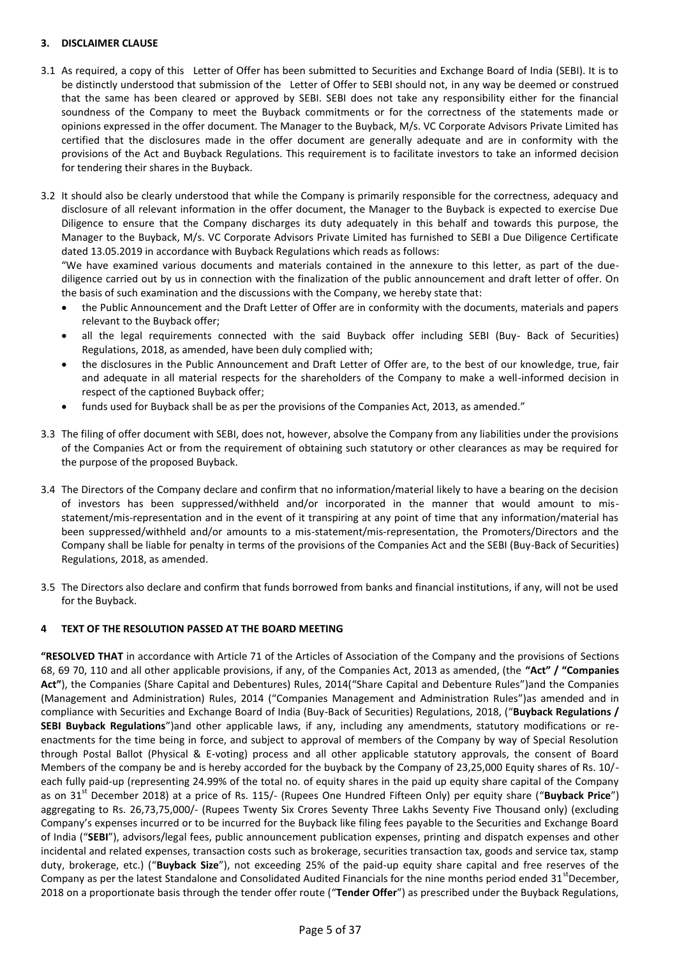## **3. DISCLAIMER CLAUSE**

- 3.1 As required, a copy of this Letter of Offer has been submitted to Securities and Exchange Board of India (SEBI). It is to be distinctly understood that submission of the Letter of Offer to SEBI should not, in any way be deemed or construed that the same has been cleared or approved by SEBI. SEBI does not take any responsibility either for the financial soundness of the Company to meet the Buyback commitments or for the correctness of the statements made or opinions expressed in the offer document. The Manager to the Buyback, M/s. VC Corporate Advisors Private Limited has certified that the disclosures made in the offer document are generally adequate and are in conformity with the provisions of the Act and Buyback Regulations. This requirement is to facilitate investors to take an informed decision for tendering their shares in the Buyback.
- 3.2 It should also be clearly understood that while the Company is primarily responsible for the correctness, adequacy and disclosure of all relevant information in the offer document, the Manager to the Buyback is expected to exercise Due Diligence to ensure that the Company discharges its duty adequately in this behalf and towards this purpose, the Manager to the Buyback, M/s. VC Corporate Advisors Private Limited has furnished to SEBI a Due Diligence Certificate dated 13.05.2019 in accordance with Buyback Regulations which reads as follows:

"We have examined various documents and materials contained in the annexure to this letter, as part of the duediligence carried out by us in connection with the finalization of the public announcement and draft letter of offer. On the basis of such examination and the discussions with the Company, we hereby state that:

- the Public Announcement and the Draft Letter of Offer are in conformity with the documents, materials and papers relevant to the Buyback offer;
- all the legal requirements connected with the said Buyback offer including SEBI (Buy- Back of Securities) Regulations, 2018, as amended, have been duly complied with;
- the disclosures in the Public Announcement and Draft Letter of Offer are, to the best of our knowledge, true, fair and adequate in all material respects for the shareholders of the Company to make a well-informed decision in respect of the captioned Buyback offer;
- funds used for Buyback shall be as per the provisions of the Companies Act, 2013, as amended."
- 3.3 The filing of offer document with SEBI, does not, however, absolve the Company from any liabilities under the provisions of the Companies Act or from the requirement of obtaining such statutory or other clearances as may be required for the purpose of the proposed Buyback.
- 3.4 The Directors of the Company declare and confirm that no information/material likely to have a bearing on the decision of investors has been suppressed/withheld and/or incorporated in the manner that would amount to misstatement/mis-representation and in the event of it transpiring at any point of time that any information/material has been suppressed/withheld and/or amounts to a mis-statement/mis-representation, the Promoters/Directors and the Company shall be liable for penalty in terms of the provisions of the Companies Act and the SEBI (Buy-Back of Securities) Regulations, 2018, as amended.
- 3.5 The Directors also declare and confirm that funds borrowed from banks and financial institutions, if any, will not be used for the Buyback.

### **4 TEXT OF THE RESOLUTION PASSED AT THE BOARD MEETING**

**"RESOLVED THAT** in accordance with Article 71 of the Articles of Association of the Company and the provisions of Sections 68, 69 70, 110 and all other applicable provisions, if any, of the Companies Act, 2013 as amended, (the **"Act" / "Companies Act"**), the Companies (Share Capital and Debentures) Rules, 2014("Share Capital and Debenture Rules")and the Companies (Management and Administration) Rules, 2014 ("Companies Management and Administration Rules")as amended and in compliance with Securities and Exchange Board of India (Buy-Back of Securities) Regulations, 2018, ("**Buyback Regulations / SEBI Buyback Regulations**")and other applicable laws, if any, including any amendments, statutory modifications or reenactments for the time being in force, and subject to approval of members of the Company by way of Special Resolution through Postal Ballot (Physical & E-voting) process and all other applicable statutory approvals, the consent of Board Members of the company be and is hereby accorded for the buyback by the Company of 23,25,000 Equity shares of Rs. 10/ each fully paid-up (representing 24.99% of the total no. of equity shares in the paid up equity share capital of the Company as on 31<sup>st</sup> December 2018) at a price of Rs. 115/- (Rupees One Hundred Fifteen Only) per equity share ("**Buyback Price**") aggregating to Rs. 26,73,75,000/- (Rupees Twenty Six Crores Seventy Three Lakhs Seventy Five Thousand only) (excluding Company's expenses incurred or to be incurred for the Buyback like filing fees payable to the Securities and Exchange Board of India ("**SEBI**"), advisors/legal fees, public announcement publication expenses, printing and dispatch expenses and other incidental and related expenses, transaction costs such as brokerage, securities transaction tax, goods and service tax, stamp duty, brokerage, etc.) ("**Buyback Size**"), not exceeding 25% of the paid-up equity share capital and free reserves of the Company as per the latest Standalone and Consolidated Audited Financials for the nine months period ended  $31<sup>st</sup>$ December, 2018 on a proportionate basis through the tender offer route ("**Tender Offer**") as prescribed under the Buyback Regulations,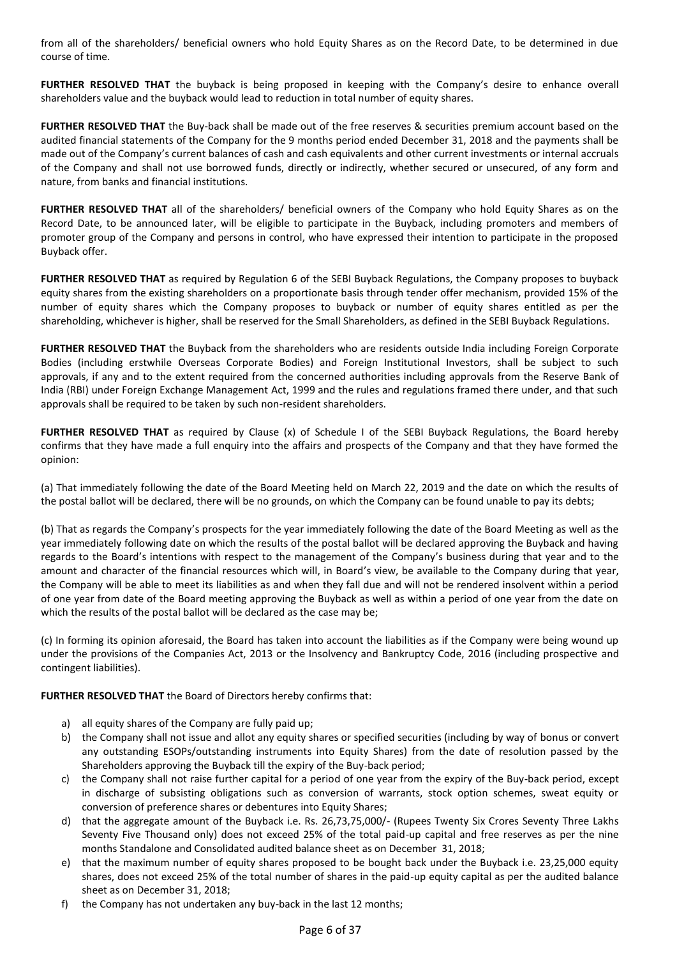from all of the shareholders/ beneficial owners who hold Equity Shares as on the Record Date, to be determined in due course of time.

**FURTHER RESOLVED THAT** the buyback is being proposed in keeping with the Company's desire to enhance overall shareholders value and the buyback would lead to reduction in total number of equity shares.

**FURTHER RESOLVED THAT** the Buy-back shall be made out of the free reserves & securities premium account based on the audited financial statements of the Company for the 9 months period ended December 31, 2018 and the payments shall be made out of the Company's current balances of cash and cash equivalents and other current investments or internal accruals of the Company and shall not use borrowed funds, directly or indirectly, whether secured or unsecured, of any form and nature, from banks and financial institutions.

**FURTHER RESOLVED THAT** all of the shareholders/ beneficial owners of the Company who hold Equity Shares as on the Record Date, to be announced later, will be eligible to participate in the Buyback, including promoters and members of promoter group of the Company and persons in control, who have expressed their intention to participate in the proposed Buyback offer.

**FURTHER RESOLVED THAT** as required by Regulation 6 of the SEBI Buyback Regulations, the Company proposes to buyback equity shares from the existing shareholders on a proportionate basis through tender offer mechanism, provided 15% of the number of equity shares which the Company proposes to buyback or number of equity shares entitled as per the shareholding, whichever is higher, shall be reserved for the Small Shareholders, as defined in the SEBI Buyback Regulations.

**FURTHER RESOLVED THAT** the Buyback from the shareholders who are residents outside India including Foreign Corporate Bodies (including erstwhile Overseas Corporate Bodies) and Foreign Institutional Investors, shall be subject to such approvals, if any and to the extent required from the concerned authorities including approvals from the Reserve Bank of India (RBI) under Foreign Exchange Management Act, 1999 and the rules and regulations framed there under, and that such approvals shall be required to be taken by such non-resident shareholders.

**FURTHER RESOLVED THAT** as required by Clause (x) of Schedule I of the SEBI Buyback Regulations, the Board hereby confirms that they have made a full enquiry into the affairs and prospects of the Company and that they have formed the opinion:

(a) That immediately following the date of the Board Meeting held on March 22, 2019 and the date on which the results of the postal ballot will be declared, there will be no grounds, on which the Company can be found unable to pay its debts;

(b) That as regards the Company's prospects for the year immediately following the date of the Board Meeting as well as the year immediately following date on which the results of the postal ballot will be declared approving the Buyback and having regards to the Board's intentions with respect to the management of the Company's business during that year and to the amount and character of the financial resources which will, in Board's view, be available to the Company during that year, the Company will be able to meet its liabilities as and when they fall due and will not be rendered insolvent within a period of one year from date of the Board meeting approving the Buyback as well as within a period of one year from the date on which the results of the postal ballot will be declared as the case may be;

(c) In forming its opinion aforesaid, the Board has taken into account the liabilities as if the Company were being wound up under the provisions of the Companies Act, 2013 or the Insolvency and Bankruptcy Code, 2016 (including prospective and contingent liabilities).

**FURTHER RESOLVED THAT** the Board of Directors hereby confirms that:

- a) all equity shares of the Company are fully paid up;
- b) the Company shall not issue and allot any equity shares or specified securities (including by way of bonus or convert any outstanding ESOPs/outstanding instruments into Equity Shares) from the date of resolution passed by the Shareholders approving the Buyback till the expiry of the Buy-back period;
- c) the Company shall not raise further capital for a period of one year from the expiry of the Buy-back period, except in discharge of subsisting obligations such as conversion of warrants, stock option schemes, sweat equity or conversion of preference shares or debentures into Equity Shares;
- d) that the aggregate amount of the Buyback i.e. Rs. 26,73,75,000/- (Rupees Twenty Six Crores Seventy Three Lakhs Seventy Five Thousand only) does not exceed 25% of the total paid-up capital and free reserves as per the nine months Standalone and Consolidated audited balance sheet as on December 31, 2018;
- e) that the maximum number of equity shares proposed to be bought back under the Buyback i.e. 23,25,000 equity shares, does not exceed 25% of the total number of shares in the paid-up equity capital as per the audited balance sheet as on December 31, 2018;
- f) the Company has not undertaken any buy-back in the last 12 months;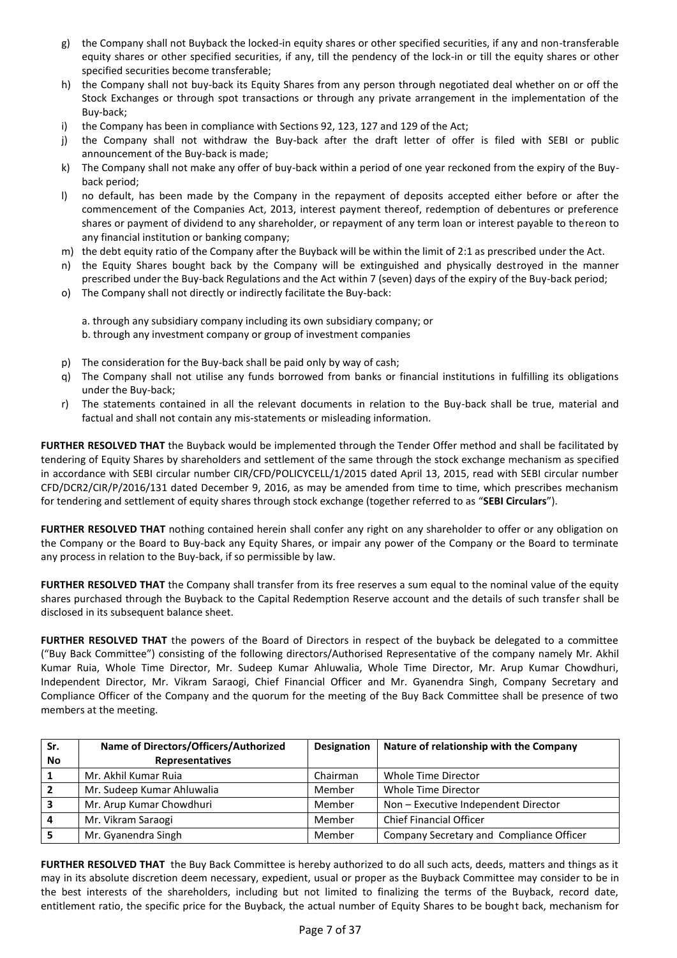- g) the Company shall not Buyback the locked-in equity shares or other specified securities, if any and non-transferable equity shares or other specified securities, if any, till the pendency of the lock-in or till the equity shares or other specified securities become transferable;
- h) the Company shall not buy-back its Equity Shares from any person through negotiated deal whether on or off the Stock Exchanges or through spot transactions or through any private arrangement in the implementation of the Buy-back;
- i) the Company has been in compliance with Sections 92, 123, 127 and 129 of the Act;
- j) the Company shall not withdraw the Buy-back after the draft letter of offer is filed with SEBI or public announcement of the Buy-back is made;
- k) The Company shall not make any offer of buy-back within a period of one year reckoned from the expiry of the Buyback period;
- l) no default, has been made by the Company in the repayment of deposits accepted either before or after the commencement of the Companies Act, 2013, interest payment thereof, redemption of debentures or preference shares or payment of dividend to any shareholder, or repayment of any term loan or interest payable to thereon to any financial institution or banking company;
- m) the debt equity ratio of the Company after the Buyback will be within the limit of 2:1 as prescribed under the Act.
- n) the Equity Shares bought back by the Company will be extinguished and physically destroyed in the manner prescribed under the Buy-back Regulations and the Act within 7 (seven) days of the expiry of the Buy-back period;
- o) The Company shall not directly or indirectly facilitate the Buy-back:
	- a. through any subsidiary company including its own subsidiary company; or b. through any investment company or group of investment companies
- p) The consideration for the Buy-back shall be paid only by way of cash;
- q) The Company shall not utilise any funds borrowed from banks or financial institutions in fulfilling its obligations under the Buy-back;
- r) The statements contained in all the relevant documents in relation to the Buy-back shall be true, material and factual and shall not contain any mis-statements or misleading information.

**FURTHER RESOLVED THAT** the Buyback would be implemented through the Tender Offer method and shall be facilitated by tendering of Equity Shares by shareholders and settlement of the same through the stock exchange mechanism as specified in accordance with SEBI circular number CIR/CFD/POLICYCELL/1/2015 dated April 13, 2015, read with SEBI circular number CFD/DCR2/CIR/P/2016/131 dated December 9, 2016, as may be amended from time to time, which prescribes mechanism for tendering and settlement of equity shares through stock exchange (together referred to as "**SEBI Circulars**").

**FURTHER RESOLVED THAT** nothing contained herein shall confer any right on any shareholder to offer or any obligation on the Company or the Board to Buy-back any Equity Shares, or impair any power of the Company or the Board to terminate any process in relation to the Buy-back, if so permissible by law.

**FURTHER RESOLVED THAT** the Company shall transfer from its free reserves a sum equal to the nominal value of the equity shares purchased through the Buyback to the Capital Redemption Reserve account and the details of such transfer shall be disclosed in its subsequent balance sheet.

**FURTHER RESOLVED THAT** the powers of the Board of Directors in respect of the buyback be delegated to a committee ("Buy Back Committee") consisting of the following directors/Authorised Representative of the company namely Mr. Akhil Kumar Ruia, Whole Time Director, Mr. Sudeep Kumar Ahluwalia, Whole Time Director, Mr. Arup Kumar Chowdhuri, Independent Director, Mr. Vikram Saraogi, Chief Financial Officer and Mr. Gyanendra Singh, Company Secretary and Compliance Officer of the Company and the quorum for the meeting of the Buy Back Committee shall be presence of two members at the meeting.

| Sr. | Name of Directors/Officers/Authorized | Designation | Nature of relationship with the Company  |
|-----|---------------------------------------|-------------|------------------------------------------|
| No  | <b>Representatives</b>                |             |                                          |
|     | Mr. Akhil Kumar Ruja                  | Chairman    | Whole Time Director                      |
|     | Mr. Sudeep Kumar Ahluwalia            | Member      | Whole Time Director                      |
|     | Mr. Arup Kumar Chowdhuri              | Member      | Non - Executive Independent Director     |
|     | Mr. Vikram Saraogi                    | Member      | <b>Chief Financial Officer</b>           |
|     | Mr. Gyanendra Singh                   | Member      | Company Secretary and Compliance Officer |

**FURTHER RESOLVED THAT** the Buy Back Committee is hereby authorized to do all such acts, deeds, matters and things as it may in its absolute discretion deem necessary, expedient, usual or proper as the Buyback Committee may consider to be in the best interests of the shareholders, including but not limited to finalizing the terms of the Buyback, record date, entitlement ratio, the specific price for the Buyback, the actual number of Equity Shares to be bought back, mechanism for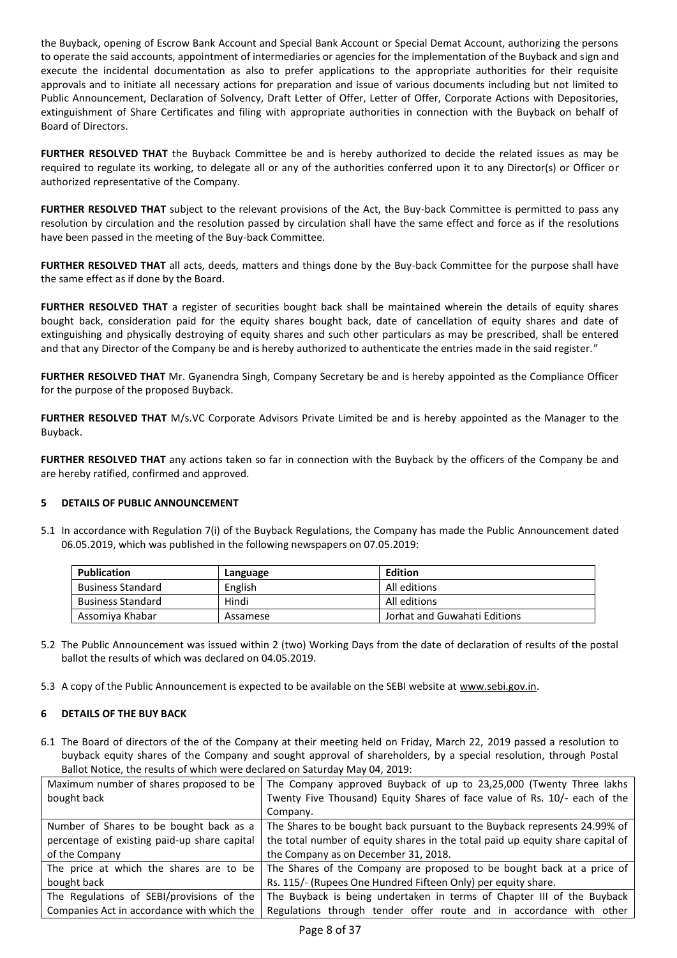the Buyback, opening of Escrow Bank Account and Special Bank Account or Special Demat Account, authorizing the persons to operate the said accounts, appointment of intermediaries or agencies for the implementation of the Buyback and sign and execute the incidental documentation as also to prefer applications to the appropriate authorities for their requisite approvals and to initiate all necessary actions for preparation and issue of various documents including but not limited to Public Announcement, Declaration of Solvency, Draft Letter of Offer, Letter of Offer, Corporate Actions with Depositories, extinguishment of Share Certificates and filing with appropriate authorities in connection with the Buyback on behalf of Board of Directors.

**FURTHER RESOLVED THAT** the Buyback Committee be and is hereby authorized to decide the related issues as may be required to regulate its working, to delegate all or any of the authorities conferred upon it to any Director(s) or Officer or authorized representative of the Company.

**FURTHER RESOLVED THAT** subject to the relevant provisions of the Act, the Buy-back Committee is permitted to pass any resolution by circulation and the resolution passed by circulation shall have the same effect and force as if the resolutions have been passed in the meeting of the Buy-back Committee.

**FURTHER RESOLVED THAT** all acts, deeds, matters and things done by the Buy-back Committee for the purpose shall have the same effect as if done by the Board.

**FURTHER RESOLVED THAT** a register of securities bought back shall be maintained wherein the details of equity shares bought back, consideration paid for the equity shares bought back, date of cancellation of equity shares and date of extinguishing and physically destroying of equity shares and such other particulars as may be prescribed, shall be entered and that any Director of the Company be and is hereby authorized to authenticate the entries made in the said register."

**FURTHER RESOLVED THAT** Mr. Gyanendra Singh, Company Secretary be and is hereby appointed as the Compliance Officer for the purpose of the proposed Buyback.

**FURTHER RESOLVED THAT** M/s.VC Corporate Advisors Private Limited be and is hereby appointed as the Manager to the Buyback.

**FURTHER RESOLVED THAT** any actions taken so far in connection with the Buyback by the officers of the Company be and are hereby ratified, confirmed and approved.

### **5 DETAILS OF PUBLIC ANNOUNCEMENT**

5.1 In accordance with Regulation 7(i) of the Buyback Regulations, the Company has made the Public Announcement dated 06.05.2019, which was published in the following newspapers on 07.05.2019:

| <b>Publication</b>       | Language | Edition                      |
|--------------------------|----------|------------------------------|
| <b>Business Standard</b> | English  | All editions                 |
| Business Standard        | Hindi    | All editions                 |
| Assomiya Khabar          | Assamese | Jorhat and Guwahati Editions |

- 5.2 The Public Announcement was issued within 2 (two) Working Days from the date of declaration of results of the postal ballot the results of which was declared on 04.05.2019.
- 5.3 A copy of the Public Announcement is expected to be available on the SEBI website at [www.sebi.gov.in.](http://www.sebi.gov.in/)

# **6 DETAILS OF THE BUY BACK**

6.1 The Board of directors of the of the Company at their meeting held on Friday, March 22, 2019 passed a resolution to buyback equity shares of the Company and sought approval of shareholders, by a special resolution, through Postal Ballot Notice, the results of which were declared on Saturday May 04, 2019:

| Maximum number of shares proposed to be      | The Company approved Buyback of up to 23,25,000 (Twenty Three lakhs            |
|----------------------------------------------|--------------------------------------------------------------------------------|
| bought back                                  | Twenty Five Thousand) Equity Shares of face value of Rs. 10/- each of the      |
|                                              | Company.                                                                       |
| Number of Shares to be bought back as a      | The Shares to be bought back pursuant to the Buyback represents 24.99% of      |
| percentage of existing paid-up share capital | the total number of equity shares in the total paid up equity share capital of |
| of the Company                               | the Company as on December 31, 2018.                                           |
| The price at which the shares are to be      | The Shares of the Company are proposed to be bought back at a price of         |
| bought back                                  | Rs. 115/- (Rupees One Hundred Fifteen Only) per equity share.                  |
| The Regulations of SEBI/provisions of the    | The Buyback is being undertaken in terms of Chapter III of the Buyback         |
| Companies Act in accordance with which the   | Regulations through tender offer route and in accordance with other            |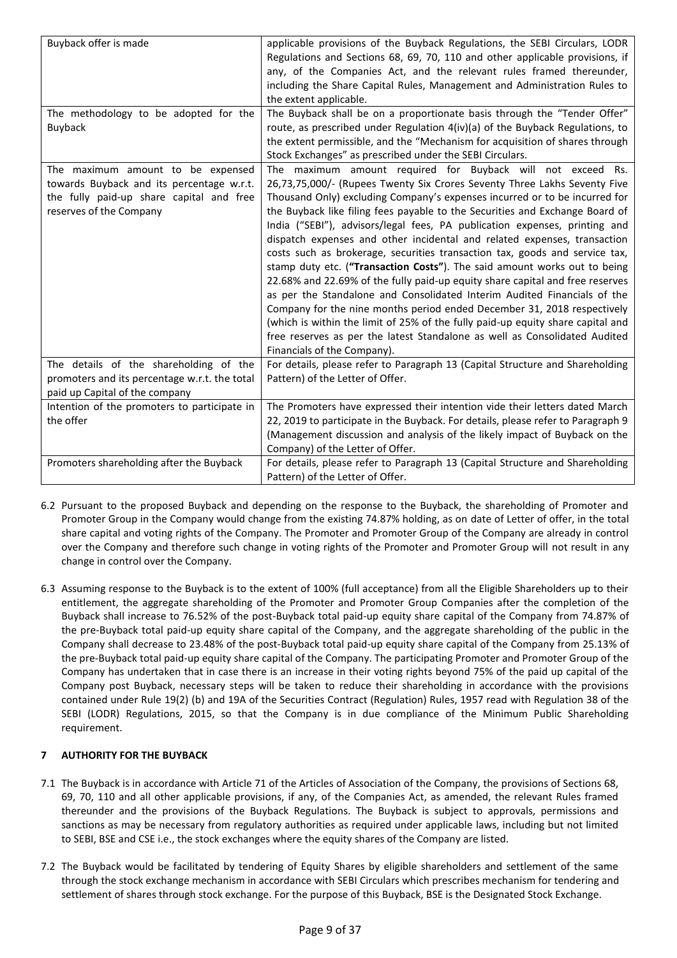| Buyback offer is made                                                                                                                                 | applicable provisions of the Buyback Regulations, the SEBI Circulars, LODR<br>Regulations and Sections 68, 69, 70, 110 and other applicable provisions, if                                                                                                                                             |  |  |
|-------------------------------------------------------------------------------------------------------------------------------------------------------|--------------------------------------------------------------------------------------------------------------------------------------------------------------------------------------------------------------------------------------------------------------------------------------------------------|--|--|
|                                                                                                                                                       | any, of the Companies Act, and the relevant rules framed thereunder,                                                                                                                                                                                                                                   |  |  |
|                                                                                                                                                       | including the Share Capital Rules, Management and Administration Rules to                                                                                                                                                                                                                              |  |  |
|                                                                                                                                                       | the extent applicable.                                                                                                                                                                                                                                                                                 |  |  |
| The methodology to be adopted for the                                                                                                                 | The Buyback shall be on a proportionate basis through the "Tender Offer"                                                                                                                                                                                                                               |  |  |
| Buyback                                                                                                                                               | route, as prescribed under Regulation 4(iv)(a) of the Buyback Regulations, to                                                                                                                                                                                                                          |  |  |
|                                                                                                                                                       | the extent permissible, and the "Mechanism for acquisition of shares through                                                                                                                                                                                                                           |  |  |
|                                                                                                                                                       | Stock Exchanges" as prescribed under the SEBI Circulars.                                                                                                                                                                                                                                               |  |  |
| The maximum amount to be expensed<br>towards Buyback and its percentage w.r.t.<br>the fully paid-up share capital and free<br>reserves of the Company | The maximum amount required for Buyback will not exceed Rs.<br>26,73,75,000/- (Rupees Twenty Six Crores Seventy Three Lakhs Seventy Five<br>Thousand Only) excluding Company's expenses incurred or to be incurred for<br>the Buyback like filing fees payable to the Securities and Exchange Board of |  |  |
|                                                                                                                                                       | India ("SEBI"), advisors/legal fees, PA publication expenses, printing and                                                                                                                                                                                                                             |  |  |
|                                                                                                                                                       | dispatch expenses and other incidental and related expenses, transaction                                                                                                                                                                                                                               |  |  |
|                                                                                                                                                       | costs such as brokerage, securities transaction tax, goods and service tax,                                                                                                                                                                                                                            |  |  |
|                                                                                                                                                       | stamp duty etc. ("Transaction Costs"). The said amount works out to being                                                                                                                                                                                                                              |  |  |
|                                                                                                                                                       | 22.68% and 22.69% of the fully paid-up equity share capital and free reserves                                                                                                                                                                                                                          |  |  |
|                                                                                                                                                       | as per the Standalone and Consolidated Interim Audited Financials of the                                                                                                                                                                                                                               |  |  |
|                                                                                                                                                       | Company for the nine months period ended December 31, 2018 respectively                                                                                                                                                                                                                                |  |  |
|                                                                                                                                                       | (which is within the limit of 25% of the fully paid-up equity share capital and                                                                                                                                                                                                                        |  |  |
|                                                                                                                                                       | free reserves as per the latest Standalone as well as Consolidated Audited                                                                                                                                                                                                                             |  |  |
|                                                                                                                                                       | Financials of the Company).                                                                                                                                                                                                                                                                            |  |  |
| The details of the shareholding of the                                                                                                                | For details, please refer to Paragraph 13 (Capital Structure and Shareholding                                                                                                                                                                                                                          |  |  |
| promoters and its percentage w.r.t. the total                                                                                                         | Pattern) of the Letter of Offer.                                                                                                                                                                                                                                                                       |  |  |
| paid up Capital of the company                                                                                                                        |                                                                                                                                                                                                                                                                                                        |  |  |
| Intention of the promoters to participate in                                                                                                          | The Promoters have expressed their intention vide their letters dated March                                                                                                                                                                                                                            |  |  |
| the offer                                                                                                                                             | 22, 2019 to participate in the Buyback. For details, please refer to Paragraph 9                                                                                                                                                                                                                       |  |  |
|                                                                                                                                                       | (Management discussion and analysis of the likely impact of Buyback on the                                                                                                                                                                                                                             |  |  |
|                                                                                                                                                       | Company) of the Letter of Offer.                                                                                                                                                                                                                                                                       |  |  |
| Promoters shareholding after the Buyback                                                                                                              | For details, please refer to Paragraph 13 (Capital Structure and Shareholding                                                                                                                                                                                                                          |  |  |
|                                                                                                                                                       | Pattern) of the Letter of Offer.                                                                                                                                                                                                                                                                       |  |  |

- 6.2 Pursuant to the proposed Buyback and depending on the response to the Buyback, the shareholding of Promoter and Promoter Group in the Company would change from the existing 74.87% holding, as on date of Letter of offer, in the total share capital and voting rights of the Company. The Promoter and Promoter Group of the Company are already in control over the Company and therefore such change in voting rights of the Promoter and Promoter Group will not result in any change in control over the Company.
- 6.3 Assuming response to the Buyback is to the extent of 100% (full acceptance) from all the Eligible Shareholders up to their entitlement, the aggregate shareholding of the Promoter and Promoter Group Companies after the completion of the Buyback shall increase to 76.52% of the post-Buyback total paid-up equity share capital of the Company from 74.87% of the pre-Buyback total paid-up equity share capital of the Company, and the aggregate shareholding of the public in the Company shall decrease to 23.48% of the post-Buyback total paid-up equity share capital of the Company from 25.13% of the pre-Buyback total paid-up equity share capital of the Company. The participating Promoter and Promoter Group of the Company has undertaken that in case there is an increase in their voting rights beyond 75% of the paid up capital of the Company post Buyback, necessary steps will be taken to reduce their shareholding in accordance with the provisions contained under Rule 19(2) (b) and 19A of the Securities Contract (Regulation) Rules, 1957 read with Regulation 38 of the SEBI (LODR) Regulations, 2015, so that the Company is in due compliance of the Minimum Public Shareholding requirement.

# **7 AUTHORITY FOR THE BUYBACK**

- 7.1 The Buyback is in accordance with Article 71 of the Articles of Association of the Company, the provisions of Sections 68, 69, 70, 110 and all other applicable provisions, if any, of the Companies Act, as amended, the relevant Rules framed thereunder and the provisions of the Buyback Regulations. The Buyback is subject to approvals, permissions and sanctions as may be necessary from regulatory authorities as required under applicable laws, including but not limited to SEBI, BSE and CSE i.e., the stock exchanges where the equity shares of the Company are listed.
- 7.2 The Buyback would be facilitated by tendering of Equity Shares by eligible shareholders and settlement of the same through the stock exchange mechanism in accordance with SEBI Circulars which prescribes mechanism for tendering and settlement of shares through stock exchange. For the purpose of this Buyback, BSE is the Designated Stock Exchange.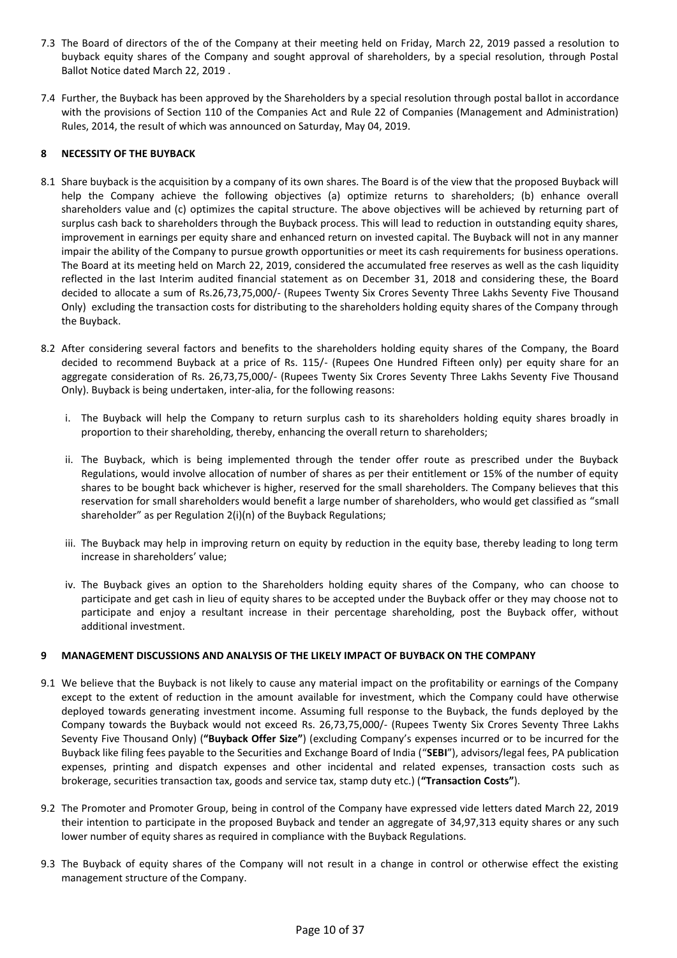- 7.3 The Board of directors of the of the Company at their meeting held on Friday, March 22, 2019 passed a resolution to buyback equity shares of the Company and sought approval of shareholders, by a special resolution, through Postal Ballot Notice dated March 22, 2019 .
- 7.4 Further, the Buyback has been approved by the Shareholders by a special resolution through postal ballot in accordance with the provisions of Section 110 of the Companies Act and Rule 22 of Companies (Management and Administration) Rules, 2014, the result of which was announced on Saturday, May 04, 2019.

## **8 NECESSITY OF THE BUYBACK**

- 8.1 Share buyback is the acquisition by a company of its own shares. The Board is of the view that the proposed Buyback will help the Company achieve the following objectives (a) optimize returns to shareholders; (b) enhance overall shareholders value and (c) optimizes the capital structure. The above objectives will be achieved by returning part of surplus cash back to shareholders through the Buyback process. This will lead to reduction in outstanding equity shares, improvement in earnings per equity share and enhanced return on invested capital. The Buyback will not in any manner impair the ability of the Company to pursue growth opportunities or meet its cash requirements for business operations. The Board at its meeting held on March 22, 2019, considered the accumulated free reserves as well as the cash liquidity reflected in the last Interim audited financial statement as on December 31, 2018 and considering these, the Board decided to allocate a sum of Rs.26,73,75,000/- (Rupees Twenty Six Crores Seventy Three Lakhs Seventy Five Thousand Only) excluding the transaction costs for distributing to the shareholders holding equity shares of the Company through the Buyback.
- 8.2 After considering several factors and benefits to the shareholders holding equity shares of the Company, the Board decided to recommend Buyback at a price of Rs. 115/- (Rupees One Hundred Fifteen only) per equity share for an aggregate consideration of Rs. 26,73,75,000/- (Rupees Twenty Six Crores Seventy Three Lakhs Seventy Five Thousand Only). Buyback is being undertaken, inter-alia, for the following reasons:
	- i. The Buyback will help the Company to return surplus cash to its shareholders holding equity shares broadly in proportion to their shareholding, thereby, enhancing the overall return to shareholders;
	- ii. The Buyback, which is being implemented through the tender offer route as prescribed under the Buyback Regulations, would involve allocation of number of shares as per their entitlement or 15% of the number of equity shares to be bought back whichever is higher, reserved for the small shareholders. The Company believes that this reservation for small shareholders would benefit a large number of shareholders, who would get classified as "small shareholder" as per Regulation 2(i)(n) of the Buyback Regulations;
	- iii. The Buyback may help in improving return on equity by reduction in the equity base, thereby leading to long term increase in shareholders' value;
	- iv. The Buyback gives an option to the Shareholders holding equity shares of the Company, who can choose to participate and get cash in lieu of equity shares to be accepted under the Buyback offer or they may choose not to participate and enjoy a resultant increase in their percentage shareholding, post the Buyback offer, without additional investment.

### **9 MANAGEMENT DISCUSSIONS AND ANALYSIS OF THE LIKELY IMPACT OF BUYBACK ON THE COMPANY**

- 9.1 We believe that the Buyback is not likely to cause any material impact on the profitability or earnings of the Company except to the extent of reduction in the amount available for investment, which the Company could have otherwise deployed towards generating investment income. Assuming full response to the Buyback, the funds deployed by the Company towards the Buyback would not exceed Rs. 26,73,75,000/- (Rupees Twenty Six Crores Seventy Three Lakhs Seventy Five Thousand Only) (**"Buyback Offer Size"**) (excluding Company's expenses incurred or to be incurred for the Buyback like filing fees payable to the Securities and Exchange Board of India ("**SEBI**"), advisors/legal fees, PA publication expenses, printing and dispatch expenses and other incidental and related expenses, transaction costs such as brokerage, securities transaction tax, goods and service tax, stamp duty etc.) (**"Transaction Costs"**).
- 9.2 The Promoter and Promoter Group, being in control of the Company have expressed vide letters dated March 22, 2019 their intention to participate in the proposed Buyback and tender an aggregate of 34,97,313 equity shares or any such lower number of equity shares as required in compliance with the Buyback Regulations.
- 9.3 The Buyback of equity shares of the Company will not result in a change in control or otherwise effect the existing management structure of the Company.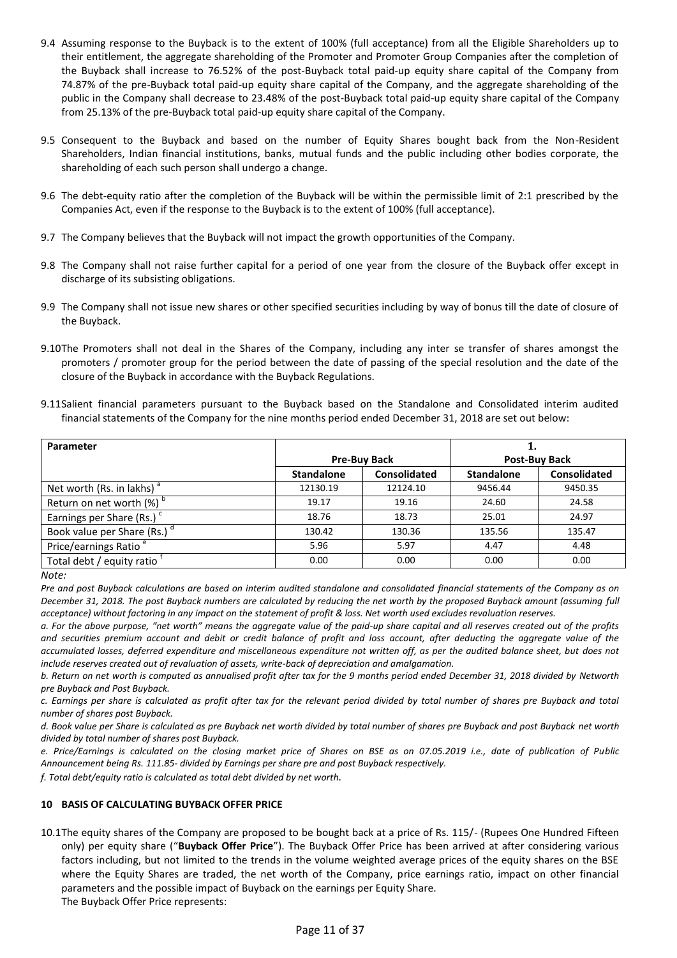- 9.4 Assuming response to the Buyback is to the extent of 100% (full acceptance) from all the Eligible Shareholders up to their entitlement, the aggregate shareholding of the Promoter and Promoter Group Companies after the completion of the Buyback shall increase to 76.52% of the post-Buyback total paid-up equity share capital of the Company from 74.87% of the pre-Buyback total paid-up equity share capital of the Company, and the aggregate shareholding of the public in the Company shall decrease to 23.48% of the post-Buyback total paid-up equity share capital of the Company from 25.13% of the pre-Buyback total paid-up equity share capital of the Company.
- 9.5 Consequent to the Buyback and based on the number of Equity Shares bought back from the Non-Resident Shareholders, Indian financial institutions, banks, mutual funds and the public including other bodies corporate, the shareholding of each such person shall undergo a change.
- 9.6 The debt-equity ratio after the completion of the Buyback will be within the permissible limit of 2:1 prescribed by the Companies Act, even if the response to the Buyback is to the extent of 100% (full acceptance).
- 9.7 The Company believes that the Buyback will not impact the growth opportunities of the Company.
- 9.8 The Company shall not raise further capital for a period of one year from the closure of the Buyback offer except in discharge of its subsisting obligations.
- 9.9 The Company shall not issue new shares or other specified securities including by way of bonus till the date of closure of the Buyback.
- 9.10The Promoters shall not deal in the Shares of the Company, including any inter se transfer of shares amongst the promoters / promoter group for the period between the date of passing of the special resolution and the date of the closure of the Buyback in accordance with the Buyback Regulations.
- 9.11Salient financial parameters pursuant to the Buyback based on the Standalone and Consolidated interim audited financial statements of the Company for the nine months period ended December 31, 2018 are set out below:

| Parameter                               |                     |                     |                      |                     |
|-----------------------------------------|---------------------|---------------------|----------------------|---------------------|
|                                         | <b>Pre-Buy Back</b> |                     | <b>Post-Buy Back</b> |                     |
|                                         | <b>Standalone</b>   | <b>Consolidated</b> | <b>Standalone</b>    | <b>Consolidated</b> |
| Net worth (Rs. in lakhs) $a$            | 12130.19            | 12124.10            | 9456.44              | 9450.35             |
| Return on net worth $(\%)$ <sup>b</sup> | 19.17               | 19.16               | 24.60                | 24.58               |
| Earnings per Share (Rs.) <sup>c</sup>   | 18.76               | 18.73               | 25.01                | 24.97               |
| Book value per Share (Rs.) <sup>d</sup> | 130.42              | 130.36              | 135.56               | 135.47              |
| Price/earnings Ratio <sup>e</sup>       | 5.96                | 5.97                | 4.47                 | 4.48                |
| Total debt / equity ratio               | 0.00                | 0.00                | 0.00                 | 0.00                |

*Note:* 

*Pre and post Buyback calculations are based on interim audited standalone and consolidated financial statements of the Company as on December 31, 2018. The post Buyback numbers are calculated by reducing the net worth by the proposed Buyback amount (assuming full acceptance) without factoring in any impact on the statement of profit & loss. Net worth used excludes revaluation reserves.* 

*a. For the above purpose, "net worth" means the aggregate value of the paid-up share capital and all reserves created out of the profits and securities premium account and debit or credit balance of profit and loss account, after deducting the aggregate value of the accumulated losses, deferred expenditure and miscellaneous expenditure not written off, as per the audited balance sheet, but does not include reserves created out of revaluation of assets, write-back of depreciation and amalgamation.* 

*b. Return on net worth is computed as annualised profit after tax for the 9 months period ended December 31, 2018 divided by Networth pre Buyback and Post Buyback.* 

*c. Earnings per share is calculated as profit after tax for the relevant period divided by total number of shares pre Buyback and total number of shares post Buyback.* 

*d. Book value per Share is calculated as pre Buyback net worth divided by total number of shares pre Buyback and post Buyback net worth divided by total number of shares post Buyback.* 

*e. Price/Earnings is calculated on the closing market price of Shares on BSE as on 07.05.2019 i.e., date of publication of Public Announcement being Rs. 111.85- divided by Earnings per share pre and post Buyback respectively.* 

*f. Total debt/equity ratio is calculated as total debt divided by net worth.* 

### **10 BASIS OF CALCULATING BUYBACK OFFER PRICE**

10.1The equity shares of the Company are proposed to be bought back at a price of Rs. 115/- (Rupees One Hundred Fifteen only) per equity share ("**Buyback Offer Price**"). The Buyback Offer Price has been arrived at after considering various factors including, but not limited to the trends in the volume weighted average prices of the equity shares on the BSE where the Equity Shares are traded, the net worth of the Company, price earnings ratio, impact on other financial parameters and the possible impact of Buyback on the earnings per Equity Share. The Buyback Offer Price represents: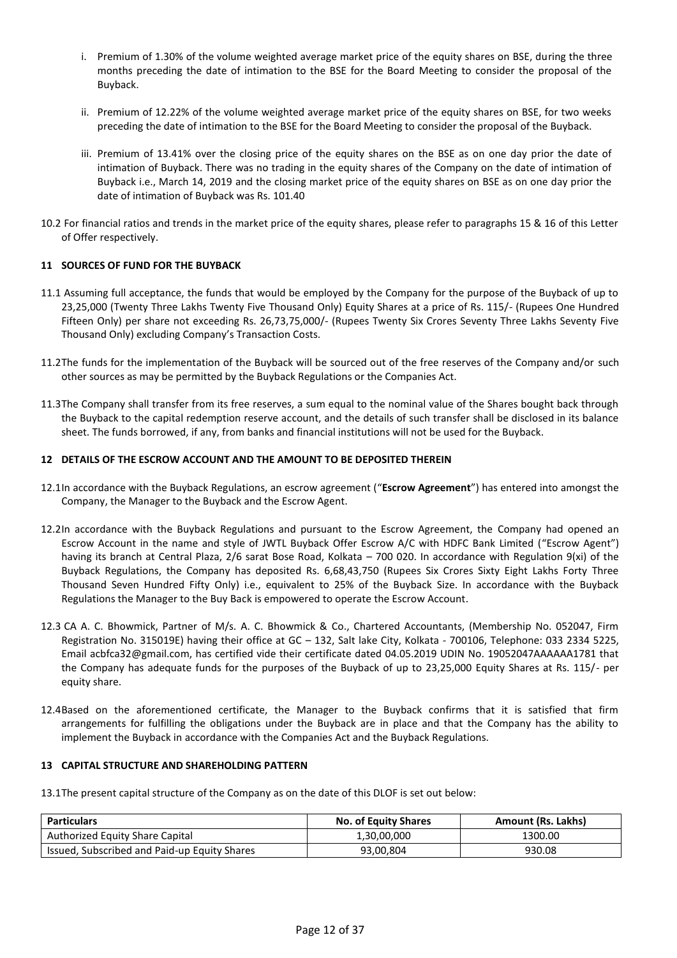- i. Premium of 1.30% of the volume weighted average market price of the equity shares on BSE, during the three months preceding the date of intimation to the BSE for the Board Meeting to consider the proposal of the Buyback.
- ii. Premium of 12.22% of the volume weighted average market price of the equity shares on BSE, for two weeks preceding the date of intimation to the BSE for the Board Meeting to consider the proposal of the Buyback.
- iii. Premium of 13.41% over the closing price of the equity shares on the BSE as on one day prior the date of intimation of Buyback. There was no trading in the equity shares of the Company on the date of intimation of Buyback i.e., March 14, 2019 and the closing market price of the equity shares on BSE as on one day prior the date of intimation of Buyback was Rs. 101.40
- 10.2 For financial ratios and trends in the market price of the equity shares, please refer to paragraphs 15 & 16 of this Letter of Offer respectively.

## **11 SOURCES OF FUND FOR THE BUYBACK**

- 11.1 Assuming full acceptance, the funds that would be employed by the Company for the purpose of the Buyback of up to 23,25,000 (Twenty Three Lakhs Twenty Five Thousand Only) Equity Shares at a price of Rs. 115/- (Rupees One Hundred Fifteen Only) per share not exceeding Rs. 26,73,75,000/- (Rupees Twenty Six Crores Seventy Three Lakhs Seventy Five Thousand Only) excluding Company's Transaction Costs.
- 11.2The funds for the implementation of the Buyback will be sourced out of the free reserves of the Company and/or such other sources as may be permitted by the Buyback Regulations or the Companies Act.
- 11.3The Company shall transfer from its free reserves, a sum equal to the nominal value of the Shares bought back through the Buyback to the capital redemption reserve account, and the details of such transfer shall be disclosed in its balance sheet. The funds borrowed, if any, from banks and financial institutions will not be used for the Buyback.

### **12 DETAILS OF THE ESCROW ACCOUNT AND THE AMOUNT TO BE DEPOSITED THEREIN**

- 12.1In accordance with the Buyback Regulations, an escrow agreement ("**Escrow Agreement**") has entered into amongst the Company, the Manager to the Buyback and the Escrow Agent.
- 12.2In accordance with the Buyback Regulations and pursuant to the Escrow Agreement, the Company had opened an Escrow Account in the name and style of JWTL Buyback Offer Escrow A/C with HDFC Bank Limited ("Escrow Agent") having its branch at Central Plaza, 2/6 sarat Bose Road, Kolkata – 700 020. In accordance with Regulation 9(xi) of the Buyback Regulations, the Company has deposited Rs. 6,68,43,750 (Rupees Six Crores Sixty Eight Lakhs Forty Three Thousand Seven Hundred Fifty Only) i.e., equivalent to 25% of the Buyback Size. In accordance with the Buyback Regulations the Manager to the Buy Back is empowered to operate the Escrow Account.
- 12.3 CA A. C. Bhowmick, Partner of M/s. A. C. Bhowmick & Co., Chartered Accountants, (Membership No. 052047, Firm Registration No. 315019E) having their office at GC - 132, Salt lake City, Kolkata - 700106, Telephone: 033 2334 5225, Email acbfca32@gmail.com, has certified vide their certificate dated 04.05.2019 UDIN No. 19052047AAAAAA1781 that the Company has adequate funds for the purposes of the Buyback of up to 23,25,000 Equity Shares at Rs. 115/- per equity share.
- 12.4Based on the aforementioned certificate, the Manager to the Buyback confirms that it is satisfied that firm arrangements for fulfilling the obligations under the Buyback are in place and that the Company has the ability to implement the Buyback in accordance with the Companies Act and the Buyback Regulations.

## **13 CAPITAL STRUCTURE AND SHAREHOLDING PATTERN**

13.1The present capital structure of the Company as on the date of this DLOF is set out below:

| <b>Particulars</b>                           | <b>No. of Equity Shares</b> | <b>Amount (Rs. Lakhs)</b> |
|----------------------------------------------|-----------------------------|---------------------------|
| Authorized Equity Share Capital              | 1,30,00,000                 | 1300.00                   |
| Issued, Subscribed and Paid-up Equity Shares | 93,00,804                   | 930.08                    |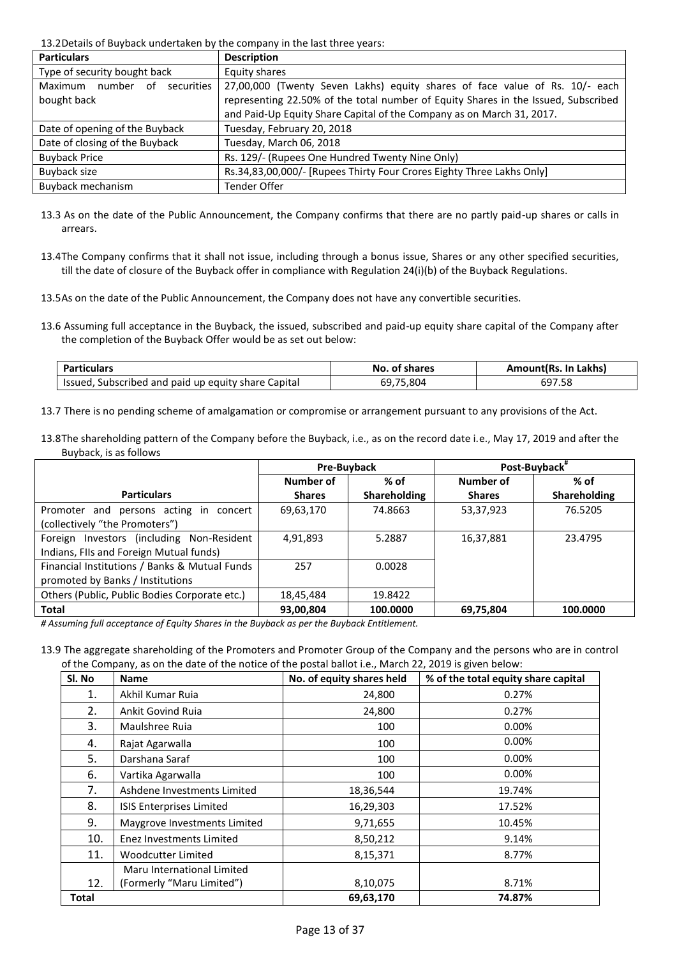13.2Details of Buyback undertaken by the company in the last three years:

| <b>Particulars</b>                    | <b>Description</b>                                                                 |
|---------------------------------------|------------------------------------------------------------------------------------|
| Type of security bought back          | Equity shares                                                                      |
| Maximum<br>number<br>securities<br>of | 27,00,000 (Twenty Seven Lakhs) equity shares of face value of Rs. 10/- each        |
| bought back                           | representing 22.50% of the total number of Equity Shares in the Issued, Subscribed |
|                                       | and Paid-Up Equity Share Capital of the Company as on March 31, 2017.              |
| Date of opening of the Buyback        | Tuesday, February 20, 2018                                                         |
| Date of closing of the Buyback        | Tuesday, March 06, 2018                                                            |
| <b>Buyback Price</b>                  | Rs. 129/- (Rupees One Hundred Twenty Nine Only)                                    |
| Buyback size                          | Rs.34,83,00,000/- [Rupees Thirty Four Crores Eighty Three Lakhs Only]              |
| Buyback mechanism                     | Tender Offer                                                                       |

- 13.3 As on the date of the Public Announcement, the Company confirms that there are no partly paid-up shares or calls in arrears.
- 13.4The Company confirms that it shall not issue, including through a bonus issue, Shares or any other specified securities, till the date of closure of the Buyback offer in compliance with Regulation 24(i)(b) of the Buyback Regulations.

13.5As on the date of the Public Announcement, the Company does not have any convertible securities.

13.6 Assuming full acceptance in the Buyback, the issued, subscribed and paid-up equity share capital of the Company after the completion of the Buyback Offer would be as set out below:

| articulars                                             | No.<br>. of shares | Lakhs)<br>-In<br>Amount(Rs. |
|--------------------------------------------------------|--------------------|-----------------------------|
| Subscribed and paid up equity share Capital<br>lssued, | 69,75,804          | 697.58                      |

13.7 There is no pending scheme of amalgamation or compromise or arrangement pursuant to any provisions of the Act.

13.8The shareholding pattern of the Company before the Buyback, i.e., as on the record date i.e., May 17, 2019 and after the Buyback, is as follows

|                                               | <b>Pre-Buyback</b> |                     |               | Post-Buyback" |
|-----------------------------------------------|--------------------|---------------------|---------------|---------------|
|                                               | Number of          | $%$ of              | Number of     | % of          |
| <b>Particulars</b>                            | <b>Shares</b>      | <b>Shareholding</b> | <b>Shares</b> | Shareholding  |
| Promoter and persons acting in concert        | 69,63,170          | 74.8663             | 53,37,923     | 76.5205       |
| (collectively "the Promoters")                |                    |                     |               |               |
| Foreign Investors (including Non-Resident     | 4,91,893           | 5.2887              | 16,37,881     | 23.4795       |
| Indians, FIIs and Foreign Mutual funds)       |                    |                     |               |               |
| Financial Institutions / Banks & Mutual Funds | 257                | 0.0028              |               |               |
| promoted by Banks / Institutions              |                    |                     |               |               |
| Others (Public, Public Bodies Corporate etc.) | 18,45,484          | 19.8422             |               |               |
| <b>Total</b>                                  | 93,00,804          | 100.0000            | 69,75,804     | 100.0000      |

*# Assuming full acceptance of Equity Shares in the Buyback as per the Buyback Entitlement.* 

13.9 The aggregate shareholding of the Promoters and Promoter Group of the Company and the persons who are in control of the Company, as on the date of the notice of the postal ballot i.e., March 22, 2019 is given below:

| Sl. No | <b>Name</b>                     | No. of equity shares held | % of the total equity share capital |
|--------|---------------------------------|---------------------------|-------------------------------------|
| 1.     | Akhil Kumar Ruja                | 24,800                    | 0.27%                               |
| 2.     | <b>Ankit Govind Ruja</b>        | 24,800                    | 0.27%                               |
| 3.     | Maulshree Ruia                  | 100                       | 0.00%                               |
| 4.     | Rajat Agarwalla                 | 100                       | 0.00%                               |
| 5.     | Darshana Saraf                  | 100                       | 0.00%                               |
| 6.     | Vartika Agarwalla               | 100                       | 0.00%                               |
| 7.     | Ashdene Investments Limited     | 18,36,544                 | 19.74%                              |
| 8.     | <b>ISIS Enterprises Limited</b> | 16,29,303                 | 17.52%                              |
| 9.     | Maygrove Investments Limited    | 9,71,655                  | 10.45%                              |
| 10.    | Enez Investments Limited        | 8,50,212                  | 9.14%                               |
| 11.    | <b>Woodcutter Limited</b>       | 8,15,371                  | 8.77%                               |
|        | Maru International Limited      |                           |                                     |
| 12.    | (Formerly "Maru Limited")       | 8,10,075                  | 8.71%                               |
| Total  |                                 | 69,63,170                 | 74.87%                              |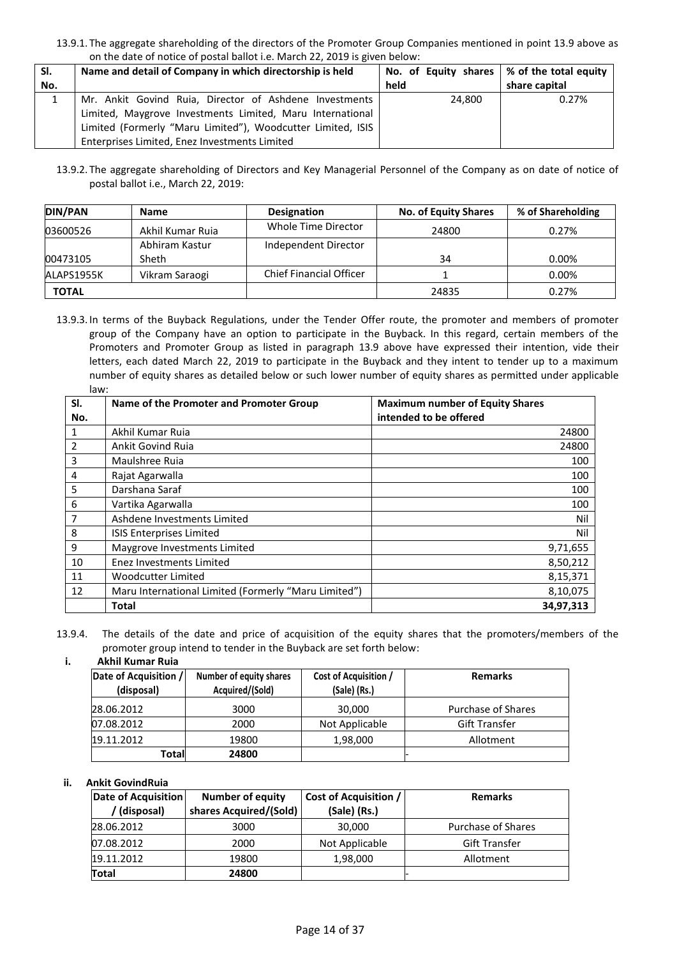<sup>13.9.1.</sup> The aggregate shareholding of the directors of the Promoter Group Companies mentioned in point 13.9 above as on the date of notice of postal ballot i.e. March 22, 2019 is given below:

| SI. | Name and detail of Company in which directorship is held    | No. of Equity shares $\frac{1}{2}$ % of the total equity |               |
|-----|-------------------------------------------------------------|----------------------------------------------------------|---------------|
| No. |                                                             | held                                                     | share capital |
|     | Mr. Ankit Govind Ruia, Director of Ashdene Investments      | 24,800                                                   | 0.27%         |
|     | Limited, Maygrove Investments Limited, Maru International   |                                                          |               |
|     | Limited (Formerly "Maru Limited"), Woodcutter Limited, ISIS |                                                          |               |
|     | Enterprises Limited, Enez Investments Limited               |                                                          |               |

13.9.2. The aggregate shareholding of Directors and Key Managerial Personnel of the Company as on date of notice of postal ballot i.e., March 22, 2019:

| <b>DIN/PAN</b> | <b>Name</b>      | Designation                    | <b>No. of Equity Shares</b> | % of Shareholding |
|----------------|------------------|--------------------------------|-----------------------------|-------------------|
| 03600526       | Akhil Kumar Ruja | Whole Time Director            | 24800                       | 0.27%             |
|                | Abhiram Kastur   | Independent Director           |                             |                   |
| 00473105       | Sheth            |                                | 34                          | $0.00\%$          |
| ALAPS1955K     | Vikram Saraogi   | <b>Chief Financial Officer</b> |                             | $0.00\%$          |
| <b>TOTAL</b>   |                  |                                | 24835                       | 0.27%             |

13.9.3. In terms of the Buyback Regulations, under the Tender Offer route, the promoter and members of promoter group of the Company have an option to participate in the Buyback. In this regard, certain members of the Promoters and Promoter Group as listed in paragraph 13.9 above have expressed their intention, vide their letters, each dated March 22, 2019 to participate in the Buyback and they intent to tender up to a maximum number of equity shares as detailed below or such lower number of equity shares as permitted under applicable law:

| SI. | Name of the Promoter and Promoter Group              | <b>Maximum number of Equity Shares</b> |
|-----|------------------------------------------------------|----------------------------------------|
| No. |                                                      | intended to be offered                 |
|     | Akhil Kumar Ruja                                     | 24800                                  |
|     | <b>Ankit Govind Ruja</b>                             | 24800                                  |
| 3   | Maulshree Ruia                                       | 100                                    |
| 4   | Rajat Agarwalla                                      | 100                                    |
| 5   | Darshana Saraf                                       | 100                                    |
| 6   | Vartika Agarwalla                                    | 100                                    |
| 7   | Ashdene Investments Limited                          | Nil                                    |
| 8   | <b>ISIS Enterprises Limited</b>                      | Nil                                    |
| 9   | Maygrove Investments Limited                         | 9,71,655                               |
| 10  | Enez Investments Limited                             | 8,50,212                               |
| 11  | Woodcutter Limited                                   | 8,15,371                               |
| 12  | Maru International Limited (Formerly "Maru Limited") | 8,10,075                               |
|     | <b>Total</b>                                         | 34,97,313                              |

<sup>13.9.4.</sup> The details of the date and price of acquisition of the equity shares that the promoters/members of the promoter group intend to tender in the Buyback are set forth below:

#### **i. Akhil Kumar Ruia**

| Date of Acquisition /<br>(disposal) | Number of equity shares<br>Acquired/(Sold) | Cost of Acquisition /<br>(Sale) (Rs.) | <b>Remarks</b>       |
|-------------------------------------|--------------------------------------------|---------------------------------------|----------------------|
| 28.06.2012                          | 3000                                       | 30,000                                | Purchase of Shares   |
| 07.08.2012                          | 2000                                       | Not Applicable                        | <b>Gift Transfer</b> |
| 19.11.2012                          | 19800                                      | 1,98,000                              | Allotment            |
| Totall                              | 24800                                      |                                       |                      |

### **ii. Ankit GovindRuia**

| <b>Date of Acquisition</b> | <b>Number of equity</b> | <b>Cost of Acquisition /</b> | <b>Remarks</b>            |
|----------------------------|-------------------------|------------------------------|---------------------------|
| (disposal)                 | shares Acquired/(Sold)  | (Sale) (Rs.)                 |                           |
| 28.06.2012                 | 3000                    | 30,000                       | <b>Purchase of Shares</b> |
| 07.08.2012                 | 2000                    | Not Applicable               | <b>Gift Transfer</b>      |
| 19.11.2012                 | 19800                   | 1,98,000                     | Allotment                 |
| Total                      | 24800                   |                              |                           |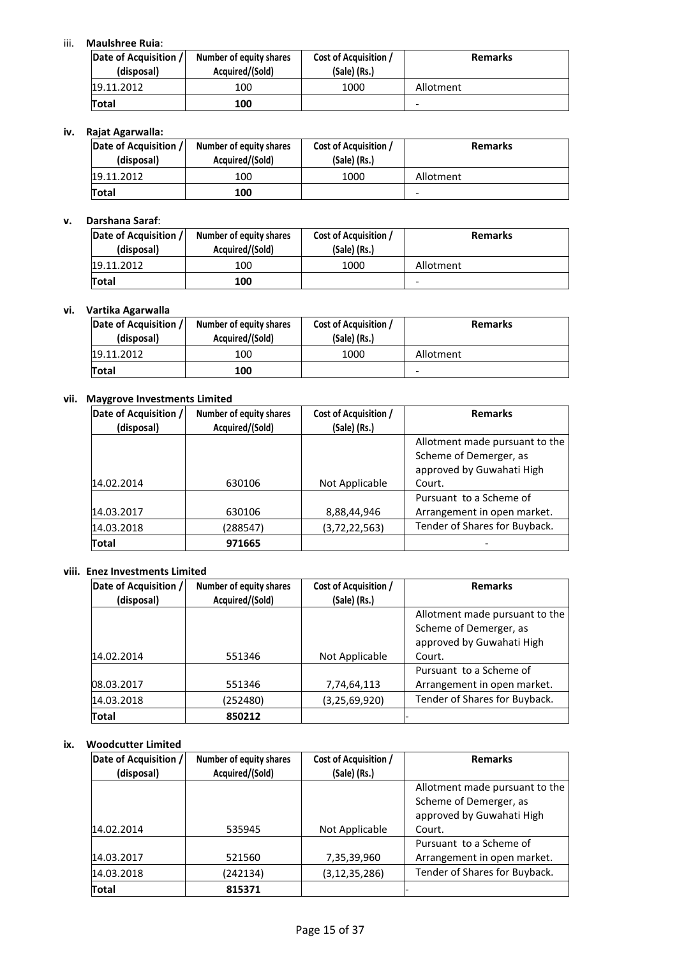# iii. **Maulshree Ruia**:

| Date of Acquisition /<br>(disposal) | Number of equity shares<br>Acquired/(Sold) | Cost of Acquisition /<br>(Sale) (Rs.) | <b>Remarks</b> |
|-------------------------------------|--------------------------------------------|---------------------------------------|----------------|
| 19.11.2012                          | 100                                        | 1000                                  | Allotment      |
| <b>Total</b>                        | 100                                        |                                       | -              |

# **iv. Rajat Agarwalla:**

| Date of Acquisition /<br>(disposal) | Number of equity shares<br>Acquired/(Sold) | Cost of Acquisition /<br>(Sale) (Rs.) | <b>Remarks</b> |
|-------------------------------------|--------------------------------------------|---------------------------------------|----------------|
| 19.11.2012                          | 100                                        | 1000                                  | Allotment      |
| Total                               | 100                                        |                                       | -              |

# **v. Darshana Saraf**:

| Date of Acquisition /<br>(disposal) | Number of equity shares<br>Acquired/(Sold) | Cost of Acquisition /<br>(Sale) (Rs.) | <b>Remarks</b> |
|-------------------------------------|--------------------------------------------|---------------------------------------|----------------|
| 19.11.2012                          | 100                                        | 1000                                  | Allotment      |
| Total                               | 100                                        |                                       |                |

## **vi. Vartika Agarwalla**

| Date of Acquisition /<br>(disposal) | Number of equity shares<br>Acquired/(Sold) | Cost of Acquisition /<br>(Sale) (Rs.) | <b>Remarks</b> |
|-------------------------------------|--------------------------------------------|---------------------------------------|----------------|
| 19.11.2012                          | 100                                        | 1000                                  | Allotment      |
| Total                               | 100                                        |                                       |                |

## **vii. Maygrove Investments Limited**

| Date of Acquisition / | Number of equity shares | Cost of Acquisition / | <b>Remarks</b>                 |
|-----------------------|-------------------------|-----------------------|--------------------------------|
| (disposal)            | Acquired/(Sold)         | (Sale) (Rs.)          |                                |
|                       |                         |                       | Allotment made pursuant to the |
|                       |                         |                       | Scheme of Demerger, as         |
|                       |                         |                       | approved by Guwahati High      |
| 14.02.2014            | 630106                  | Not Applicable        | Court.                         |
|                       |                         |                       | Pursuant to a Scheme of        |
| 14.03.2017            | 630106                  | 8,88,44,946           | Arrangement in open market.    |
| 14.03.2018            | (288547)                | (3,72,22,563)         | Tender of Shares for Buyback.  |
| Total                 | 971665                  |                       |                                |

### **viii. Enez Investments Limited**

| Date of Acquisition /<br>(disposal) | Number of equity shares<br>Acquired/(Sold) | Cost of Acquisition /<br>(Sale) (Rs.) | <b>Remarks</b>                                                                        |
|-------------------------------------|--------------------------------------------|---------------------------------------|---------------------------------------------------------------------------------------|
|                                     |                                            |                                       | Allotment made pursuant to the<br>Scheme of Demerger, as<br>approved by Guwahati High |
| 14.02.2014                          | 551346                                     | Not Applicable                        | Court.                                                                                |
| 08.03.2017                          | 551346                                     | 7,74,64,113                           | Pursuant to a Scheme of<br>Arrangement in open market.                                |
| 14.03.2018                          | (252480)                                   | (3, 25, 69, 920)                      | Tender of Shares for Buyback.                                                         |
| Total                               | 850212                                     |                                       |                                                                                       |

## **ix. Woodcutter Limited**

| Date of Acquisition /<br>(disposal) | Number of equity shares<br>Acquired/(Sold) | Cost of Acquisition /<br>(Sale) (Rs.) | <b>Remarks</b>                                                                        |
|-------------------------------------|--------------------------------------------|---------------------------------------|---------------------------------------------------------------------------------------|
|                                     |                                            |                                       | Allotment made pursuant to the<br>Scheme of Demerger, as<br>approved by Guwahati High |
| 14.02.2014                          | 535945                                     | Not Applicable                        | Court.                                                                                |
| 14.03.2017                          | 521560                                     | 7,35,39,960                           | Pursuant to a Scheme of<br>Arrangement in open market.                                |
| 14.03.2018                          | (242134)                                   | (3, 12, 35, 286)                      | Tender of Shares for Buyback.                                                         |
| Total                               | 815371                                     |                                       |                                                                                       |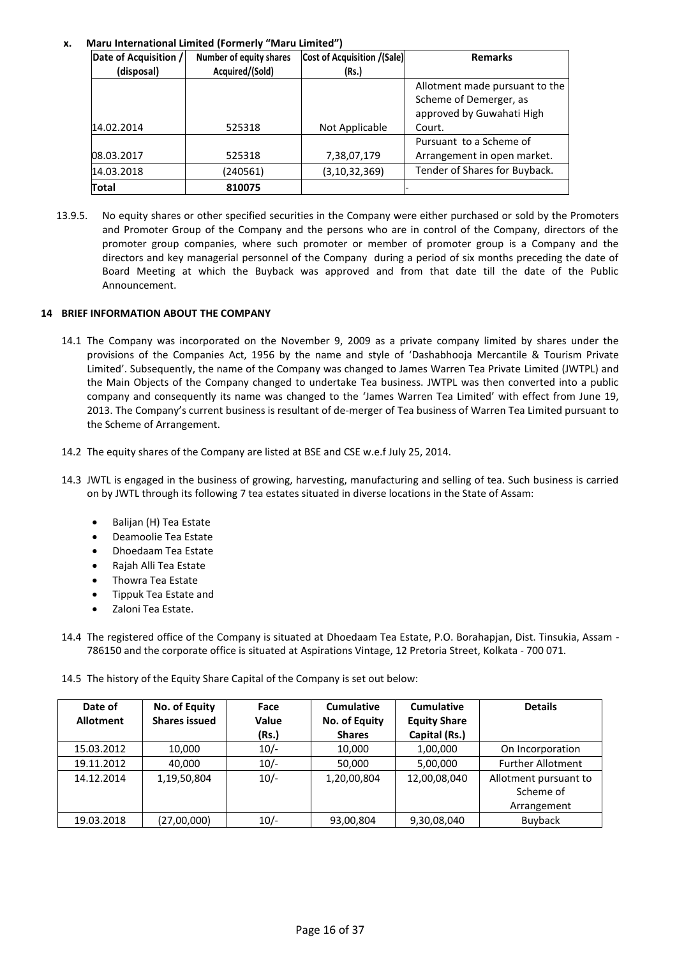# **x. Maru International Limited (Formerly "Maru Limited")**

| Date of Acquisition / | Number of equity shares | <b>Cost of Acquisition /(Sale)</b> | <b>Remarks</b>                 |
|-----------------------|-------------------------|------------------------------------|--------------------------------|
| (disposal)            | Acquired/(Sold)         | (Rs.)                              |                                |
|                       |                         |                                    | Allotment made pursuant to the |
|                       |                         |                                    | Scheme of Demerger, as         |
|                       |                         |                                    | approved by Guwahati High      |
| 14.02.2014            | 525318                  | Not Applicable                     | Court.                         |
|                       |                         |                                    | Pursuant to a Scheme of        |
| 08.03.2017            | 525318                  | 7,38,07,179                        | Arrangement in open market.    |
| 14.03.2018            | (240561)                | (3,10,32,369)                      | Tender of Shares for Buyback.  |
| Total                 | 810075                  |                                    |                                |

13.9.5. No equity shares or other specified securities in the Company were either purchased or sold by the Promoters and Promoter Group of the Company and the persons who are in control of the Company, directors of the promoter group companies, where such promoter or member of promoter group is a Company and the directors and key managerial personnel of the Company during a period of six months preceding the date of Board Meeting at which the Buyback was approved and from that date till the date of the Public Announcement.

# **14 BRIEF INFORMATION ABOUT THE COMPANY**

- 14.1 The Company was incorporated on the November 9, 2009 as a private company limited by shares under the provisions of the Companies Act, 1956 by the name and style of 'Dashabhooja Mercantile & Tourism Private Limited'. Subsequently, the name of the Company was changed to James Warren Tea Private Limited (JWTPL) and the Main Objects of the Company changed to undertake Tea business. JWTPL was then converted into a public company and consequently its name was changed to the 'James Warren Tea Limited' with effect from June 19, 2013. The Company's current business is resultant of de-merger of Tea business of Warren Tea Limited pursuant to the Scheme of Arrangement.
- 14.2 The equity shares of the Company are listed at BSE and CSE w.e.f July 25, 2014.
- 14.3 JWTL is engaged in the business of growing, harvesting, manufacturing and selling of tea. Such business is carried on by JWTL through its following 7 tea estates situated in diverse locations in the State of Assam:
	- Balijan (H) Tea Estate
	- Deamoolie Tea Estate
	- Dhoedaam Tea Estate
	- Rajah Alli Tea Estate
	- Thowra Tea Estate
	- Tippuk Tea Estate and
	- Zaloni Tea Estate.

14.4 The registered office of the Company is situated at Dhoedaam Tea Estate, P.O. Borahapjan, Dist. Tinsukia, Assam - 786150 and the corporate office is situated at Aspirations Vintage, 12 Pretoria Street, Kolkata - 700 071.

14.5 The history of the Equity Share Capital of the Company is set out below:

| Date of<br><b>Allotment</b> | No. of Equity<br><b>Shares issued</b> | Face<br><b>Value</b><br>(Rs.) | <b>Cumulative</b><br>No. of Equity<br><b>Shares</b> | <b>Cumulative</b><br><b>Equity Share</b><br>Capital (Rs.) | <b>Details</b>           |
|-----------------------------|---------------------------------------|-------------------------------|-----------------------------------------------------|-----------------------------------------------------------|--------------------------|
|                             |                                       |                               |                                                     |                                                           |                          |
| 15.03.2012                  | 10,000                                | $10/-$                        | 10,000                                              | 1,00,000                                                  | On Incorporation         |
| 19.11.2012                  | 40,000                                | $10/-$                        | 50,000                                              | 5,00,000                                                  | <b>Further Allotment</b> |
| 14.12.2014                  | 1,19,50,804                           | $10/-$                        | 1,20,00,804                                         | 12,00,08,040                                              | Allotment pursuant to    |
|                             |                                       |                               |                                                     |                                                           | Scheme of                |
|                             |                                       |                               |                                                     |                                                           | Arrangement              |
| 19.03.2018                  | (27,00,000)                           | $10/-$                        | 93,00,804                                           | 9,30,08,040                                               | Buyback                  |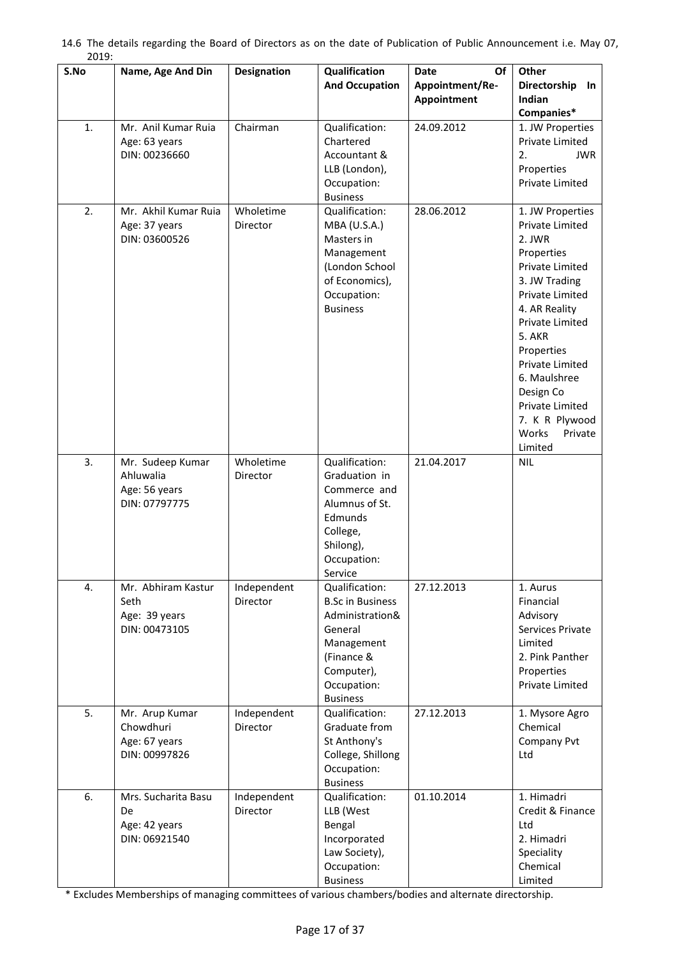| 2019.<br>S.No | Name, Age And Din                                               | <b>Designation</b>      | Qualification<br><b>And Occupation</b>                                                                                                              | Date<br>Of<br>Appointment/Re-<br>Appointment | <b>Other</b><br>Directorship In<br>Indian<br>Companies*                                                                                                                                                                                                                                            |
|---------------|-----------------------------------------------------------------|-------------------------|-----------------------------------------------------------------------------------------------------------------------------------------------------|----------------------------------------------|----------------------------------------------------------------------------------------------------------------------------------------------------------------------------------------------------------------------------------------------------------------------------------------------------|
| 1.            | Mr. Anil Kumar Ruia<br>Age: 63 years<br>DIN: 00236660           | Chairman                | Qualification:<br>Chartered<br>Accountant &<br>LLB (London),<br>Occupation:<br><b>Business</b>                                                      | 24.09.2012                                   | 1. JW Properties<br>Private Limited<br>2.<br><b>JWR</b><br>Properties<br>Private Limited                                                                                                                                                                                                           |
| 2.            | Mr. Akhil Kumar Ruia<br>Age: 37 years<br>DIN: 03600526          | Wholetime<br>Director   | Qualification:<br>MBA (U.S.A.)<br>Masters in<br>Management<br>(London School<br>of Economics),<br>Occupation:<br><b>Business</b>                    | 28.06.2012                                   | 1. JW Properties<br>Private Limited<br>2. JWR<br>Properties<br>Private Limited<br>3. JW Trading<br>Private Limited<br>4. AR Reality<br>Private Limited<br>5. AKR<br>Properties<br>Private Limited<br>6. Maulshree<br>Design Co<br>Private Limited<br>7. K R Plywood<br>Works<br>Private<br>Limited |
| 3.            | Mr. Sudeep Kumar<br>Ahluwalia<br>Age: 56 years<br>DIN: 07797775 | Wholetime<br>Director   | Qualification:<br>Graduation in<br>Commerce and<br>Alumnus of St.<br>Edmunds<br>College,<br>Shilong),<br>Occupation:<br>Service                     | 21.04.2017                                   | <b>NIL</b>                                                                                                                                                                                                                                                                                         |
| 4.            | Mr. Abhiram Kastur<br>Seth<br>Age: 39 years<br>DIN: 00473105    | Independent<br>Director | Qualification:<br><b>B.Sc in Business</b><br>Administration&<br>General<br>Management<br>(Finance &<br>Computer),<br>Occupation:<br><b>Business</b> | 27.12.2013                                   | 1. Aurus<br>Financial<br>Advisory<br>Services Private<br>Limited<br>2. Pink Panther<br>Properties<br>Private Limited                                                                                                                                                                               |
| 5.            | Mr. Arup Kumar<br>Chowdhuri<br>Age: 67 years<br>DIN: 00997826   | Independent<br>Director | <b>Qualification:</b><br>Graduate from<br>St Anthony's<br>College, Shillong<br>Occupation:<br><b>Business</b>                                       | 27.12.2013                                   | 1. Mysore Agro<br>Chemical<br>Company Pvt<br>Ltd                                                                                                                                                                                                                                                   |
| 6.            | Mrs. Sucharita Basu<br>De<br>Age: 42 years<br>DIN: 06921540     | Independent<br>Director | Qualification:<br>LLB (West<br>Bengal<br>Incorporated<br>Law Society),<br>Occupation:<br><b>Business</b>                                            | 01.10.2014                                   | 1. Himadri<br>Credit & Finance<br>Ltd<br>2. Himadri<br>Speciality<br>Chemical<br>Limited                                                                                                                                                                                                           |

|       |  |  |  | 14.6 The details regarding the Board of Directors as on the date of Publication of Public Announcement i.e. May 07, |  |
|-------|--|--|--|---------------------------------------------------------------------------------------------------------------------|--|
| 2019: |  |  |  |                                                                                                                     |  |

\* Excludes Memberships of managing committees of various chambers/bodies and alternate directorship.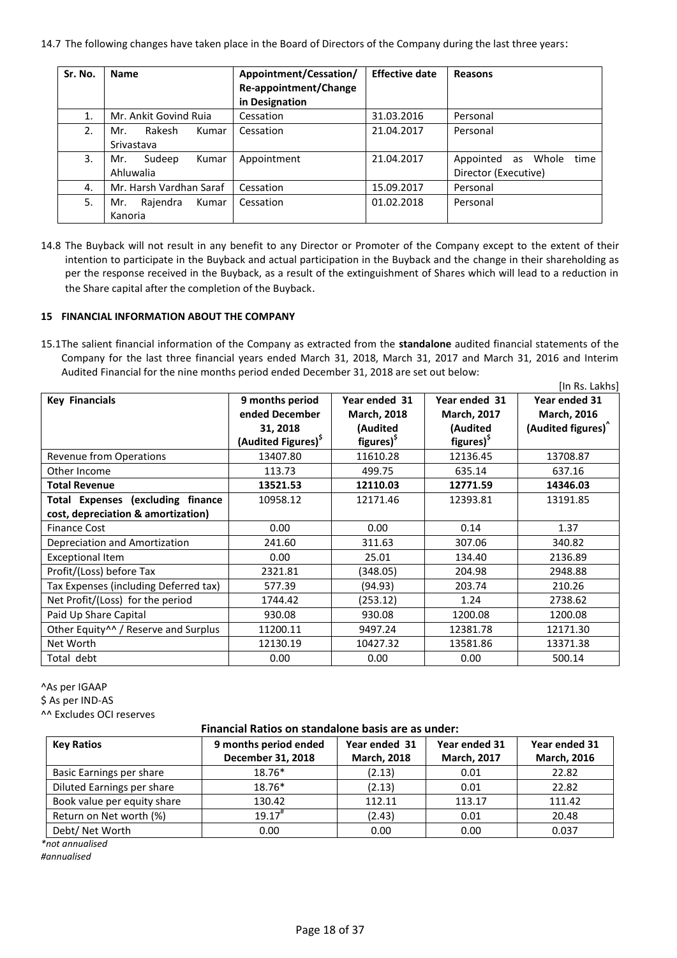14.7 The following changes have taken place in the Board of Directors of the Company during the last three years:

| Sr. No. | <b>Name</b>                          | Appointment/Cessation/<br>Re-appointment/Change<br>in Designation | <b>Effective date</b> | Reasons                                                  |
|---------|--------------------------------------|-------------------------------------------------------------------|-----------------------|----------------------------------------------------------|
| 1.      | Mr. Ankit Govind Ruia                | Cessation                                                         | 31.03.2016            | Personal                                                 |
| 2.      | Rakesh<br>Kumar<br>Mr.<br>Srivastava | Cessation                                                         | 21.04.2017            | Personal                                                 |
| 3.      | Sudeep<br>Kumar<br>Mr.<br>Ahluwalia  | Appointment                                                       | 21.04.2017            | Appointed<br>Whole<br>time<br>as<br>Director (Executive) |
| 4.      | Mr. Harsh Vardhan Saraf              | Cessation                                                         | 15.09.2017            | Personal                                                 |
| 5.      | Rajendra<br>Kumar<br>Mr.<br>Kanoria  | Cessation                                                         | 01.02.2018            | Personal                                                 |

14.8 The Buyback will not result in any benefit to any Director or Promoter of the Company except to the extent of their intention to participate in the Buyback and actual participation in the Buyback and the change in their shareholding as per the response received in the Buyback, as a result of the extinguishment of Shares which will lead to a reduction in the Share capital after the completion of the Buyback.

# **15 FINANCIAL INFORMATION ABOUT THE COMPANY**

15.1The salient financial information of the Company as extracted from the **standalone** audited financial statements of the Company for the last three financial years ended March 31, 2018, March 31, 2017 and March 31, 2016 and Interim Audited Financial for the nine months period ended December 31, 2018 are set out below:

|                                                  |                                                                                 |                                                                           |                                                                           | [In Rs. Lakhs]                                                        |
|--------------------------------------------------|---------------------------------------------------------------------------------|---------------------------------------------------------------------------|---------------------------------------------------------------------------|-----------------------------------------------------------------------|
| <b>Key Financials</b>                            | 9 months period<br>ended December<br>31, 2018<br>(Audited Figures) <sup>S</sup> | Year ended 31<br><b>March, 2018</b><br>(Audited<br>figures) <sup>\$</sup> | Year ended 31<br><b>March, 2017</b><br>(Audited<br>figures) <sup>\$</sup> | Year ended 31<br><b>March, 2016</b><br>(Audited figures) <sup>^</sup> |
| Revenue from Operations                          | 13407.80                                                                        | 11610.28                                                                  | 12136.45                                                                  | 13708.87                                                              |
| Other Income                                     | 113.73                                                                          | 499.75                                                                    | 635.14                                                                    | 637.16                                                                |
| <b>Total Revenue</b>                             | 13521.53                                                                        | 12110.03                                                                  | 12771.59                                                                  | 14346.03                                                              |
| <b>Total Expenses (excluding finance</b>         | 10958.12                                                                        | 12171.46                                                                  | 12393.81                                                                  | 13191.85                                                              |
| cost, depreciation & amortization)               |                                                                                 |                                                                           |                                                                           |                                                                       |
| <b>Finance Cost</b>                              | 0.00                                                                            | 0.00                                                                      | 0.14                                                                      | 1.37                                                                  |
| Depreciation and Amortization                    | 241.60                                                                          | 311.63                                                                    | 307.06                                                                    | 340.82                                                                |
| <b>Exceptional Item</b>                          | 0.00                                                                            | 25.01                                                                     | 134.40                                                                    | 2136.89                                                               |
| Profit/(Loss) before Tax                         | 2321.81                                                                         | (348.05)                                                                  | 204.98                                                                    | 2948.88                                                               |
| Tax Expenses (including Deferred tax)            | 577.39                                                                          | (94.93)                                                                   | 203.74                                                                    | 210.26                                                                |
| Net Profit/(Loss) for the period                 | 1744.42                                                                         | (253.12)                                                                  | 1.24                                                                      | 2738.62                                                               |
| Paid Up Share Capital                            | 930.08                                                                          | 930.08                                                                    | 1200.08                                                                   | 1200.08                                                               |
| Other Equity <sup>14</sup> / Reserve and Surplus | 11200.11                                                                        | 9497.24                                                                   | 12381.78                                                                  | 12171.30                                                              |
| Net Worth                                        | 12130.19                                                                        | 10427.32                                                                  | 13581.86                                                                  | 13371.38                                                              |
| Total debt                                       | 0.00                                                                            | 0.00                                                                      | 0.00                                                                      | 500.14                                                                |

^As per IGAAP

\$ As per IND-AS

^^ Excludes OCI reserves

# **Financial Ratios on standalone basis are as under:**

| <b>Key Ratios</b>           | 9 months period ended | Year ended 31      | Year ended 31      | Year ended 31      |
|-----------------------------|-----------------------|--------------------|--------------------|--------------------|
|                             | December 31, 2018     | <b>March, 2018</b> | <b>March, 2017</b> | <b>March, 2016</b> |
| Basic Earnings per share    | $18.76*$              | (2.13)             | 0.01               | 22.82              |
| Diluted Earnings per share  | $18.76*$              | (2.13)             | 0.01               | 22.82              |
| Book value per equity share | 130.42                | 112.11             | 113.17             | 111.42             |
| Return on Net worth (%)     | 19.17                 | (2.43)             | 0.01               | 20.48              |
| Debt/ Net Worth             | 0.00                  | 0.00               | 0.00               | 0.037              |

*\*not annualised* 

*#annualised*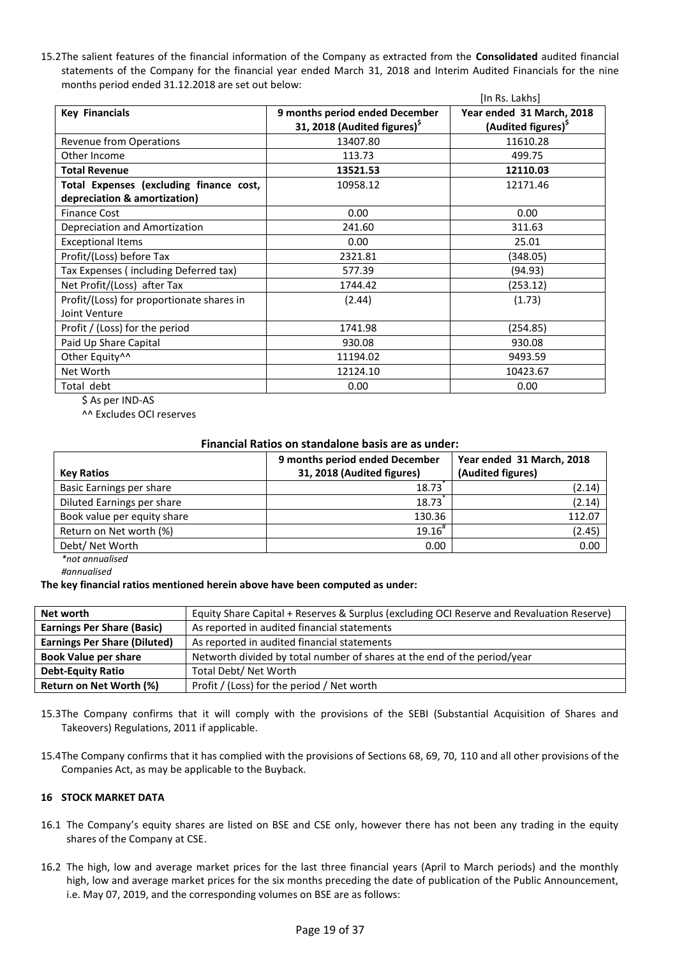15.2The salient features of the financial information of the Company as extracted from the **Consolidated** audited financial statements of the Company for the financial year ended March 31, 2018 and Interim Audited Financials for the nine months period ended 31.12.2018 are set out below:

|                                           |                                          | [In Rs. Lakhs]                  |
|-------------------------------------------|------------------------------------------|---------------------------------|
| <b>Key Financials</b>                     | 9 months period ended December           | Year ended 31 March, 2018       |
|                                           | 31, 2018 (Audited figures) <sup>\$</sup> | (Audited figures) <sup>\$</sup> |
| Revenue from Operations                   | 13407.80                                 | 11610.28                        |
| Other Income                              | 113.73                                   | 499.75                          |
| <b>Total Revenue</b>                      | 13521.53                                 | 12110.03                        |
| Total Expenses (excluding finance cost,   | 10958.12                                 | 12171.46                        |
| depreciation & amortization)              |                                          |                                 |
| <b>Finance Cost</b>                       | 0.00                                     | 0.00                            |
| Depreciation and Amortization             | 241.60                                   | 311.63                          |
| <b>Exceptional Items</b>                  | 0.00                                     | 25.01                           |
| Profit/(Loss) before Tax                  | 2321.81                                  | (348.05)                        |
| Tax Expenses (including Deferred tax)     | 577.39                                   | (94.93)                         |
| Net Profit/(Loss) after Tax               | 1744.42                                  | (253.12)                        |
| Profit/(Loss) for proportionate shares in | (2.44)                                   | (1.73)                          |
| Joint Venture                             |                                          |                                 |
| Profit / (Loss) for the period            | 1741.98                                  | (254.85)                        |
| Paid Up Share Capital                     | 930.08                                   | 930.08                          |
| Other Equity <sup>^^</sup>                | 11194.02                                 | 9493.59                         |
| Net Worth                                 | 12124.10                                 | 10423.67                        |
| Total debt                                | 0.00                                     | 0.00                            |

\$ As per IND-AS

^^ Excludes OCI reserves

### **Financial Ratios on standalone basis are as under:**

| <b>Key Ratios</b>           | 9 months period ended December<br>31, 2018 (Audited figures) | Year ended 31 March, 2018<br>(Audited figures) |
|-----------------------------|--------------------------------------------------------------|------------------------------------------------|
| Basic Earnings per share    | 18.73                                                        | (2.14)                                         |
| Diluted Earnings per share  | 18.73                                                        | (2.14)                                         |
| Book value per equity share | 130.36                                                       | 112.07                                         |
| Return on Net worth (%)     | $19.16^{\#}$                                                 | (2.45)                                         |
| Debt/ Net Worth             | 0.00                                                         | 0.00                                           |

*\*not annualised* 

*#annualised*

#### **The key financial ratios mentioned herein above have been computed as under:**

| Net worth                           | Equity Share Capital + Reserves & Surplus (excluding OCI Reserve and Revaluation Reserve) |
|-------------------------------------|-------------------------------------------------------------------------------------------|
| <b>Earnings Per Share (Basic)</b>   | As reported in audited financial statements                                               |
| <b>Earnings Per Share (Diluted)</b> | As reported in audited financial statements                                               |
| <b>Book Value per share</b>         | Networth divided by total number of shares at the end of the period/year                  |
| <b>Debt-Equity Ratio</b>            | Total Debt/ Net Worth                                                                     |
| Return on Net Worth (%)             | Profit / (Loss) for the period / Net worth                                                |

- 15.3The Company confirms that it will comply with the provisions of the SEBI (Substantial Acquisition of Shares and Takeovers) Regulations, 2011 if applicable.
- 15.4The Company confirms that it has complied with the provisions of Sections 68, 69, 70, 110 and all other provisions of the Companies Act, as may be applicable to the Buyback.

### **16 STOCK MARKET DATA**

- 16.1 The Company's equity shares are listed on BSE and CSE only, however there has not been any trading in the equity shares of the Company at CSE.
- 16.2 The high, low and average market prices for the last three financial years (April to March periods) and the monthly high, low and average market prices for the six months preceding the date of publication of the Public Announcement, i.e. May 07, 2019, and the corresponding volumes on BSE are as follows: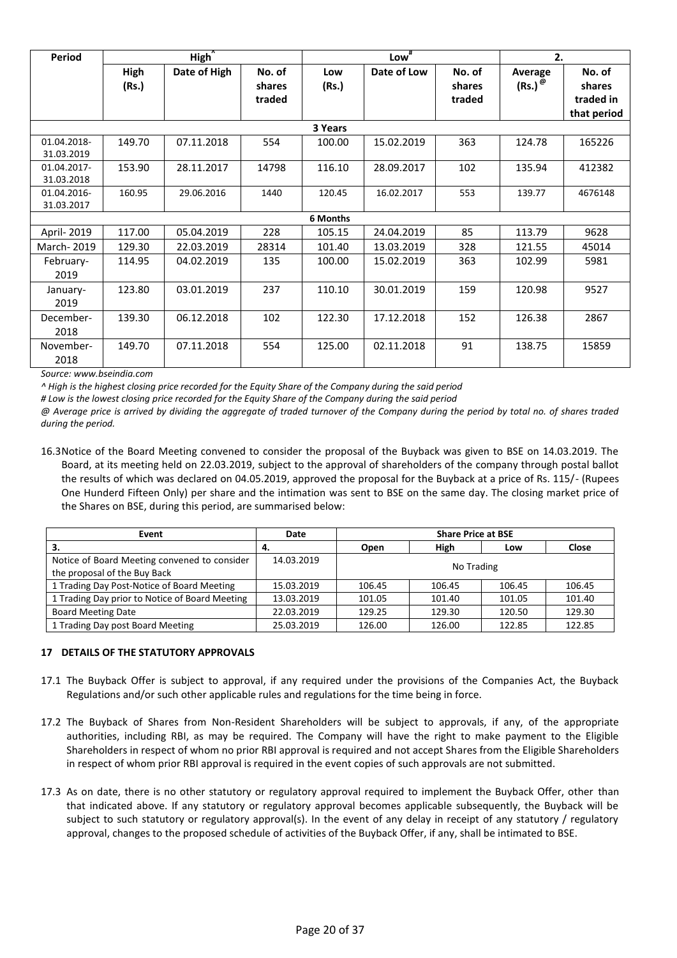| <b>Period</b>             |               | High <sup>^</sup> |                            | Low <sup>#</sup> |             | 2.                         |                             |                                              |
|---------------------------|---------------|-------------------|----------------------------|------------------|-------------|----------------------------|-----------------------------|----------------------------------------------|
|                           | High<br>(Rs.) | Date of High      | No. of<br>shares<br>traded | Low<br>(Rs.)     | Date of Low | No. of<br>shares<br>traded | Average<br>$(Rs.)^{\omega}$ | No. of<br>shares<br>traded in<br>that period |
|                           |               |                   |                            | 3 Years          |             |                            |                             |                                              |
| 01.04.2018-<br>31.03.2019 | 149.70        | 07.11.2018        | 554                        | 100.00           | 15.02.2019  | 363                        | 124.78                      | 165226                                       |
| 01.04.2017-<br>31.03.2018 | 153.90        | 28.11.2017        | 14798                      | 116.10           | 28.09.2017  | 102                        | 135.94                      | 412382                                       |
| 01.04.2016-<br>31.03.2017 | 160.95        | 29.06.2016        | 1440                       | 120.45           | 16.02.2017  | 553                        | 139.77                      | 4676148                                      |
|                           |               |                   |                            | 6 Months         |             |                            |                             |                                              |
| April- 2019               | 117.00        | 05.04.2019        | 228                        | 105.15           | 24.04.2019  | 85                         | 113.79                      | 9628                                         |
| March- 2019               | 129.30        | 22.03.2019        | 28314                      | 101.40           | 13.03.2019  | 328                        | 121.55                      | 45014                                        |
| February-<br>2019         | 114.95        | 04.02.2019        | 135                        | 100.00           | 15.02.2019  | 363                        | 102.99                      | 5981                                         |
| January-<br>2019          | 123.80        | 03.01.2019        | 237                        | 110.10           | 30.01.2019  | 159                        | 120.98                      | 9527                                         |
| December-<br>2018         | 139.30        | 06.12.2018        | 102                        | 122.30           | 17.12.2018  | 152                        | 126.38                      | 2867                                         |
| November-<br>2018         | 149.70        | 07.11.2018        | 554                        | 125.00           | 02.11.2018  | 91                         | 138.75                      | 15859                                        |

*Source: www.bseindia.com*

*^ High is the highest closing price recorded for the Equity Share of the Company during the said period* 

*# Low is the lowest closing price recorded for the Equity Share of the Company during the said period* 

*@ Average price is arrived by dividing the aggregate of traded turnover of the Company during the period by total no. of shares traded during the period.* 

16.3Notice of the Board Meeting convened to consider the proposal of the Buyback was given to BSE on 14.03.2019. The Board, at its meeting held on 22.03.2019, subject to the approval of shareholders of the company through postal ballot the results of which was declared on 04.05.2019, approved the proposal for the Buyback at a price of Rs. 115/- (Rupees One Hunderd Fifteen Only) per share and the intimation was sent to BSE on the same day. The closing market price of the Shares on BSE, during this period, are summarised below:

| Event                                          | Date       | <b>Share Price at BSE</b> |        |        |        |
|------------------------------------------------|------------|---------------------------|--------|--------|--------|
| з.                                             | -4.        | Open                      | High   | Low    | Close  |
| Notice of Board Meeting convened to consider   | 14.03.2019 |                           |        |        |        |
| the proposal of the Buy Back                   |            | No Trading                |        |        |        |
| 1 Trading Day Post-Notice of Board Meeting     | 15.03.2019 | 106.45                    | 106.45 | 106.45 | 106.45 |
| 1 Trading Day prior to Notice of Board Meeting | 13.03.2019 | 101.05                    | 101.40 | 101.05 | 101.40 |
| <b>Board Meeting Date</b>                      | 22.03.2019 | 129.25                    | 129.30 | 120.50 | 129.30 |
| 1 Trading Day post Board Meeting               | 25.03.2019 | 126.00                    | 126.00 | 122.85 | 122.85 |

### **17 DETAILS OF THE STATUTORY APPROVALS**

- 17.1 The Buyback Offer is subject to approval, if any required under the provisions of the Companies Act, the Buyback Regulations and/or such other applicable rules and regulations for the time being in force.
- 17.2 The Buyback of Shares from Non-Resident Shareholders will be subject to approvals, if any, of the appropriate authorities, including RBI, as may be required. The Company will have the right to make payment to the Eligible Shareholders in respect of whom no prior RBI approval is required and not accept Shares from the Eligible Shareholders in respect of whom prior RBI approval is required in the event copies of such approvals are not submitted.
- 17.3 As on date, there is no other statutory or regulatory approval required to implement the Buyback Offer, other than that indicated above. If any statutory or regulatory approval becomes applicable subsequently, the Buyback will be subject to such statutory or regulatory approval(s). In the event of any delay in receipt of any statutory / regulatory approval, changes to the proposed schedule of activities of the Buyback Offer, if any, shall be intimated to BSE.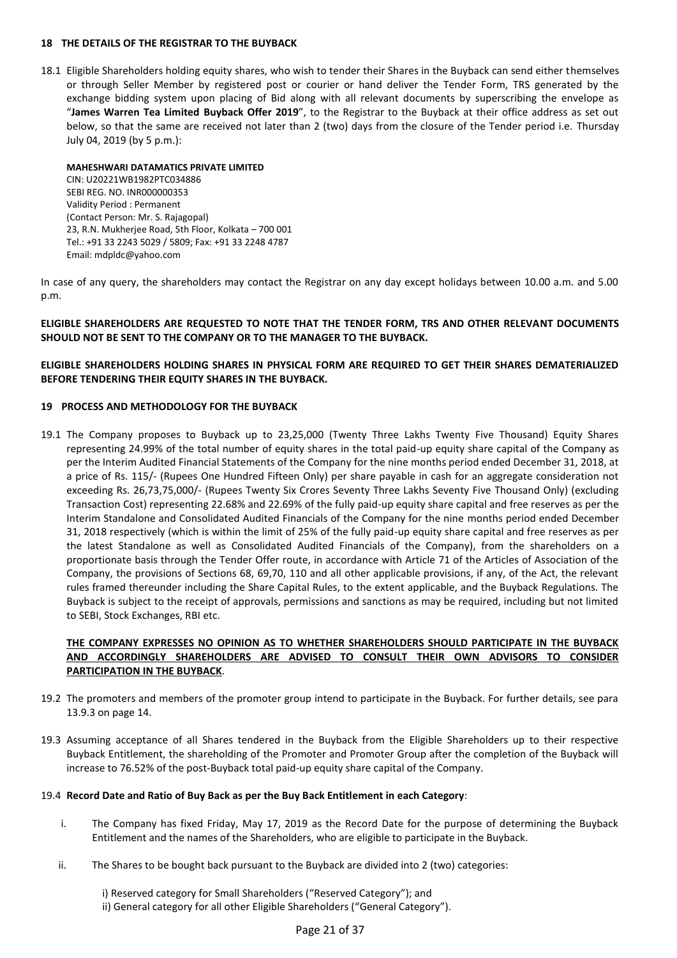#### **18 THE DETAILS OF THE REGISTRAR TO THE BUYBACK**

18.1 Eligible Shareholders holding equity shares, who wish to tender their Shares in the Buyback can send either themselves or through Seller Member by registered post or courier or hand deliver the Tender Form, TRS generated by the exchange bidding system upon placing of Bid along with all relevant documents by superscribing the envelope as "**James Warren Tea Limited Buyback Offer 2019**", to the Registrar to the Buyback at their office address as set out below, so that the same are received not later than 2 (two) days from the closure of the Tender period i.e. Thursday July 04, 2019 (by 5 p.m.):

#### **MAHESHWARI DATAMATICS PRIVATE LIMITED**  CIN: U20221WB1982PTC034886 SEBI REG. NO. INR000000353

Validity Period : Permanent (Contact Person: Mr. S. Rajagopal) 23, R.N. Mukherjee Road, 5th Floor, Kolkata – 700 001 Tel.: +91 33 2243 5029 / 5809; Fax: +91 33 2248 4787 Email: mdpldc@yahoo.com

In case of any query, the shareholders may contact the Registrar on any day except holidays between 10.00 a.m. and 5.00 p.m.

## **ELIGIBLE SHAREHOLDERS ARE REQUESTED TO NOTE THAT THE TENDER FORM, TRS AND OTHER RELEVANT DOCUMENTS SHOULD NOT BE SENT TO THE COMPANY OR TO THE MANAGER TO THE BUYBACK.**

## **ELIGIBLE SHAREHOLDERS HOLDING SHARES IN PHYSICAL FORM ARE REQUIRED TO GET THEIR SHARES DEMATERIALIZED BEFORE TENDERING THEIR EQUITY SHARES IN THE BUYBACK.**

## **19 PROCESS AND METHODOLOGY FOR THE BUYBACK**

19.1 The Company proposes to Buyback up to 23,25,000 (Twenty Three Lakhs Twenty Five Thousand) Equity Shares representing 24.99% of the total number of equity shares in the total paid-up equity share capital of the Company as per the Interim Audited Financial Statements of the Company for the nine months period ended December 31, 2018, at a price of Rs. 115/- (Rupees One Hundred Fifteen Only) per share payable in cash for an aggregate consideration not exceeding Rs. 26,73,75,000/- (Rupees Twenty Six Crores Seventy Three Lakhs Seventy Five Thousand Only) (excluding Transaction Cost) representing 22.68% and 22.69% of the fully paid-up equity share capital and free reserves as per the Interim Standalone and Consolidated Audited Financials of the Company for the nine months period ended December 31, 2018 respectively (which is within the limit of 25% of the fully paid-up equity share capital and free reserves as per the latest Standalone as well as Consolidated Audited Financials of the Company), from the shareholders on a proportionate basis through the Tender Offer route, in accordance with Article 71 of the Articles of Association of the Company, the provisions of Sections 68, 69,70, 110 and all other applicable provisions, if any, of the Act, the relevant rules framed thereunder including the Share Capital Rules, to the extent applicable, and the Buyback Regulations. The Buyback is subject to the receipt of approvals, permissions and sanctions as may be required, including but not limited to SEBI, Stock Exchanges, RBI etc.

# **THE COMPANY EXPRESSES NO OPINION AS TO WHETHER SHAREHOLDERS SHOULD PARTICIPATE IN THE BUYBACK AND ACCORDINGLY SHAREHOLDERS ARE ADVISED TO CONSULT THEIR OWN ADVISORS TO CONSIDER PARTICIPATION IN THE BUYBACK**.

- 19.2 The promoters and members of the promoter group intend to participate in the Buyback. For further details, see para 13.9.3 on page 14.
- 19.3 Assuming acceptance of all Shares tendered in the Buyback from the Eligible Shareholders up to their respective Buyback Entitlement, the shareholding of the Promoter and Promoter Group after the completion of the Buyback will increase to 76.52% of the post-Buyback total paid-up equity share capital of the Company.

# 19.4 **Record Date and Ratio of Buy Back as per the Buy Back Entitlement in each Category**:

- i. The Company has fixed Friday, May 17, 2019 as the Record Date for the purpose of determining the Buyback Entitlement and the names of the Shareholders, who are eligible to participate in the Buyback.
- ii. The Shares to be bought back pursuant to the Buyback are divided into 2 (two) categories:

i) Reserved category for Small Shareholders ("Reserved Category"); and ii) General category for all other Eligible Shareholders ("General Category").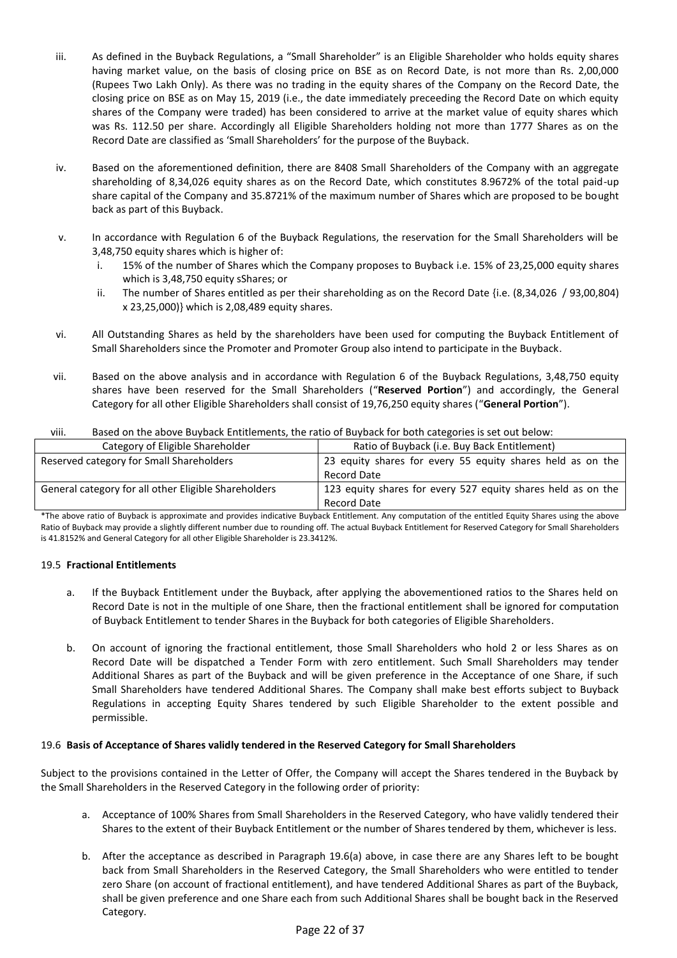- iii. As defined in the Buyback Regulations, a "Small Shareholder" is an Eligible Shareholder who holds equity shares having market value, on the basis of closing price on BSE as on Record Date, is not more than Rs. 2,00,000 (Rupees Two Lakh Only). As there was no trading in the equity shares of the Company on the Record Date, the closing price on BSE as on May 15, 2019 (i.e., the date immediately preceeding the Record Date on which equity shares of the Company were traded) has been considered to arrive at the market value of equity shares which was Rs. 112.50 per share. Accordingly all Eligible Shareholders holding not more than 1777 Shares as on the Record Date are classified as 'Small Shareholders' for the purpose of the Buyback.
- iv. Based on the aforementioned definition, there are 8408 Small Shareholders of the Company with an aggregate shareholding of 8,34,026 equity shares as on the Record Date, which constitutes 8.9672% of the total paid-up share capital of the Company and 35.8721% of the maximum number of Shares which are proposed to be bought back as part of this Buyback.
- v. In accordance with Regulation 6 of the Buyback Regulations, the reservation for the Small Shareholders will be 3,48,750 equity shares which is higher of:
	- i. 15% of the number of Shares which the Company proposes to Buyback i.e. 15% of 23,25,000 equity shares which is 3,48,750 equity sShares; or
	- ii. The number of Shares entitled as per their shareholding as on the Record Date {i.e. (8,34,026 / 93,00,804) x 23,25,000)} which is 2,08,489 equity shares.
- vi. All Outstanding Shares as held by the shareholders have been used for computing the Buyback Entitlement of Small Shareholders since the Promoter and Promoter Group also intend to participate in the Buyback.
- vii. Based on the above analysis and in accordance with Regulation 6 of the Buyback Regulations, 3,48,750 equity shares have been reserved for the Small Shareholders ("**Reserved Portion**") and accordingly, the General Category for all other Eligible Shareholders shall consist of 19,76,250 equity shares ("**General Portion**").

| <b>VIII.</b><br><u>Dascu on the above Dayback Entitiements, the ratio or Dayback for both categories is set out below.</u> |                                                                                    |  |
|----------------------------------------------------------------------------------------------------------------------------|------------------------------------------------------------------------------------|--|
| Category of Eligible Shareholder                                                                                           | Ratio of Buyback (i.e. Buy Back Entitlement)                                       |  |
| Reserved category for Small Shareholders                                                                                   | 23 equity shares for every 55 equity shares held as on the<br><b>Record Date</b>   |  |
| General category for all other Eligible Shareholders                                                                       | 123 equity shares for every 527 equity shares held as on the<br><b>Record Date</b> |  |

#### viii. Based on the above Buyback Entitlements, the ratio of Buyback for both categories is set out below:

\*The above ratio of Buyback is approximate and provides indicative Buyback Entitlement. Any computation of the entitled Equity Shares using the above Ratio of Buyback may provide a slightly different number due to rounding off. The actual Buyback Entitlement for Reserved Category for Small Shareholders is 41.8152% and General Category for all other Eligible Shareholder is 23.3412%.

### 19.5 **Fractional Entitlements**

- a. If the Buyback Entitlement under the Buyback, after applying the abovementioned ratios to the Shares held on Record Date is not in the multiple of one Share, then the fractional entitlement shall be ignored for computation of Buyback Entitlement to tender Shares in the Buyback for both categories of Eligible Shareholders.
- b. On account of ignoring the fractional entitlement, those Small Shareholders who hold 2 or less Shares as on Record Date will be dispatched a Tender Form with zero entitlement. Such Small Shareholders may tender Additional Shares as part of the Buyback and will be given preference in the Acceptance of one Share, if such Small Shareholders have tendered Additional Shares. The Company shall make best efforts subject to Buyback Regulations in accepting Equity Shares tendered by such Eligible Shareholder to the extent possible and permissible.

### 19.6 **Basis of Acceptance of Shares validly tendered in the Reserved Category for Small Shareholders**

Subject to the provisions contained in the Letter of Offer, the Company will accept the Shares tendered in the Buyback by the Small Shareholders in the Reserved Category in the following order of priority:

- a. Acceptance of 100% Shares from Small Shareholders in the Reserved Category, who have validly tendered their Shares to the extent of their Buyback Entitlement or the number of Shares tendered by them, whichever is less.
- b. After the acceptance as described in Paragraph 19.6(a) above, in case there are any Shares left to be bought back from Small Shareholders in the Reserved Category, the Small Shareholders who were entitled to tender zero Share (on account of fractional entitlement), and have tendered Additional Shares as part of the Buyback, shall be given preference and one Share each from such Additional Shares shall be bought back in the Reserved Category.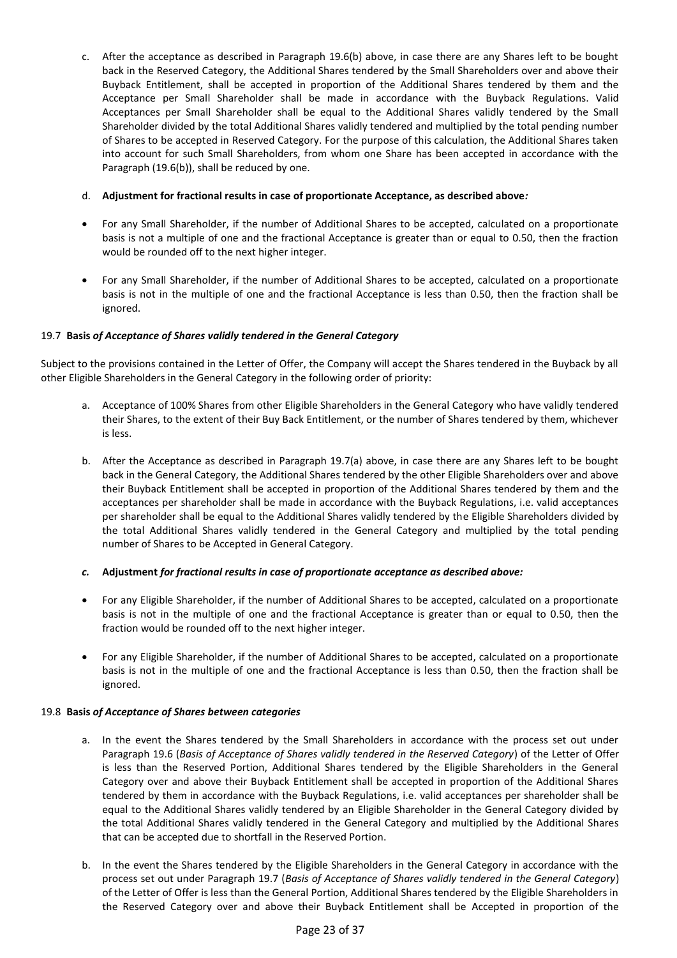c. After the acceptance as described in Paragraph 19.6(b) above, in case there are any Shares left to be bought back in the Reserved Category, the Additional Shares tendered by the Small Shareholders over and above their Buyback Entitlement, shall be accepted in proportion of the Additional Shares tendered by them and the Acceptance per Small Shareholder shall be made in accordance with the Buyback Regulations. Valid Acceptances per Small Shareholder shall be equal to the Additional Shares validly tendered by the Small Shareholder divided by the total Additional Shares validly tendered and multiplied by the total pending number of Shares to be accepted in Reserved Category. For the purpose of this calculation, the Additional Shares taken into account for such Small Shareholders, from whom one Share has been accepted in accordance with the Paragraph (19.6(b)), shall be reduced by one.

### d. **Adjustment for fractional results in case of proportionate Acceptance, as described above***:*

- For any Small Shareholder, if the number of Additional Shares to be accepted, calculated on a proportionate basis is not a multiple of one and the fractional Acceptance is greater than or equal to 0.50, then the fraction would be rounded off to the next higher integer.
- For any Small Shareholder, if the number of Additional Shares to be accepted, calculated on a proportionate basis is not in the multiple of one and the fractional Acceptance is less than 0.50, then the fraction shall be ignored.

# 19.7 **Basis** *of Acceptance of Shares validly tendered in the General Category*

Subject to the provisions contained in the Letter of Offer, the Company will accept the Shares tendered in the Buyback by all other Eligible Shareholders in the General Category in the following order of priority:

- a. Acceptance of 100% Shares from other Eligible Shareholders in the General Category who have validly tendered their Shares, to the extent of their Buy Back Entitlement, or the number of Shares tendered by them, whichever is less.
- b. After the Acceptance as described in Paragraph 19.7(a) above, in case there are any Shares left to be bought back in the General Category, the Additional Shares tendered by the other Eligible Shareholders over and above their Buyback Entitlement shall be accepted in proportion of the Additional Shares tendered by them and the acceptances per shareholder shall be made in accordance with the Buyback Regulations, i.e. valid acceptances per shareholder shall be equal to the Additional Shares validly tendered by the Eligible Shareholders divided by the total Additional Shares validly tendered in the General Category and multiplied by the total pending number of Shares to be Accepted in General Category.

# *c.* **Adjustment** *for fractional results in case of proportionate acceptance as described above:*

- For any Eligible Shareholder, if the number of Additional Shares to be accepted, calculated on a proportionate basis is not in the multiple of one and the fractional Acceptance is greater than or equal to 0.50, then the fraction would be rounded off to the next higher integer.
- For any Eligible Shareholder, if the number of Additional Shares to be accepted, calculated on a proportionate basis is not in the multiple of one and the fractional Acceptance is less than 0.50, then the fraction shall be ignored.

### 19.8 **Basis** *of Acceptance of Shares between categories*

- a. In the event the Shares tendered by the Small Shareholders in accordance with the process set out under Paragraph 19.6 (*Basis of Acceptance of Shares validly tendered in the Reserved Category*) of the Letter of Offer is less than the Reserved Portion, Additional Shares tendered by the Eligible Shareholders in the General Category over and above their Buyback Entitlement shall be accepted in proportion of the Additional Shares tendered by them in accordance with the Buyback Regulations, i.e. valid acceptances per shareholder shall be equal to the Additional Shares validly tendered by an Eligible Shareholder in the General Category divided by the total Additional Shares validly tendered in the General Category and multiplied by the Additional Shares that can be accepted due to shortfall in the Reserved Portion.
- b. In the event the Shares tendered by the Eligible Shareholders in the General Category in accordance with the process set out under Paragraph 19.7 (*Basis of Acceptance of Shares validly tendered in the General Category*) of the Letter of Offer is less than the General Portion, Additional Shares tendered by the Eligible Shareholders in the Reserved Category over and above their Buyback Entitlement shall be Accepted in proportion of the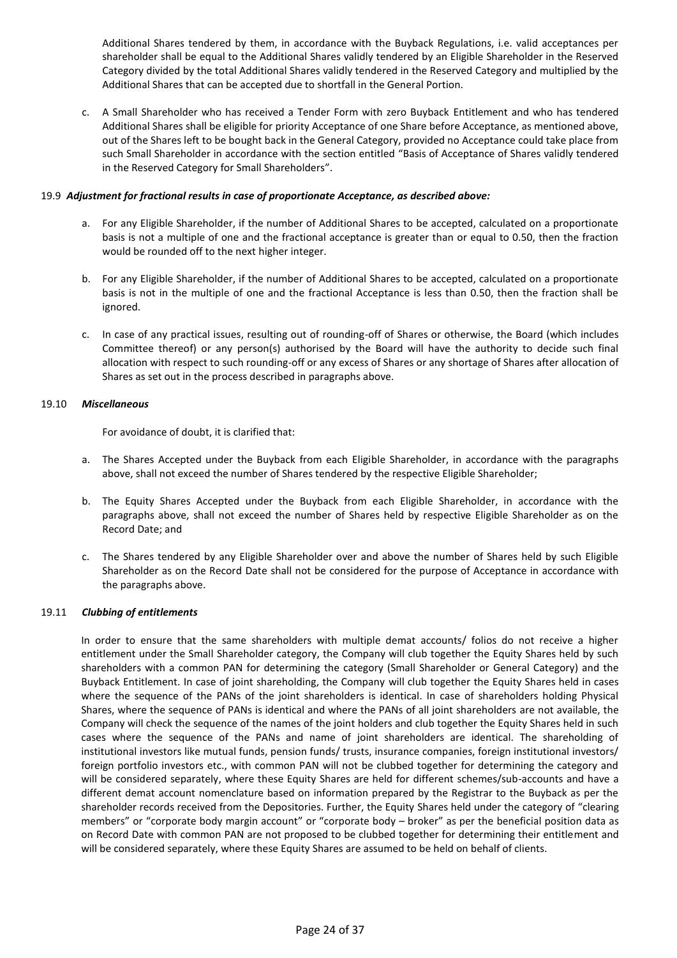Additional Shares tendered by them, in accordance with the Buyback Regulations, i.e. valid acceptances per shareholder shall be equal to the Additional Shares validly tendered by an Eligible Shareholder in the Reserved Category divided by the total Additional Shares validly tendered in the Reserved Category and multiplied by the Additional Shares that can be accepted due to shortfall in the General Portion.

c. A Small Shareholder who has received a Tender Form with zero Buyback Entitlement and who has tendered Additional Shares shall be eligible for priority Acceptance of one Share before Acceptance, as mentioned above, out of the Shares left to be bought back in the General Category, provided no Acceptance could take place from such Small Shareholder in accordance with the section entitled "Basis of Acceptance of Shares validly tendered in the Reserved Category for Small Shareholders".

### 19.9 *Adjustment for fractional results in case of proportionate Acceptance, as described above:*

- a. For any Eligible Shareholder, if the number of Additional Shares to be accepted, calculated on a proportionate basis is not a multiple of one and the fractional acceptance is greater than or equal to 0.50, then the fraction would be rounded off to the next higher integer.
- b. For any Eligible Shareholder, if the number of Additional Shares to be accepted, calculated on a proportionate basis is not in the multiple of one and the fractional Acceptance is less than 0.50, then the fraction shall be ignored.
- c. In case of any practical issues, resulting out of rounding-off of Shares or otherwise, the Board (which includes Committee thereof) or any person(s) authorised by the Board will have the authority to decide such final allocation with respect to such rounding-off or any excess of Shares or any shortage of Shares after allocation of Shares as set out in the process described in paragraphs above.

### 19.10 *Miscellaneous*

For avoidance of doubt, it is clarified that:

- a. The Shares Accepted under the Buyback from each Eligible Shareholder, in accordance with the paragraphs above, shall not exceed the number of Shares tendered by the respective Eligible Shareholder;
- b. The Equity Shares Accepted under the Buyback from each Eligible Shareholder, in accordance with the paragraphs above, shall not exceed the number of Shares held by respective Eligible Shareholder as on the Record Date; and
- c. The Shares tendered by any Eligible Shareholder over and above the number of Shares held by such Eligible Shareholder as on the Record Date shall not be considered for the purpose of Acceptance in accordance with the paragraphs above.

# 19.11 *Clubbing of entitlements*

In order to ensure that the same shareholders with multiple demat accounts/ folios do not receive a higher entitlement under the Small Shareholder category, the Company will club together the Equity Shares held by such shareholders with a common PAN for determining the category (Small Shareholder or General Category) and the Buyback Entitlement. In case of joint shareholding, the Company will club together the Equity Shares held in cases where the sequence of the PANs of the joint shareholders is identical. In case of shareholders holding Physical Shares, where the sequence of PANs is identical and where the PANs of all joint shareholders are not available, the Company will check the sequence of the names of the joint holders and club together the Equity Shares held in such cases where the sequence of the PANs and name of joint shareholders are identical. The shareholding of institutional investors like mutual funds, pension funds/ trusts, insurance companies, foreign institutional investors/ foreign portfolio investors etc., with common PAN will not be clubbed together for determining the category and will be considered separately, where these Equity Shares are held for different schemes/sub-accounts and have a different demat account nomenclature based on information prepared by the Registrar to the Buyback as per the shareholder records received from the Depositories. Further, the Equity Shares held under the category of "clearing members" or "corporate body margin account" or "corporate body – broker" as per the beneficial position data as on Record Date with common PAN are not proposed to be clubbed together for determining their entitlement and will be considered separately, where these Equity Shares are assumed to be held on behalf of clients.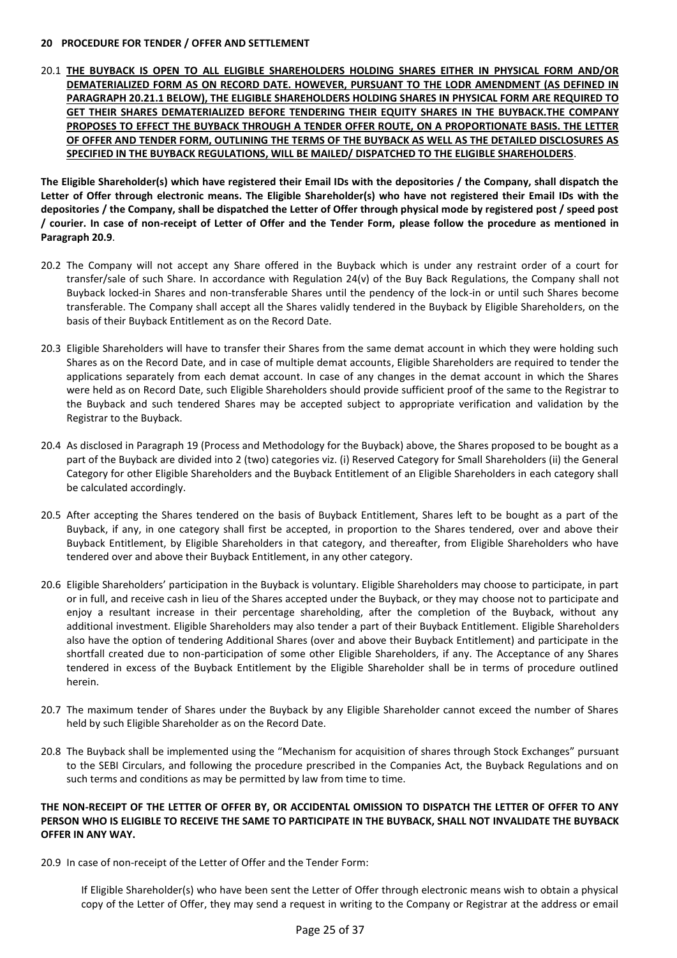#### **20 PROCEDURE FOR TENDER / OFFER AND SETTLEMENT**

20.1 **THE BUYBACK IS OPEN TO ALL ELIGIBLE SHAREHOLDERS HOLDING SHARES EITHER IN PHYSICAL FORM AND/OR DEMATERIALIZED FORM AS ON RECORD DATE. HOWEVER, PURSUANT TO THE LODR AMENDMENT (AS DEFINED IN PARAGRAPH 20.21.1 BELOW), THE ELIGIBLE SHAREHOLDERS HOLDING SHARES IN PHYSICAL FORM ARE REQUIRED TO GET THEIR SHARES DEMATERIALIZED BEFORE TENDERING THEIR EQUITY SHARES IN THE BUYBACK.THE COMPANY PROPOSES TO EFFECT THE BUYBACK THROUGH A TENDER OFFER ROUTE, ON A PROPORTIONATE BASIS. THE LETTER OF OFFER AND TENDER FORM, OUTLINING THE TERMS OF THE BUYBACK AS WELL AS THE DETAILED DISCLOSURES AS SPECIFIED IN THE BUYBACK REGULATIONS, WILL BE MAILED/ DISPATCHED TO THE ELIGIBLE SHAREHOLDERS**.

**The Eligible Shareholder(s) which have registered their Email IDs with the depositories / the Company, shall dispatch the Letter of Offer through electronic means. The Eligible Shareholder(s) who have not registered their Email IDs with the depositories / the Company, shall be dispatched the Letter of Offer through physical mode by registered post / speed post / courier. In case of non-receipt of Letter of Offer and the Tender Form, please follow the procedure as mentioned in Paragraph 20.9**.

- 20.2 The Company will not accept any Share offered in the Buyback which is under any restraint order of a court for transfer/sale of such Share. In accordance with Regulation 24(v) of the Buy Back Regulations, the Company shall not Buyback locked-in Shares and non-transferable Shares until the pendency of the lock-in or until such Shares become transferable. The Company shall accept all the Shares validly tendered in the Buyback by Eligible Shareholders, on the basis of their Buyback Entitlement as on the Record Date.
- 20.3 Eligible Shareholders will have to transfer their Shares from the same demat account in which they were holding such Shares as on the Record Date, and in case of multiple demat accounts, Eligible Shareholders are required to tender the applications separately from each demat account. In case of any changes in the demat account in which the Shares were held as on Record Date, such Eligible Shareholders should provide sufficient proof of the same to the Registrar to the Buyback and such tendered Shares may be accepted subject to appropriate verification and validation by the Registrar to the Buyback.
- 20.4 As disclosed in Paragraph 19 (Process and Methodology for the Buyback) above, the Shares proposed to be bought as a part of the Buyback are divided into 2 (two) categories viz. (i) Reserved Category for Small Shareholders (ii) the General Category for other Eligible Shareholders and the Buyback Entitlement of an Eligible Shareholders in each category shall be calculated accordingly.
- 20.5 After accepting the Shares tendered on the basis of Buyback Entitlement, Shares left to be bought as a part of the Buyback, if any, in one category shall first be accepted, in proportion to the Shares tendered, over and above their Buyback Entitlement, by Eligible Shareholders in that category, and thereafter, from Eligible Shareholders who have tendered over and above their Buyback Entitlement, in any other category.
- 20.6 Eligible Shareholders' participation in the Buyback is voluntary. Eligible Shareholders may choose to participate, in part or in full, and receive cash in lieu of the Shares accepted under the Buyback, or they may choose not to participate and enjoy a resultant increase in their percentage shareholding, after the completion of the Buyback, without any additional investment. Eligible Shareholders may also tender a part of their Buyback Entitlement. Eligible Shareholders also have the option of tendering Additional Shares (over and above their Buyback Entitlement) and participate in the shortfall created due to non-participation of some other Eligible Shareholders, if any. The Acceptance of any Shares tendered in excess of the Buyback Entitlement by the Eligible Shareholder shall be in terms of procedure outlined herein.
- 20.7 The maximum tender of Shares under the Buyback by any Eligible Shareholder cannot exceed the number of Shares held by such Eligible Shareholder as on the Record Date.
- 20.8 The Buyback shall be implemented using the "Mechanism for acquisition of shares through Stock Exchanges" pursuant to the SEBI Circulars, and following the procedure prescribed in the Companies Act, the Buyback Regulations and on such terms and conditions as may be permitted by law from time to time.

### **THE NON-RECEIPT OF THE LETTER OF OFFER BY, OR ACCIDENTAL OMISSION TO DISPATCH THE LETTER OF OFFER TO ANY PERSON WHO IS ELIGIBLE TO RECEIVE THE SAME TO PARTICIPATE IN THE BUYBACK, SHALL NOT INVALIDATE THE BUYBACK OFFER IN ANY WAY.**

20.9 In case of non-receipt of the Letter of Offer and the Tender Form:

If Eligible Shareholder(s) who have been sent the Letter of Offer through electronic means wish to obtain a physical copy of the Letter of Offer, they may send a request in writing to the Company or Registrar at the address or email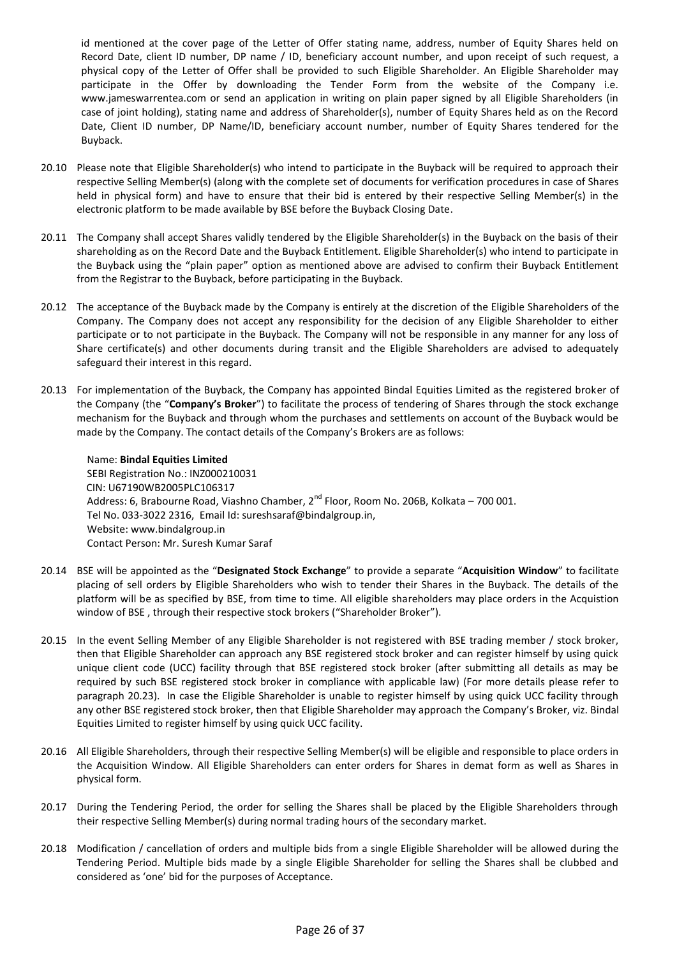id mentioned at the cover page of the Letter of Offer stating name, address, number of Equity Shares held on Record Date, client ID number, DP name / ID, beneficiary account number, and upon receipt of such request, a physical copy of the Letter of Offer shall be provided to such Eligible Shareholder. An Eligible Shareholder may participate in the Offer by downloading the Tender Form from the website of the Company i.e. www.jameswarrentea.com or send an application in writing on plain paper signed by all Eligible Shareholders (in case of joint holding), stating name and address of Shareholder(s), number of Equity Shares held as on the Record Date, Client ID number, DP Name/ID, beneficiary account number, number of Equity Shares tendered for the Buyback.

- 20.10 Please note that Eligible Shareholder(s) who intend to participate in the Buyback will be required to approach their respective Selling Member(s) (along with the complete set of documents for verification procedures in case of Shares held in physical form) and have to ensure that their bid is entered by their respective Selling Member(s) in the electronic platform to be made available by BSE before the Buyback Closing Date.
- 20.11 The Company shall accept Shares validly tendered by the Eligible Shareholder(s) in the Buyback on the basis of their shareholding as on the Record Date and the Buyback Entitlement. Eligible Shareholder(s) who intend to participate in the Buyback using the "plain paper" option as mentioned above are advised to confirm their Buyback Entitlement from the Registrar to the Buyback, before participating in the Buyback.
- 20.12 The acceptance of the Buyback made by the Company is entirely at the discretion of the Eligible Shareholders of the Company. The Company does not accept any responsibility for the decision of any Eligible Shareholder to either participate or to not participate in the Buyback. The Company will not be responsible in any manner for any loss of Share certificate(s) and other documents during transit and the Eligible Shareholders are advised to adequately safeguard their interest in this regard.
- 20.13 For implementation of the Buyback, the Company has appointed Bindal Equities Limited as the registered broker of the Company (the "**Company's Broker**") to facilitate the process of tendering of Shares through the stock exchange mechanism for the Buyback and through whom the purchases and settlements on account of the Buyback would be made by the Company. The contact details of the Company's Brokers are as follows:

Name: **Bindal Equities Limited** SEBI Registration No.: INZ000210031 CIN: U67190WB2005PLC106317 Address: 6, Brabourne Road, Viashno Chamber, 2<sup>nd</sup> Floor, Room No. 206B, Kolkata – 700 001. Tel No. 033-3022 2316, Email Id[: sureshsaraf@bindalgroup.in,](mailto:INFO@JRKGROUP.IN) Website: www.bindalgroup.in Contact Person: Mr. Suresh Kumar Saraf

- 20.14 BSE will be appointed as the "**Designated Stock Exchange**" to provide a separate "**Acquisition Window**" to facilitate placing of sell orders by Eligible Shareholders who wish to tender their Shares in the Buyback. The details of the platform will be as specified by BSE, from time to time. All eligible shareholders may place orders in the Acquistion window of BSE , through their respective stock brokers ("Shareholder Broker").
- 20.15 In the event Selling Member of any Eligible Shareholder is not registered with BSE trading member / stock broker, then that Eligible Shareholder can approach any BSE registered stock broker and can register himself by using quick unique client code (UCC) facility through that BSE registered stock broker (after submitting all details as may be required by such BSE registered stock broker in compliance with applicable law) (For more details please refer to paragraph 20.23). In case the Eligible Shareholder is unable to register himself by using quick UCC facility through any other BSE registered stock broker, then that Eligible Shareholder may approach the Company's Broker, viz. Bindal Equities Limited to register himself by using quick UCC facility.
- 20.16 All Eligible Shareholders, through their respective Selling Member(s) will be eligible and responsible to place orders in the Acquisition Window. All Eligible Shareholders can enter orders for Shares in demat form as well as Shares in physical form.
- 20.17 During the Tendering Period, the order for selling the Shares shall be placed by the Eligible Shareholders through their respective Selling Member(s) during normal trading hours of the secondary market.
- 20.18 Modification / cancellation of orders and multiple bids from a single Eligible Shareholder will be allowed during the Tendering Period. Multiple bids made by a single Eligible Shareholder for selling the Shares shall be clubbed and considered as 'one' bid for the purposes of Acceptance.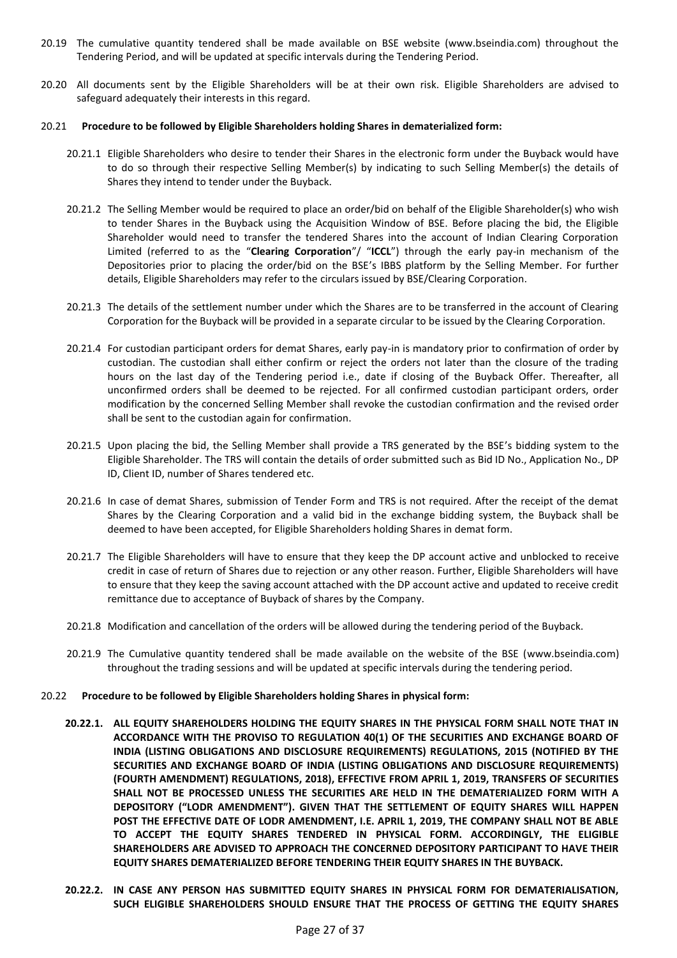- 20.19 The cumulative quantity tendered shall be made available on BSE website (www.bseindia.com) throughout the Tendering Period, and will be updated at specific intervals during the Tendering Period.
- 20.20 All documents sent by the Eligible Shareholders will be at their own risk. Eligible Shareholders are advised to safeguard adequately their interests in this regard.

#### 20.21 **Procedure to be followed by Eligible Shareholders holding Shares in dematerialized form:**

- 20.21.1 Eligible Shareholders who desire to tender their Shares in the electronic form under the Buyback would have to do so through their respective Selling Member(s) by indicating to such Selling Member(s) the details of Shares they intend to tender under the Buyback.
- 20.21.2 The Selling Member would be required to place an order/bid on behalf of the Eligible Shareholder(s) who wish to tender Shares in the Buyback using the Acquisition Window of BSE. Before placing the bid, the Eligible Shareholder would need to transfer the tendered Shares into the account of Indian Clearing Corporation Limited (referred to as the "**Clearing Corporation**"/ "**ICCL**") through the early pay-in mechanism of the Depositories prior to placing the order/bid on the BSE's IBBS platform by the Selling Member. For further details, Eligible Shareholders may refer to the circulars issued by BSE/Clearing Corporation.
- 20.21.3 The details of the settlement number under which the Shares are to be transferred in the account of Clearing Corporation for the Buyback will be provided in a separate circular to be issued by the Clearing Corporation.
- 20.21.4 For custodian participant orders for demat Shares, early pay-in is mandatory prior to confirmation of order by custodian. The custodian shall either confirm or reject the orders not later than the closure of the trading hours on the last day of the Tendering period i.e., date if closing of the Buyback Offer. Thereafter, all unconfirmed orders shall be deemed to be rejected. For all confirmed custodian participant orders, order modification by the concerned Selling Member shall revoke the custodian confirmation and the revised order shall be sent to the custodian again for confirmation.
- 20.21.5 Upon placing the bid, the Selling Member shall provide a TRS generated by the BSE's bidding system to the Eligible Shareholder. The TRS will contain the details of order submitted such as Bid ID No., Application No., DP ID, Client ID, number of Shares tendered etc.
- 20.21.6 In case of demat Shares, submission of Tender Form and TRS is not required. After the receipt of the demat Shares by the Clearing Corporation and a valid bid in the exchange bidding system, the Buyback shall be deemed to have been accepted, for Eligible Shareholders holding Shares in demat form.
- 20.21.7 The Eligible Shareholders will have to ensure that they keep the DP account active and unblocked to receive credit in case of return of Shares due to rejection or any other reason. Further, Eligible Shareholders will have to ensure that they keep the saving account attached with the DP account active and updated to receive credit remittance due to acceptance of Buyback of shares by the Company.
- 20.21.8 Modification and cancellation of the orders will be allowed during the tendering period of the Buyback.
- 20.21.9 The Cumulative quantity tendered shall be made available on the website of the BSE [\(www.bseindia.com\)](http://www.bseindia.com/) throughout the trading sessions and will be updated at specific intervals during the tendering period.
- 20.22 **Procedure to be followed by Eligible Shareholders holding Shares in physical form:** 
	- **20.22.1. ALL EQUITY SHAREHOLDERS HOLDING THE EQUITY SHARES IN THE PHYSICAL FORM SHALL NOTE THAT IN ACCORDANCE WITH THE PROVISO TO REGULATION 40(1) OF THE SECURITIES AND EXCHANGE BOARD OF INDIA (LISTING OBLIGATIONS AND DISCLOSURE REQUIREMENTS) REGULATIONS, 2015 (NOTIFIED BY THE SECURITIES AND EXCHANGE BOARD OF INDIA (LISTING OBLIGATIONS AND DISCLOSURE REQUIREMENTS) (FOURTH AMENDMENT) REGULATIONS, 2018), EFFECTIVE FROM APRIL 1, 2019, TRANSFERS OF SECURITIES SHALL NOT BE PROCESSED UNLESS THE SECURITIES ARE HELD IN THE DEMATERIALIZED FORM WITH A DEPOSITORY ("LODR AMENDMENT"). GIVEN THAT THE SETTLEMENT OF EQUITY SHARES WILL HAPPEN POST THE EFFECTIVE DATE OF LODR AMENDMENT, I.E. APRIL 1, 2019, THE COMPANY SHALL NOT BE ABLE TO ACCEPT THE EQUITY SHARES TENDERED IN PHYSICAL FORM. ACCORDINGLY, THE ELIGIBLE SHAREHOLDERS ARE ADVISED TO APPROACH THE CONCERNED DEPOSITORY PARTICIPANT TO HAVE THEIR EQUITY SHARES DEMATERIALIZED BEFORE TENDERING THEIR EQUITY SHARES IN THE BUYBACK.**
	- **20.22.2. IN CASE ANY PERSON HAS SUBMITTED EQUITY SHARES IN PHYSICAL FORM FOR DEMATERIALISATION, SUCH ELIGIBLE SHAREHOLDERS SHOULD ENSURE THAT THE PROCESS OF GETTING THE EQUITY SHARES**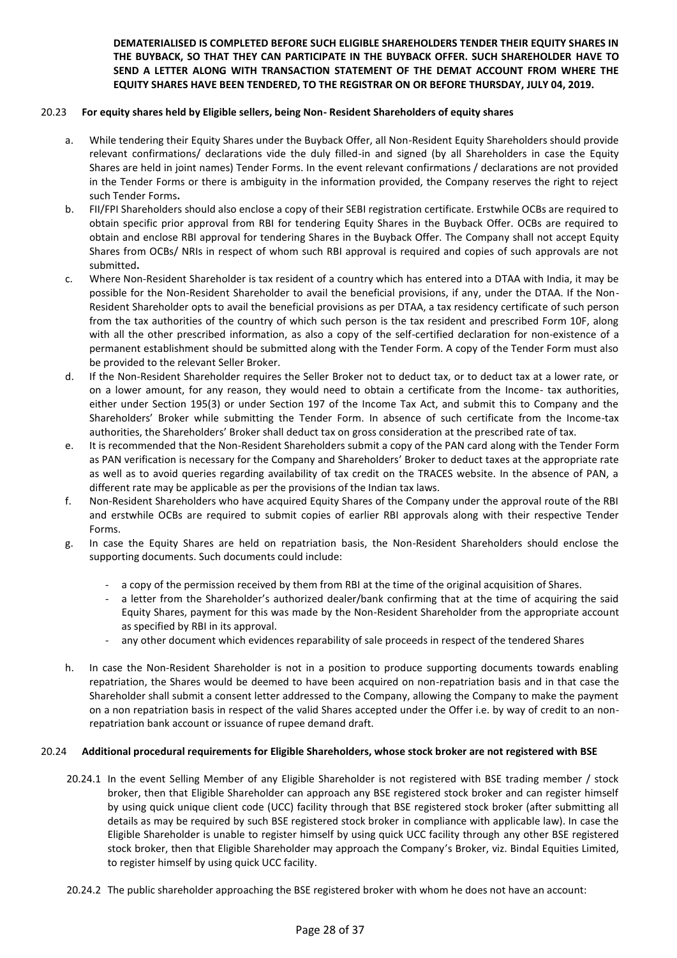## **DEMATERIALISED IS COMPLETED BEFORE SUCH ELIGIBLE SHAREHOLDERS TENDER THEIR EQUITY SHARES IN THE BUYBACK, SO THAT THEY CAN PARTICIPATE IN THE BUYBACK OFFER. SUCH SHAREHOLDER HAVE TO SEND A LETTER ALONG WITH TRANSACTION STATEMENT OF THE DEMAT ACCOUNT FROM WHERE THE EQUITY SHARES HAVE BEEN TENDERED, TO THE REGISTRAR ON OR BEFORE THURSDAY, JULY 04, 2019.**

#### 20.23 **For equity shares held by Eligible sellers, being Non- Resident Shareholders of equity shares**

- a. While tendering their Equity Shares under the Buyback Offer, all Non-Resident Equity Shareholders should provide relevant confirmations/ declarations vide the duly filled-in and signed (by all Shareholders in case the Equity Shares are held in joint names) Tender Forms. In the event relevant confirmations / declarations are not provided in the Tender Forms or there is ambiguity in the information provided, the Company reserves the right to reject such Tender Forms**.**
- b. FII/FPI Shareholders should also enclose a copy of their SEBI registration certificate. Erstwhile OCBs are required to obtain specific prior approval from RBI for tendering Equity Shares in the Buyback Offer. OCBs are required to obtain and enclose RBI approval for tendering Shares in the Buyback Offer. The Company shall not accept Equity Shares from OCBs/ NRIs in respect of whom such RBI approval is required and copies of such approvals are not submitted**.**
- c. Where Non-Resident Shareholder is tax resident of a country which has entered into a DTAA with India, it may be possible for the Non-Resident Shareholder to avail the beneficial provisions, if any, under the DTAA. If the Non-Resident Shareholder opts to avail the beneficial provisions as per DTAA, a tax residency certificate of such person from the tax authorities of the country of which such person is the tax resident and prescribed Form 10F, along with all the other prescribed information, as also a copy of the self-certified declaration for non-existence of a permanent establishment should be submitted along with the Tender Form. A copy of the Tender Form must also be provided to the relevant Seller Broker.
- d. If the Non-Resident Shareholder requires the Seller Broker not to deduct tax, or to deduct tax at a lower rate, or on a lower amount, for any reason, they would need to obtain a certificate from the Income- tax authorities, either under Section 195(3) or under Section 197 of the Income Tax Act, and submit this to Company and the Shareholders' Broker while submitting the Tender Form. In absence of such certificate from the Income-tax authorities, the Shareholders' Broker shall deduct tax on gross consideration at the prescribed rate of tax.
- e. It is recommended that the Non-Resident Shareholders submit a copy of the PAN card along with the Tender Form as PAN verification is necessary for the Company and Shareholders' Broker to deduct taxes at the appropriate rate as well as to avoid queries regarding availability of tax credit on the TRACES website. In the absence of PAN, a different rate may be applicable as per the provisions of the Indian tax laws.
- f. Non-Resident Shareholders who have acquired Equity Shares of the Company under the approval route of the RBI and erstwhile OCBs are required to submit copies of earlier RBI approvals along with their respective Tender Forms.
- g. In case the Equity Shares are held on repatriation basis, the Non-Resident Shareholders should enclose the supporting documents. Such documents could include:
	- a copy of the permission received by them from RBI at the time of the original acquisition of Shares.
	- a letter from the Shareholder's authorized dealer/bank confirming that at the time of acquiring the said Equity Shares, payment for this was made by the Non-Resident Shareholder from the appropriate account as specified by RBI in its approval.
	- any other document which evidences reparability of sale proceeds in respect of the tendered Shares
- h. In case the Non-Resident Shareholder is not in a position to produce supporting documents towards enabling repatriation, the Shares would be deemed to have been acquired on non-repatriation basis and in that case the Shareholder shall submit a consent letter addressed to the Company, allowing the Company to make the payment on a non repatriation basis in respect of the valid Shares accepted under the Offer i.e. by way of credit to an nonrepatriation bank account or issuance of rupee demand draft.

#### 20.24 **Additional procedural requirements for Eligible Shareholders, whose stock broker are not registered with BSE**

- 20.24.1 In the event Selling Member of any Eligible Shareholder is not registered with BSE trading member / stock broker, then that Eligible Shareholder can approach any BSE registered stock broker and can register himself by using quick unique client code (UCC) facility through that BSE registered stock broker (after submitting all details as may be required by such BSE registered stock broker in compliance with applicable law). In case the Eligible Shareholder is unable to register himself by using quick UCC facility through any other BSE registered stock broker, then that Eligible Shareholder may approach the Company's Broker, viz. Bindal Equities Limited, to register himself by using quick UCC facility.
- 20.24.2 The public shareholder approaching the BSE registered broker with whom he does not have an account: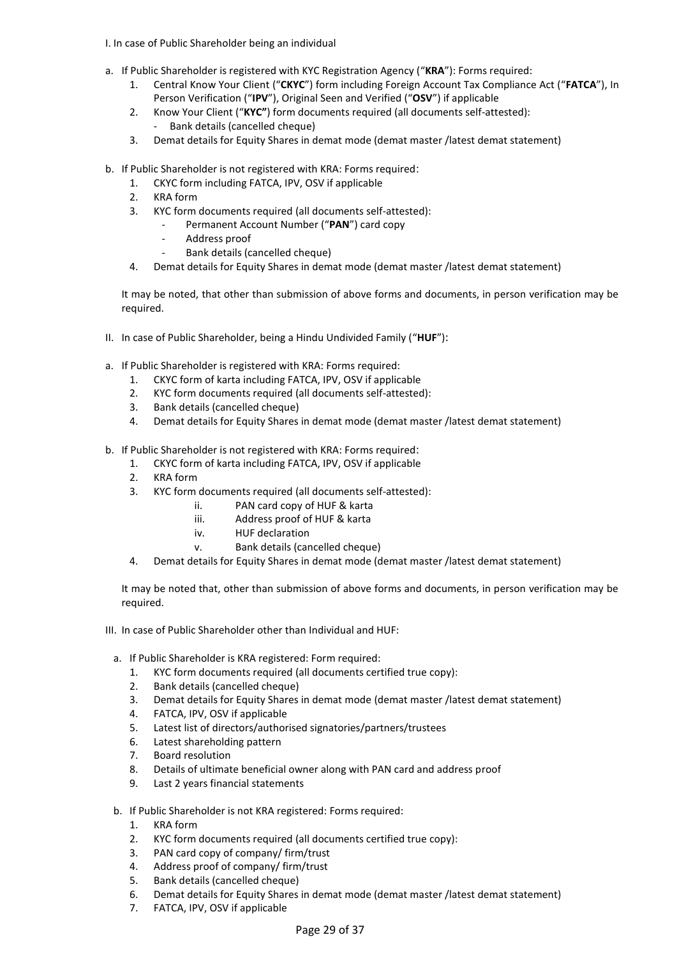- I. In case of Public Shareholder being an individual
- a. If Public Shareholder is registered with KYC Registration Agency ("**KRA**"): Forms required:
	- 1. Central Know Your Client ("**CKYC**") form including Foreign Account Tax Compliance Act ("**FATCA**"), In Person Verification ("**IPV**"), Original Seen and Verified ("**OSV**") if applicable
	- 2. Know Your Client ("**KYC"**) form documents required (all documents self-attested): Bank details (cancelled cheque)
	- 3. Demat details for Equity Shares in demat mode (demat master /latest demat statement)
- b. If Public Shareholder is not registered with KRA: Forms required:
	- 1. CKYC form including FATCA, IPV, OSV if applicable
	- 2. KRA form
	- 3. KYC form documents required (all documents self-attested):
		- Permanent Account Number ("**PAN**") card copy
		- Address proof
		- Bank details (cancelled cheque)
	- 4. Demat details for Equity Shares in demat mode (demat master /latest demat statement)

It may be noted, that other than submission of above forms and documents, in person verification may be required.

- II. In case of Public Shareholder, being a Hindu Undivided Family ("**HUF**"):
- a. If Public Shareholder is registered with KRA: Forms required:
	- 1. CKYC form of karta including FATCA, IPV, OSV if applicable
	- 2. KYC form documents required (all documents self-attested):
	- 3. Bank details (cancelled cheque)
	- 4. Demat details for Equity Shares in demat mode (demat master /latest demat statement)

b. If Public Shareholder is not registered with KRA: Forms required:

- 1. CKYC form of karta including FATCA, IPV, OSV if applicable
- 2. KRA form
- 3. KYC form documents required (all documents self-attested):
	- ii. PAN card copy of HUF & karta
	- iii. Address proof of HUF & karta
	- iv. HUF declaration
	- v. Bank details (cancelled cheque)
- 4. Demat details for Equity Shares in demat mode (demat master /latest demat statement)

It may be noted that, other than submission of above forms and documents, in person verification may be required.

- III. In case of Public Shareholder other than Individual and HUF:
	- a. If Public Shareholder is KRA registered: Form required:
		- 1. KYC form documents required (all documents certified true copy):
		- 2. Bank details (cancelled cheque)
		- 3. Demat details for Equity Shares in demat mode (demat master /latest demat statement)
		- 4. FATCA, IPV, OSV if applicable
		- 5. Latest list of directors/authorised signatories/partners/trustees
		- 6. Latest shareholding pattern
		- 7. Board resolution
		- 8. Details of ultimate beneficial owner along with PAN card and address proof
		- 9. Last 2 years financial statements
	- b. If Public Shareholder is not KRA registered: Forms required:
		- 1. KRA form
		- 2. KYC form documents required (all documents certified true copy):
		- 3. PAN card copy of company/ firm/trust
		- 4. Address proof of company/ firm/trust
		- 5. Bank details (cancelled cheque)
		- 6. Demat details for Equity Shares in demat mode (demat master /latest demat statement)
		- 7. FATCA, IPV, OSV if applicable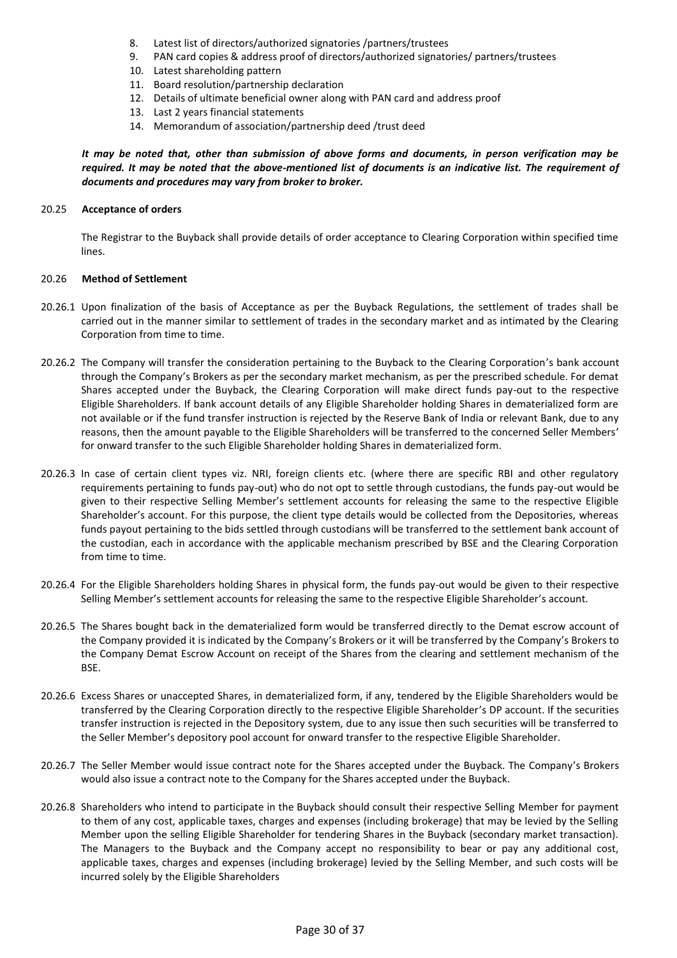- 8. Latest list of directors/authorized signatories /partners/trustees
- 9. PAN card copies & address proof of directors/authorized signatories/ partners/trustees
- 10. Latest shareholding pattern
- 11. Board resolution/partnership declaration
- 12. Details of ultimate beneficial owner along with PAN card and address proof
- 13. Last 2 years financial statements
- 14. Memorandum of association/partnership deed /trust deed

*It may be noted that, other than submission of above forms and documents, in person verification may be required. It may be noted that the above-mentioned list of documents is an indicative list. The requirement of documents and procedures may vary from broker to broker.* 

#### 20.25 **Acceptance of orders**

The Registrar to the Buyback shall provide details of order acceptance to Clearing Corporation within specified time lines.

#### 20.26 **Method of Settlement**

- 20.26.1 Upon finalization of the basis of Acceptance as per the Buyback Regulations, the settlement of trades shall be carried out in the manner similar to settlement of trades in the secondary market and as intimated by the Clearing Corporation from time to time.
- 20.26.2 The Company will transfer the consideration pertaining to the Buyback to the Clearing Corporation's bank account through the Company's Brokers as per the secondary market mechanism, as per the prescribed schedule. For demat Shares accepted under the Buyback, the Clearing Corporation will make direct funds pay-out to the respective Eligible Shareholders. If bank account details of any Eligible Shareholder holding Shares in dematerialized form are not available or if the fund transfer instruction is rejected by the Reserve Bank of India or relevant Bank, due to any reasons, then the amount payable to the Eligible Shareholders will be transferred to the concerned Seller Members' for onward transfer to the such Eligible Shareholder holding Shares in dematerialized form.
- 20.26.3 In case of certain client types viz. NRI, foreign clients etc. (where there are specific RBI and other regulatory requirements pertaining to funds pay-out) who do not opt to settle through custodians, the funds pay-out would be given to their respective Selling Member's settlement accounts for releasing the same to the respective Eligible Shareholder's account. For this purpose, the client type details would be collected from the Depositories, whereas funds payout pertaining to the bids settled through custodians will be transferred to the settlement bank account of the custodian, each in accordance with the applicable mechanism prescribed by BSE and the Clearing Corporation from time to time.
- 20.26.4 For the Eligible Shareholders holding Shares in physical form, the funds pay-out would be given to their respective Selling Member's settlement accounts for releasing the same to the respective Eligible Shareholder's account.
- 20.26.5 The Shares bought back in the dematerialized form would be transferred directly to the Demat escrow account of the Company provided it is indicated by the Company's Brokers or it will be transferred by the Company's Brokers to the Company Demat Escrow Account on receipt of the Shares from the clearing and settlement mechanism of the BSE.
- 20.26.6 Excess Shares or unaccepted Shares, in dematerialized form, if any, tendered by the Eligible Shareholders would be transferred by the Clearing Corporation directly to the respective Eligible Shareholder's DP account. If the securities transfer instruction is rejected in the Depository system, due to any issue then such securities will be transferred to the Seller Member's depository pool account for onward transfer to the respective Eligible Shareholder.
- 20.26.7 The Seller Member would issue contract note for the Shares accepted under the Buyback. The Company's Brokers would also issue a contract note to the Company for the Shares accepted under the Buyback.
- 20.26.8 Shareholders who intend to participate in the Buyback should consult their respective Selling Member for payment to them of any cost, applicable taxes, charges and expenses (including brokerage) that may be levied by the Selling Member upon the selling Eligible Shareholder for tendering Shares in the Buyback (secondary market transaction). The Managers to the Buyback and the Company accept no responsibility to bear or pay any additional cost, applicable taxes, charges and expenses (including brokerage) levied by the Selling Member, and such costs will be incurred solely by the Eligible Shareholders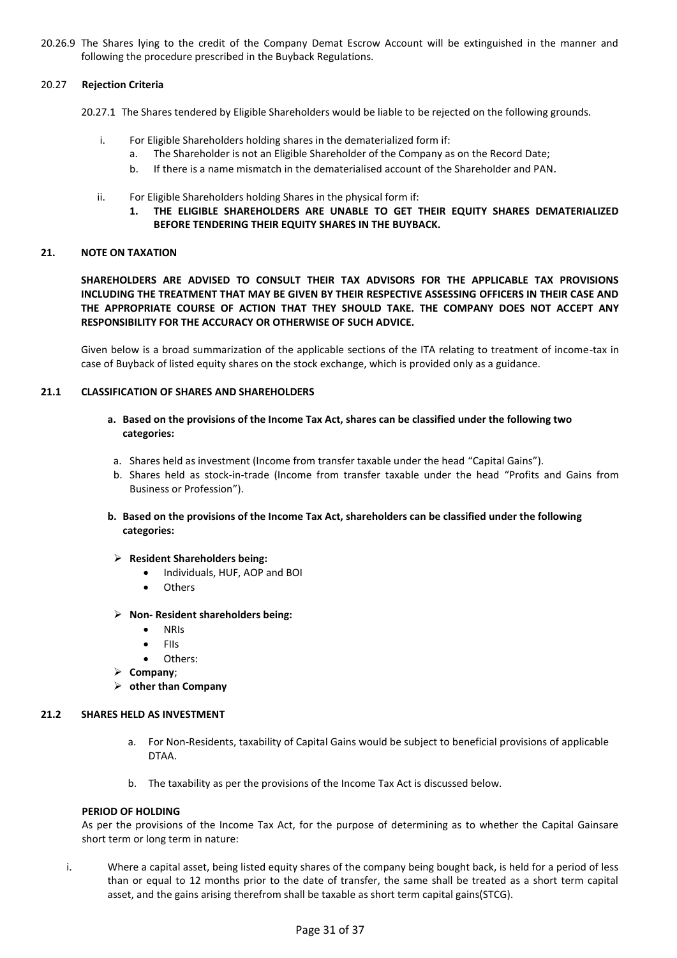20.26.9 The Shares lying to the credit of the Company Demat Escrow Account will be extinguished in the manner and following the procedure prescribed in the Buyback Regulations.

#### 20.27 **Rejection Criteria**

- 20.27.1 The Shares tendered by Eligible Shareholders would be liable to be rejected on the following grounds.
	- i. For Eligible Shareholders holding shares in the dematerialized form if:
		- a. The Shareholder is not an Eligible Shareholder of the Company as on the Record Date;
		- b. If there is a name mismatch in the dematerialised account of the Shareholder and PAN.
	- ii. For Eligible Shareholders holding Shares in the physical form if:
		- **1. THE ELIGIBLE SHAREHOLDERS ARE UNABLE TO GET THEIR EQUITY SHARES DEMATERIALIZED BEFORE TENDERING THEIR EQUITY SHARES IN THE BUYBACK.**

### **21. NOTE ON TAXATION**

**SHAREHOLDERS ARE ADVISED TO CONSULT THEIR TAX ADVISORS FOR THE APPLICABLE TAX PROVISIONS INCLUDING THE TREATMENT THAT MAY BE GIVEN BY THEIR RESPECTIVE ASSESSING OFFICERS IN THEIR CASE AND THE APPROPRIATE COURSE OF ACTION THAT THEY SHOULD TAKE. THE COMPANY DOES NOT ACCEPT ANY RESPONSIBILITY FOR THE ACCURACY OR OTHERWISE OF SUCH ADVICE.** 

Given below is a broad summarization of the applicable sections of the ITA relating to treatment of income-tax in case of Buyback of listed equity shares on the stock exchange, which is provided only as a guidance.

## **21.1 CLASSIFICATION OF SHARES AND SHAREHOLDERS**

- **a. Based on the provisions of the Income Tax Act, shares can be classified under the following two categories:**
- a. Shares held as investment (Income from transfer taxable under the head "Capital Gains").
- b. Shares held as stock-in-trade (Income from transfer taxable under the head "Profits and Gains from Business or Profession").
- **b. Based on the provisions of the Income Tax Act, shareholders can be classified under the following categories:**
- **Resident Shareholders being:** 
	- Individuals, HUF, AOP and BOI
	- **Others**
- **Non- Resident shareholders being:** 
	- NRIs
	- $\bullet$  FIIs
	- Others:
- **Company**;
- **other than Company**

### **21.2 SHARES HELD AS INVESTMENT**

- a. For Non-Residents, taxability of Capital Gains would be subject to beneficial provisions of applicable DTAA.
- b. The taxability as per the provisions of the Income Tax Act is discussed below.

### **PERIOD OF HOLDING**

As per the provisions of the Income Tax Act, for the purpose of determining as to whether the Capital Gainsare short term or long term in nature:

i. Where a capital asset, being listed equity shares of the company being bought back, is held for a period of less than or equal to 12 months prior to the date of transfer, the same shall be treated as a short term capital asset, and the gains arising therefrom shall be taxable as short term capital gains(STCG).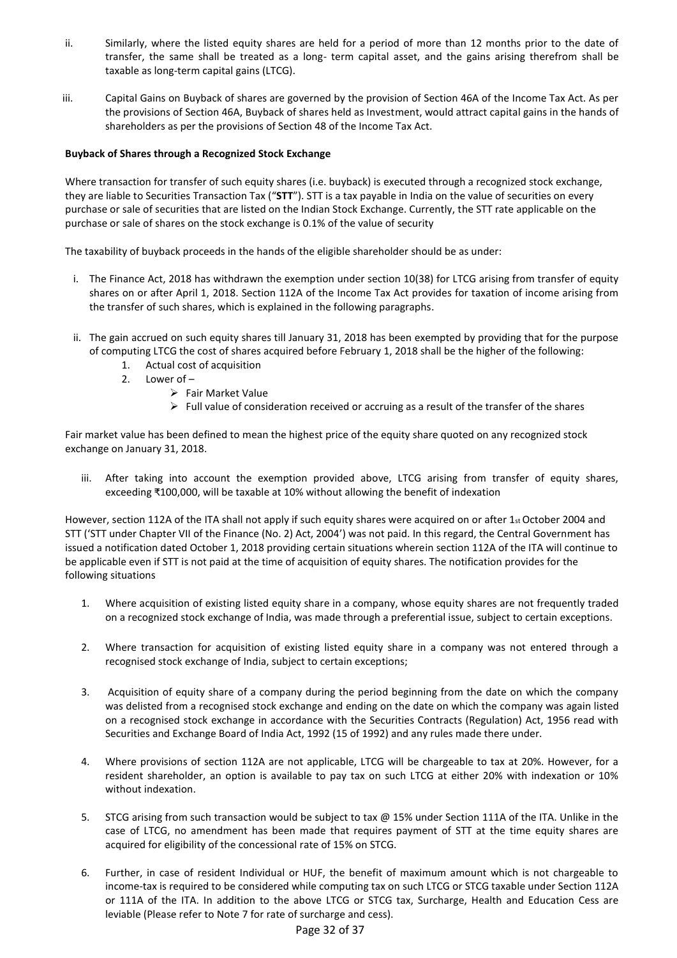- ii. Similarly, where the listed equity shares are held for a period of more than 12 months prior to the date of transfer, the same shall be treated as a long- term capital asset, and the gains arising therefrom shall be taxable as long-term capital gains (LTCG).
- iii. Capital Gains on Buyback of shares are governed by the provision of Section 46A of the Income Tax Act. As per the provisions of Section 46A, Buyback of shares held as Investment, would attract capital gains in the hands of shareholders as per the provisions of Section 48 of the Income Tax Act.

### **Buyback of Shares through a Recognized Stock Exchange**

Where transaction for transfer of such equity shares (i.e. buyback) is executed through a recognized stock exchange, they are liable to Securities Transaction Tax ("**STT**"). STT is a tax payable in India on the value of securities on every purchase or sale of securities that are listed on the Indian Stock Exchange. Currently, the STT rate applicable on the purchase or sale of shares on the stock exchange is 0.1% of the value of security

The taxability of buyback proceeds in the hands of the eligible shareholder should be as under:

- i. The Finance Act, 2018 has withdrawn the exemption under section 10(38) for LTCG arising from transfer of equity shares on or after April 1, 2018. Section 112A of the Income Tax Act provides for taxation of income arising from the transfer of such shares, which is explained in the following paragraphs.
- ii. The gain accrued on such equity shares till January 31, 2018 has been exempted by providing that for the purpose of computing LTCG the cost of shares acquired before February 1, 2018 shall be the higher of the following:
	- 1. Actual cost of acquisition
	- 2. Lower of
		- > Fair Market Value
		- $\triangleright$  Full value of consideration received or accruing as a result of the transfer of the shares

Fair market value has been defined to mean the highest price of the equity share quoted on any recognized stock exchange on January 31, 2018.

iii. After taking into account the exemption provided above, LTCG arising from transfer of equity shares, exceeding ₹100,000, will be taxable at 10% without allowing the benefit of indexation

However, section 112A of the ITA shall not apply if such equity shares were acquired on or after 1st October 2004 and STT ('STT under Chapter VII of the Finance (No. 2) Act, 2004') was not paid. In this regard, the Central Government has issued a notification dated October 1, 2018 providing certain situations wherein section 112A of the ITA will continue to be applicable even if STT is not paid at the time of acquisition of equity shares. The notification provides for the following situations

- 1. Where acquisition of existing listed equity share in a company, whose equity shares are not frequently traded on a recognized stock exchange of India, was made through a preferential issue, subject to certain exceptions.
- 2. Where transaction for acquisition of existing listed equity share in a company was not entered through a recognised stock exchange of India, subject to certain exceptions;
- 3. Acquisition of equity share of a company during the period beginning from the date on which the company was delisted from a recognised stock exchange and ending on the date on which the company was again listed on a recognised stock exchange in accordance with the Securities Contracts (Regulation) Act, 1956 read with Securities and Exchange Board of India Act, 1992 (15 of 1992) and any rules made there under.
- 4. Where provisions of section 112A are not applicable, LTCG will be chargeable to tax at 20%. However, for a resident shareholder, an option is available to pay tax on such LTCG at either 20% with indexation or 10% without indexation.
- 5. STCG arising from such transaction would be subject to tax @ 15% under Section 111A of the ITA. Unlike in the case of LTCG, no amendment has been made that requires payment of STT at the time equity shares are acquired for eligibility of the concessional rate of 15% on STCG.
- 6. Further, in case of resident Individual or HUF, the benefit of maximum amount which is not chargeable to income-tax is required to be considered while computing tax on such LTCG or STCG taxable under Section 112A or 111A of the ITA. In addition to the above LTCG or STCG tax, Surcharge, Health and Education Cess are leviable (Please refer to Note 7 for rate of surcharge and cess).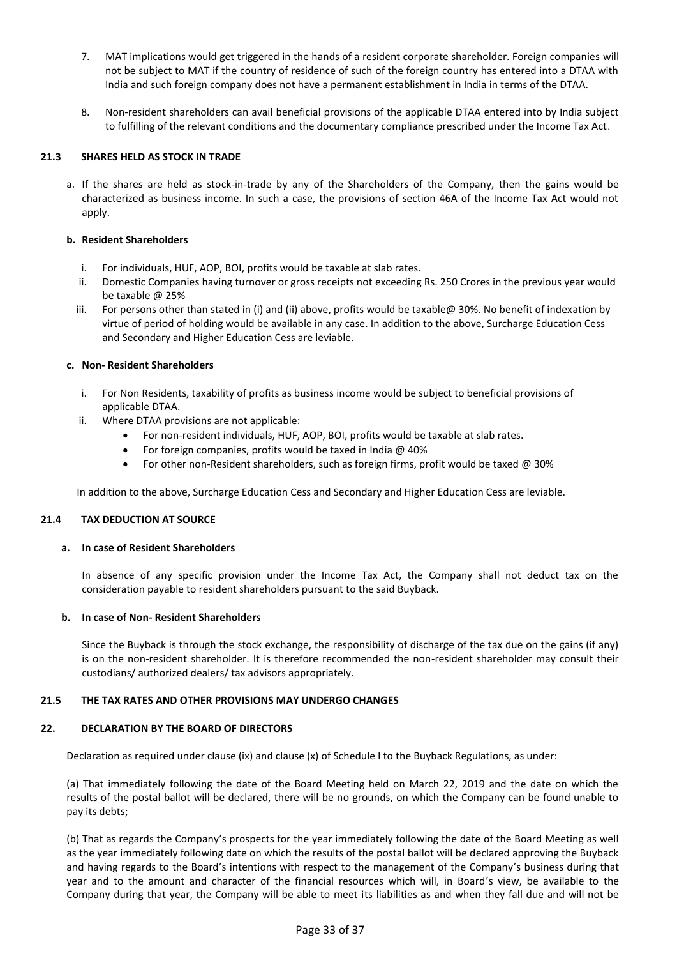- 7. MAT implications would get triggered in the hands of a resident corporate shareholder. Foreign companies will not be subject to MAT if the country of residence of such of the foreign country has entered into a DTAA with India and such foreign company does not have a permanent establishment in India in terms of the DTAA.
- 8. Non-resident shareholders can avail beneficial provisions of the applicable DTAA entered into by India subject to fulfilling of the relevant conditions and the documentary compliance prescribed under the Income Tax Act.

## **21.3 SHARES HELD AS STOCK IN TRADE**

a. If the shares are held as stock-in-trade by any of the Shareholders of the Company, then the gains would be characterized as business income. In such a case, the provisions of section 46A of the Income Tax Act would not apply.

### **b. Resident Shareholders**

- i. For individuals, HUF, AOP, BOI, profits would be taxable at slab rates.
- ii. Domestic Companies having turnover or gross receipts not exceeding Rs. 250 Crores in the previous year would be taxable @ 25%
- iii. For persons other than stated in (i) and (ii) above, profits would be taxable@ 30%. No benefit of indexation by virtue of period of holding would be available in any case. In addition to the above, Surcharge Education Cess and Secondary and Higher Education Cess are leviable.

## **c. Non- Resident Shareholders**

- i. For Non Residents, taxability of profits as business income would be subject to beneficial provisions of applicable DTAA.
- ii. Where DTAA provisions are not applicable:
	- For non-resident individuals, HUF, AOP, BOI, profits would be taxable at slab rates.
	- For foreign companies, profits would be taxed in India @ 40%
	- For other non-Resident shareholders, such as foreign firms, profit would be taxed @ 30%

In addition to the above, Surcharge Education Cess and Secondary and Higher Education Cess are leviable.

### **21.4 TAX DEDUCTION AT SOURCE**

### **a. In case of Resident Shareholders**

In absence of any specific provision under the Income Tax Act, the Company shall not deduct tax on the consideration payable to resident shareholders pursuant to the said Buyback.

### **b. In case of Non- Resident Shareholders**

Since the Buyback is through the stock exchange, the responsibility of discharge of the tax due on the gains (if any) is on the non-resident shareholder. It is therefore recommended the non-resident shareholder may consult their custodians/ authorized dealers/ tax advisors appropriately.

### **21.5 THE TAX RATES AND OTHER PROVISIONS MAY UNDERGO CHANGES**

### **22. DECLARATION BY THE BOARD OF DIRECTORS**

Declaration as required under clause (ix) and clause (x) of Schedule I to the Buyback Regulations, as under:

(a) That immediately following the date of the Board Meeting held on March 22, 2019 and the date on which the results of the postal ballot will be declared, there will be no grounds, on which the Company can be found unable to pay its debts;

(b) That as regards the Company's prospects for the year immediately following the date of the Board Meeting as well as the year immediately following date on which the results of the postal ballot will be declared approving the Buyback and having regards to the Board's intentions with respect to the management of the Company's business during that year and to the amount and character of the financial resources which will, in Board's view, be available to the Company during that year, the Company will be able to meet its liabilities as and when they fall due and will not be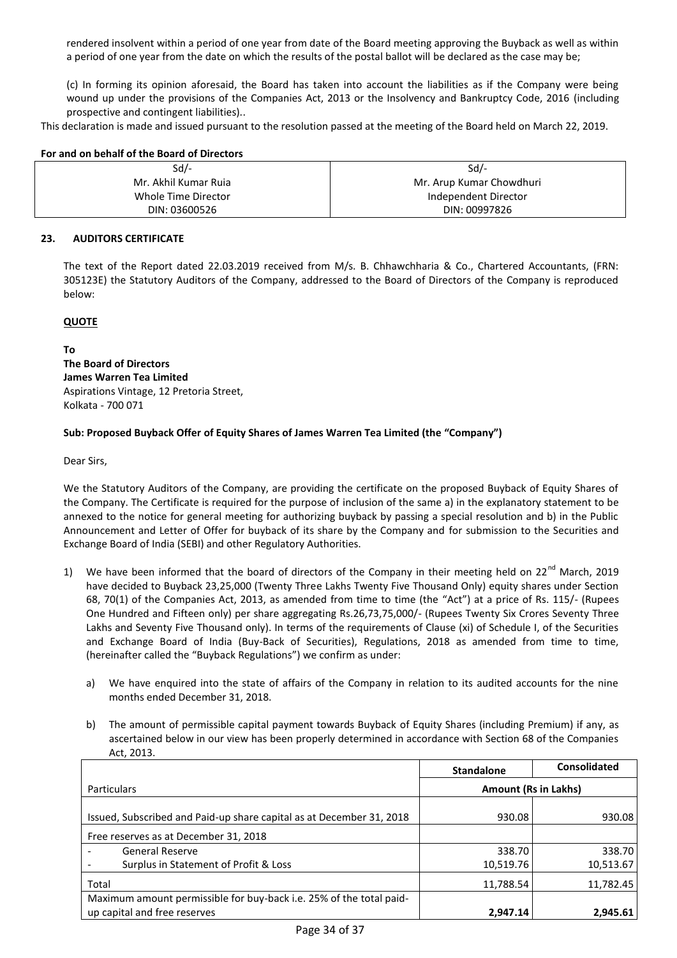rendered insolvent within a period of one year from date of the Board meeting approving the Buyback as well as within a period of one year from the date on which the results of the postal ballot will be declared as the case may be;

(c) In forming its opinion aforesaid, the Board has taken into account the liabilities as if the Company were being wound up under the provisions of the Companies Act, 2013 or the Insolvency and Bankruptcy Code, 2016 (including prospective and contingent liabilities)..

This declaration is made and issued pursuant to the resolution passed at the meeting of the Board held on March 22, 2019.

| For and on behalf of the Board of Directors |  |
|---------------------------------------------|--|
|---------------------------------------------|--|

| Sd/-                 | $Sd$ /-                  |
|----------------------|--------------------------|
| Mr. Akhil Kumar Ruja | Mr. Arup Kumar Chowdhuri |
| Whole Time Director  | Independent Director     |
| DIN: 03600526        | DIN: 00997826            |

#### **23. AUDITORS CERTIFICATE**

The text of the Report dated 22.03.2019 received from M/s. B. Chhawchharia & Co., Chartered Accountants, (FRN: 305123E) the Statutory Auditors of the Company, addressed to the Board of Directors of the Company is reproduced below:

#### **QUOTE**

**To**

**The Board of Directors James Warren Tea Limited**  Aspirations Vintage, 12 Pretoria Street, Kolkata - 700 071

#### **Sub: Proposed Buyback Offer of Equity Shares of James Warren Tea Limited (the "Company")**

Dear Sirs,

We the Statutory Auditors of the Company, are providing the certificate on the proposed Buyback of Equity Shares of the Company. The Certificate is required for the purpose of inclusion of the same a) in the explanatory statement to be annexed to the notice for general meeting for authorizing buyback by passing a special resolution and b) in the Public Announcement and Letter of Offer for buyback of its share by the Company and for submission to the Securities and Exchange Board of India (SEBI) and other Regulatory Authorities.

- 1) We have been informed that the board of directors of the Company in their meeting held on 22<sup>nd</sup> March, 2019 have decided to Buyback 23,25,000 (Twenty Three Lakhs Twenty Five Thousand Only) equity shares under Section 68, 70(1) of the Companies Act, 2013, as amended from time to time (the "Act") at a price of Rs. 115/- (Rupees One Hundred and Fifteen only) per share aggregating Rs.26,73,75,000/- (Rupees Twenty Six Crores Seventy Three Lakhs and Seventy Five Thousand only). In terms of the requirements of Clause (xi) of Schedule I, of the Securities and Exchange Board of India (Buy-Back of Securities), Regulations, 2018 as amended from time to time, (hereinafter called the "Buyback Regulations") we confirm as under:
	- a) We have enquired into the state of affairs of the Company in relation to its audited accounts for the nine months ended December 31, 2018.
	- b) The amount of permissible capital payment towards Buyback of Equity Shares (including Premium) if any, as ascertained below in our view has been properly determined in accordance with Section 68 of the Companies Act, 2013.

|                                                                      | <b>Standalone</b>           | <b>Consolidated</b> |
|----------------------------------------------------------------------|-----------------------------|---------------------|
| <b>Particulars</b>                                                   | <b>Amount (Rs in Lakhs)</b> |                     |
| Issued, Subscribed and Paid-up share capital as at December 31, 2018 | 930.08                      | 930.08              |
| Free reserves as at December 31, 2018                                |                             |                     |
| <b>General Reserve</b>                                               | 338.70                      | 338.70              |
| Surplus in Statement of Profit & Loss                                | 10,519.76                   | 10,513.67           |
| Total                                                                | 11,788.54                   | 11,782.45           |
| Maximum amount permissible for buy-back i.e. 25% of the total paid-  |                             |                     |
| up capital and free reserves                                         | 2.947.14                    | 2,945.61            |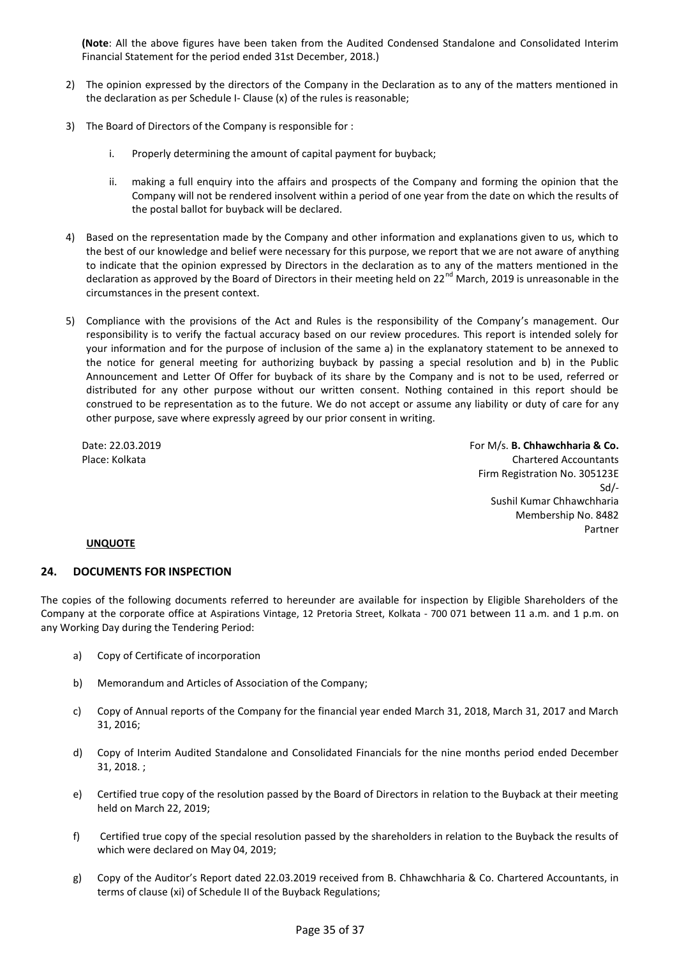**(Note**: All the above figures have been taken from the Audited Condensed Standalone and Consolidated Interim Financial Statement for the period ended 31st December, 2018.)

- 2) The opinion expressed by the directors of the Company in the Declaration as to any of the matters mentioned in the declaration as per Schedule I- Clause (x) of the rules is reasonable;
- 3) The Board of Directors of the Company is responsible for :
	- i. Properly determining the amount of capital payment for buyback;
	- ii. making a full enquiry into the affairs and prospects of the Company and forming the opinion that the Company will not be rendered insolvent within a period of one year from the date on which the results of the postal ballot for buyback will be declared.
- 4) Based on the representation made by the Company and other information and explanations given to us, which to the best of our knowledge and belief were necessary for this purpose, we report that we are not aware of anything to indicate that the opinion expressed by Directors in the declaration as to any of the matters mentioned in the declaration as approved by the Board of Directors in their meeting held on 22<sup>nd</sup> March, 2019 is unreasonable in the circumstances in the present context.
- 5) Compliance with the provisions of the Act and Rules is the responsibility of the Company's management. Our responsibility is to verify the factual accuracy based on our review procedures. This report is intended solely for your information and for the purpose of inclusion of the same a) in the explanatory statement to be annexed to the notice for general meeting for authorizing buyback by passing a special resolution and b) in the Public Announcement and Letter Of Offer for buyback of its share by the Company and is not to be used, referred or distributed for any other purpose without our written consent. Nothing contained in this report should be construed to be representation as to the future. We do not accept or assume any liability or duty of care for any other purpose, save where expressly agreed by our prior consent in writing.

Date: 22.03.2019 Place: Kolkata

For M/s. **B. Chhawchharia & Co.**  Chartered Accountants Firm Registration No. 305123E Sd/- Sushil Kumar Chhawchharia Membership No. 8482 Partner

### **UNQUOTE**

### **24. DOCUMENTS FOR INSPECTION**

The copies of the following documents referred to hereunder are available for inspection by Eligible Shareholders of the Company at the corporate office at Aspirations Vintage, 12 Pretoria Street, Kolkata - 700 071 between 11 a.m. and 1 p.m. on any Working Day during the Tendering Period:

- a) Copy of Certificate of incorporation
- b) Memorandum and Articles of Association of the Company;
- c) Copy of Annual reports of the Company for the financial year ended March 31, 2018, March 31, 2017 and March 31, 2016;
- d) Copy of Interim Audited Standalone and Consolidated Financials for the nine months period ended December 31, 2018. ;
- e) Certified true copy of the resolution passed by the Board of Directors in relation to the Buyback at their meeting held on March 22, 2019;
- f) Certified true copy of the special resolution passed by the shareholders in relation to the Buyback the results of which were declared on May 04, 2019;
- g) Copy of the Auditor's Report dated 22.03.2019 received from B. Chhawchharia & Co. Chartered Accountants, in terms of clause (xi) of Schedule II of the Buyback Regulations;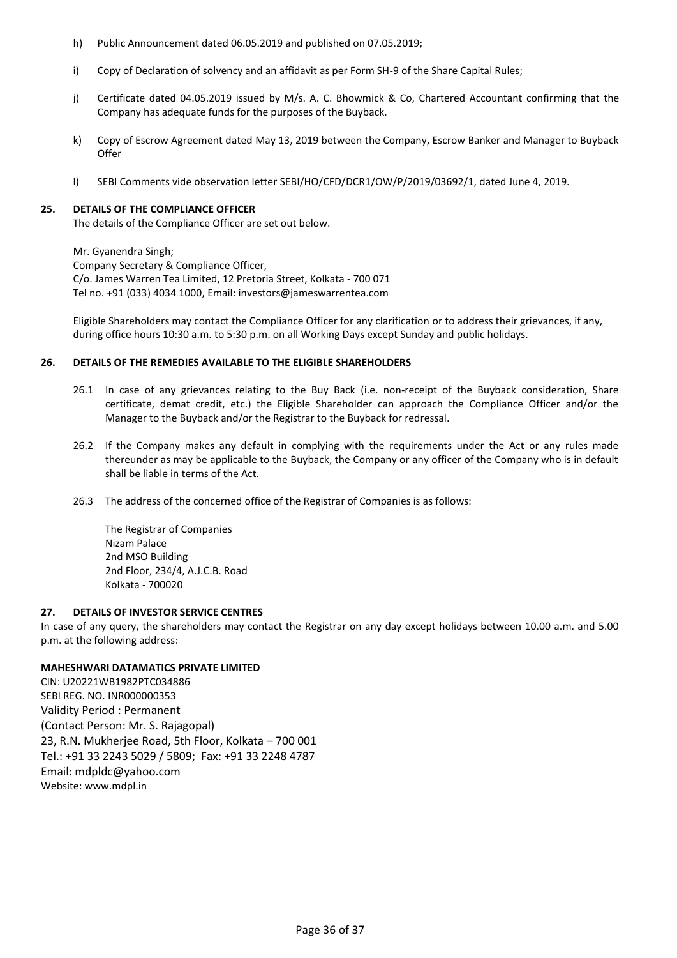- h) Public Announcement dated 06.05.2019 and published on 07.05.2019;
- i) Copy of Declaration of solvency and an affidavit as per Form SH-9 of the Share Capital Rules;
- j) Certificate dated 04.05.2019 issued by M/s. A. C. Bhowmick & Co, Chartered Accountant confirming that the Company has adequate funds for the purposes of the Buyback.
- k) Copy of Escrow Agreement dated May 13, 2019 between the Company, Escrow Banker and Manager to Buyback **Offer**
- l) SEBI Comments vide observation letter SEBI/HO/CFD/DCR1/OW/P/2019/03692/1, dated June 4, 2019.

### **25. DETAILS OF THE COMPLIANCE OFFICER**

The details of the Compliance Officer are set out below.

Mr. Gyanendra Singh; Company Secretary & Compliance Officer, C/o. James Warren Tea Limited, 12 Pretoria Street, Kolkata - 700 071 Tel no. +91 (033) 4034 1000, Email[: investors@jameswarrentea.com](mailto:vikramsarogi@jameswarrentea.com;%20investors@jameswarrentea.com) 

Eligible Shareholders may contact the Compliance Officer for any clarification or to address their grievances, if any, during office hours 10:30 a.m. to 5:30 p.m. on all Working Days except Sunday and public holidays.

## **26. DETAILS OF THE REMEDIES AVAILABLE TO THE ELIGIBLE SHAREHOLDERS**

- 26.1 In case of any grievances relating to the Buy Back (i.e. non-receipt of the Buyback consideration, Share certificate, demat credit, etc.) the Eligible Shareholder can approach the Compliance Officer and/or the Manager to the Buyback and/or the Registrar to the Buyback for redressal.
- 26.2 If the Company makes any default in complying with the requirements under the Act or any rules made thereunder as may be applicable to the Buyback, the Company or any officer of the Company who is in default shall be liable in terms of the Act.
- 26.3 The address of the concerned office of the Registrar of Companies is as follows:

The Registrar of Companies Nizam Palace 2nd MSO Building 2nd Floor, 234/4, A.J.C.B. Road Kolkata - 700020

### **27. DETAILS OF INVESTOR SERVICE CENTRES**

In case of any query, the shareholders may contact the Registrar on any day except holidays between 10.00 a.m. and 5.00 p.m. at the following address:

# **MAHESHWARI DATAMATICS PRIVATE LIMITED**

CIN: U20221WB1982PTC034886 SEBI REG. NO. INR000000353 Validity Period : Permanent (Contact Person: Mr. S. Rajagopal) 23, R.N. Mukherjee Road, 5th Floor, Kolkata – 700 001 Tel.: +91 33 2243 5029 / 5809; Fax: +91 33 2248 4787 Email: [mdpldc@yahoo.com](mailto:mdpldc@yahoo.com)  Website: www.mdpl.in